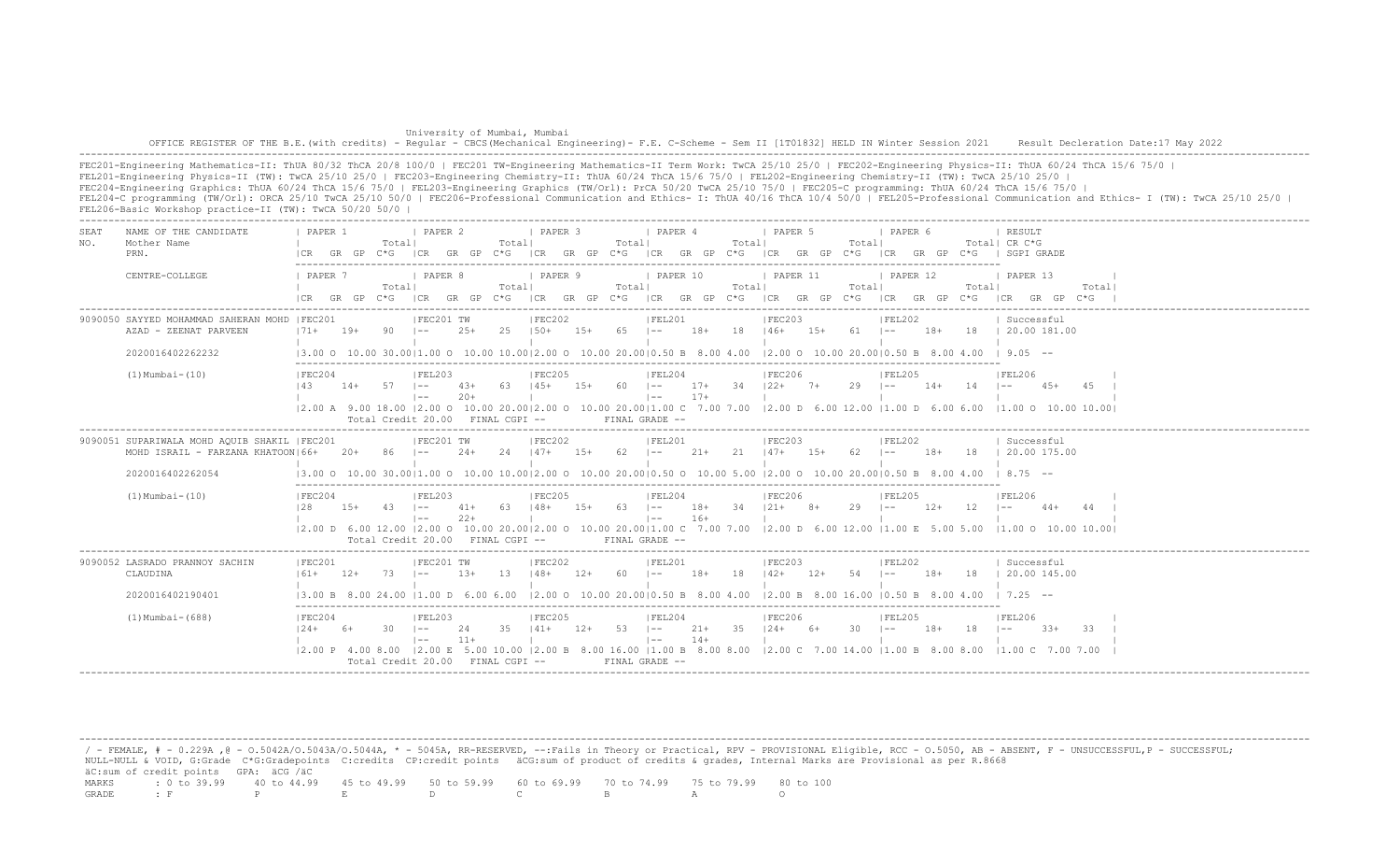| University of Mumbai, Mumbai                                                                                                                                                            |  |
|-----------------------------------------------------------------------------------------------------------------------------------------------------------------------------------------|--|
| OFFICE REGISTER OF THE B.E. (with credits) - Regular - CBCS (Mechanical Engineering) - F.E. C-Scheme - Sem II [1T01832] HELD IN Winter Session 2021 Result Decleration Date:17 May 2022 |  |
|                                                                                                                                                                                         |  |

FEC201-Engineering Mathematics-II: ThUA 80/32 ThCA 20/8 100/0 | FEC201 TW-Engineering Mathematics-II Term Work: TwCA 25/10 25/0 | FEC202-Engineering Physics-II: ThUA 60/24 ThCA 15/6 75/0 | FEL201-Engineering Physics-II (TW): TwCA 25/10 25/0 | FEC203-Engineering Chemistry-II: ThUA 60/24 ThCA 15/6 75/0 | FEL202-Engineering Chemistry-II (TW): TwCA 25/10 25/0 | FEC204-Engineering Graphics: ThUA 60/24 ThCA 15/6 75/0 | FEL203-Engineering Graphics (TW/Orl): PrCA 50/20 TwCA 25/10 75/0 | FEC205-C programming: ThUA 60/24 ThCA 15/6 75/0 | FEL204-C programming (TW/Orl): ORCA 25/10 TwCA 25/10 50/0 | FEC206-Professional Communication and Ethics- I: ThUA 40/16 ThCA 10/4 50/0 | FEL205-Professional Communication and Ethics- I (TW): TwCA 25/10 25/0 | FEL206-Basic Workshop practice-II (TW): TwCA 50/20 50/0 |

| SEA.<br>NO. | NAME OF THE CANDIDATE<br>Mother Name<br>PRN.                                                           | PAPER 1<br>I CR            | GR GP | Totall         | I PAPER 2<br>C*G ICR GR GP C*G                                   |                | Totall                       | <b>I PAPER 3</b>  |        | Totall      | <i>I</i> PAPER 4<br>ICR GR GP C*G ICR GR GP C*G ICR GR GP C*G                                                                                                                                                                                                                                                                                                                                          |                | Totall      | I PAPER 5                                |                | Totall     | I PAPER 6                    |       |       | RESULT<br>Total  CR C*G<br>ICR GR GP C*G I SGPI GRADE                                                                                                                         |       |
|-------------|--------------------------------------------------------------------------------------------------------|----------------------------|-------|----------------|------------------------------------------------------------------|----------------|------------------------------|-------------------|--------|-------------|--------------------------------------------------------------------------------------------------------------------------------------------------------------------------------------------------------------------------------------------------------------------------------------------------------------------------------------------------------------------------------------------------------|----------------|-------------|------------------------------------------|----------------|------------|------------------------------|-------|-------|-------------------------------------------------------------------------------------------------------------------------------------------------------------------------------|-------|
|             | CENTRE-COLLEGE                                                                                         | 1 PAPER 7<br>ICR GR GP C*G |       | Totall         | I PAPER 8                                                        |                | Totall                       | PAPER 9           |        | Totall      | 1 PAPER 10<br>ICR GR GP C*G ICR GR GP C*G ICR GR GP C*G ICR GR GP C*G ICR GR GP C*G                                                                                                                                                                                                                                                                                                                    |                | Totall      | 1 PAPER 11                               |                | Total      | 1 PAPER 12                   |       | Total | 1 PAPER 13<br>ICR GR GP C*G                                                                                                                                                   | Total |
|             | 9090050 SAYYED MOHAMMAD SAHERAN MOHD IFEC201<br>AZAD - ZEENAT PARVEEN<br>2020016402262232              | $171 +$                    | $19+$ | 90             | IFEC201 TW<br>$ -$                                               | $2.5+$         | 2.5                          | IFEC202<br>$150+$ | $15+$  | $65 = 1 -$  | IFEL201<br>$(3.00 \t 0 \t 10.00 \t 30.00   1.00 \t 0 \t 10.00 \t 10.00   2.00 \t 0 \t 10.00 \t 20.00   0.50 \t B \t 8.00 \t 4.00 \t 20.00 \t 0 \t 10.00 \t 20.00   0.50 \t B \t 8.00 \t 4.00$                                                                                                                                                                                                          |                | 18+ 18 146+ | FEC203                                   | $15+ 61$ $1--$ |            | FEL202                       |       |       | Successful<br>18+ 18   20.00 181.00<br>$19.05 - -$                                                                                                                            |       |
|             | $(1)$ Mumbai- $(10)$                                                                                   | IFEC204<br>143             |       | $14+ 57$ $1--$ | IFEL203<br>$1 - -$                                               | $20+$          | $43+ 63 + 145+ 15+ 60$ $1--$ | IFEC205           |        |             | FEL204<br>$\vert - - \vert$                                                                                                                                                                                                                                                                                                                                                                            | $17+$          |             | IFEC206<br>$17+$ 34 $122+$ 7+ 29 I-- 14+ |                |            | IFEL205                      |       | 14    | <b>IFEL206</b><br>$45+$<br>$\vert - -$<br>12.00 A 9.00 18.00 12.00 O 10.00 20.0012.00 O 10.00 20.0011.00 C 7.00 7.00 12.00 D 6.00 12.00 D 6.00 6.00 6.00 11.00 O 10.00 10.001 | - 45  |
|             | 9090051 SUPARIWALA MOHD AOUIB SHAKIL   FEC201<br>MOHD ISRAIL - FARZANA KHATOON 66+<br>2020016402262054 |                            | $20+$ | 86             | Total Credit 20.00 FINAL CGPI --<br>IFEC201 TW<br>$1 - -$        | $24+$          | - 2.4                        | IFEC202<br>$147+$ | 15+    | $62$ $1--$  | FINAL GRADE --<br>IFEL201<br>13.00 0 10.00 30.0011.00 0 10.00 10.0012.00 0 10.00 20.0010.50 0 10.00 5.00 12.00 0 10.00 20.0010.50 B 8.00 4.00                                                                                                                                                                                                                                                          | 21+            | 21          | IFEC203<br>$147+$ 1.5+                   |                | 62.        | IFEL202<br>$1 - -$           | $18+$ | -18   | Successful<br>120.00175.00<br>$18.75 - -$                                                                                                                                     |       |
|             | $(1)$ Mumbai- $(10)$                                                                                   | IFEC204<br>128             | $15+$ | $43 - 1 =$     | IFEL203<br>$1 - -$<br>Total Credit 20.00 FINAL CGPI --           | $41+$<br>$22+$ | -63                          | IFEC205<br>$148+$ | $1.5+$ | $63 \t - -$ | IFEL204<br>$1 - -$<br>FINAL GRADE --                                                                                                                                                                                                                                                                                                                                                                   | $18+$<br>$16+$ |             | IFEC206<br>$34$ $121+$ $8+$              |                | $29 - 1 -$ | IFEL205                      | $12+$ | 12    | IFEL206<br>$\vert - - \vert$<br>44+<br> 2.00 D 6.00 12.00  2.00 O 10.00 20.00 2.00 O 10.00 20.00 1.00 C 7.00 7.00  2.00 D 6.00 12.00  1.00 E 5.00 5.00  1.00 O 10.00 10.00    |       |
|             | 9090052 LASRADO PRANNOY SACHIN<br>CLAUDINA<br>2020016402190401                                         | IFEC201<br>$161+$          | $12+$ | 73             | IFEC201 TW<br>$1 - -$<br>13.00 B 8.00 24.00 11.00 D 6.00 6.00    | $1.3+$         | 13                           | IFEC202<br>$148+$ | $12+$  | 60          | IFEL201<br>$\vert - -$<br>$12.00$ O $10.00$ $20.0010.50$ B $8.00$ $4.00$ $12.00$ B $8.00$ $16.00$ $10.50$ B $8.00$ $4.00$                                                                                                                                                                                                                                                                              | 18+            | 18          | IFEC203<br>$142+$                        | $12+$          | 54         | IFEL202<br>$\vert - - \vert$ | $18+$ | 18    | Successful<br>$120.00$ 145.00<br>$1 \t7.25 - -$                                                                                                                               |       |
|             | $(1)$ Mumbai - $(688)$                                                                                 | IFEC204<br>$124+$          | 6+    | $30 \t - -$    | IFEL203<br>$\vert - - \vert$<br>Total Credit 20.00 FINAL CGPI -- | 24<br>$11+$    | $35 \t141+$                  | FEC205            | $12+$  | 53 1--      | FEL204<br>$\vert - - \vert$<br>$(2.00 \text{ P } 4.00 \text{ 8.00} \text{ }   2.00 \text{ E } 5.00 \text{ } 10.00 \text{ }   2.00 \text{ B } 8.00 \text{ } 16.00 \text{ }   1.00 \text{ B } 8.00 \text{ } 8.00 \text{ } 12.00 \text{ C } 7.00 \text{ } 14.00 \text{ }   1.00 \text{ B } 8.00 \text{ } 8.00 \text{ } 8.00 \text{ } 10.00 \text{ } 10.00 \text{ } 11.00 \text{ } 11.0$<br>FINAL GRADE -- | 21+<br>$14+$   | 35          | FEC206<br>$124+ 6+$                      |                | 30         | IFEL205<br>$1 - -$           | 18+   |       | IFEL206<br>$33+$<br>11.00 C 7.00 7.00                                                                                                                                         | -33-  |

/ - FEMALE, # - 0.229A , @ - 0.5042A/O.5043A/O.5044A, \* - 5045A, RR-RESERVED, --:Fails in Theory or Practical, RPV - PROVISIONAL Eligible, RCC - 0.5050, AB - ABSENT, F - UNSUCCESSFUL,P - SUCCESSFUL; NULL-NULL & VOID, G:Grade C\*G:Gradepoints C:credits CP:credit points äCG:sum of product of credits & grades, Internal Marks are Provisional as per R.8668 äC:sum of credit points GPA: äCG /äC MARKS : 0 to 39.99 40 to 44.99 45 to 49.99 50 to 59.99 60 to 69.99 70 to 74.99 75 to 79.99 80 to 100 GRADE : F P E D C B A O

-------------------------------------------------------------------------------------------------------------------------------------------------------------------------------------------------------------------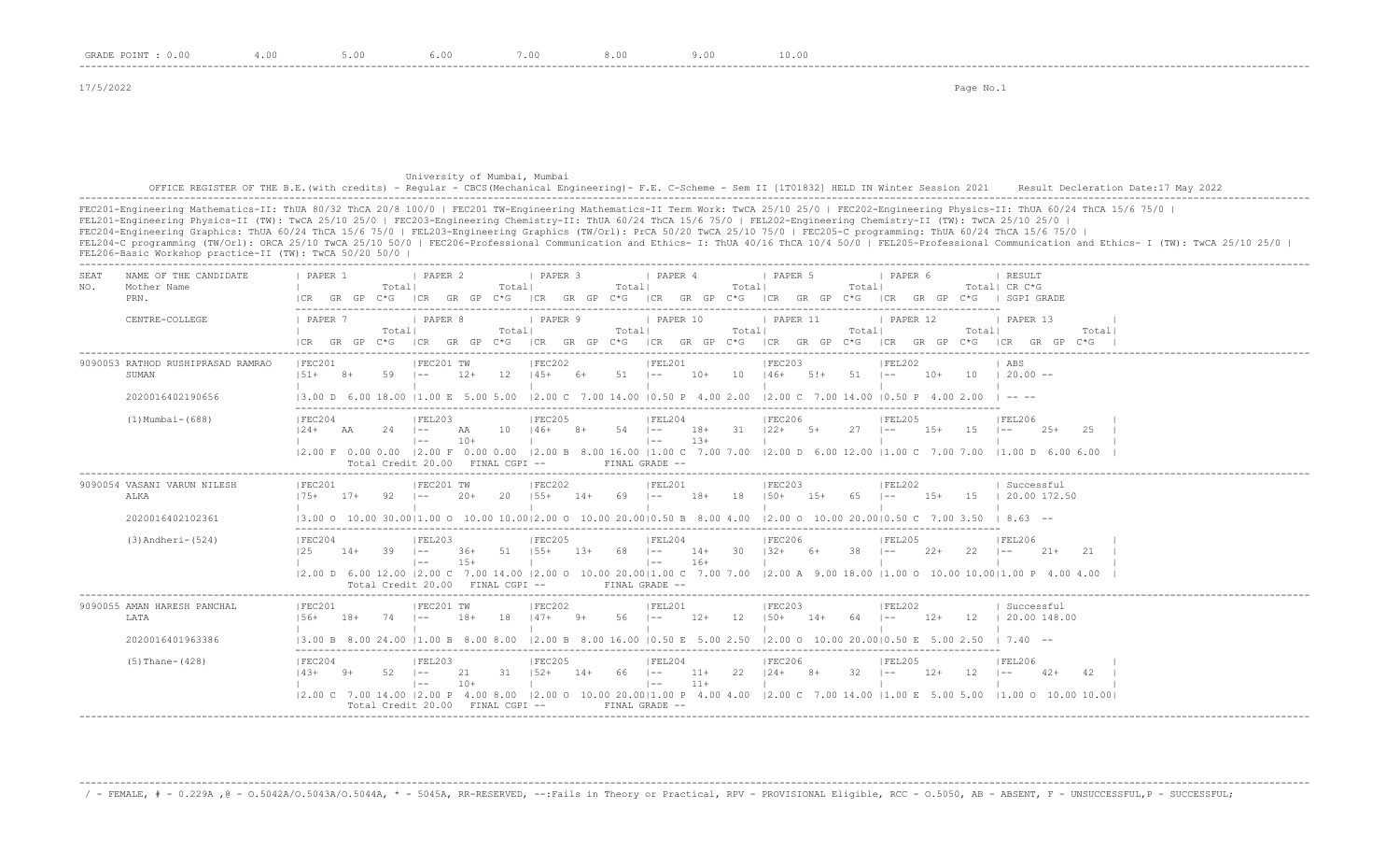## University of Mumbai, Mumbai OFFICE REGISTER OF THE B.E.(with credits) - Regular - CBCS(Mechanical Engineering)- F.E. C-Scheme - Sem II [1T01832] HELD IN Winter Session 2021 Result Decleration Date:17 May 2022 -------------------------------------------------------------------------------------------------------------------------------------------------------------------------------------------------------------------

FEC201-Engineering Mathematics-II: ThUA 80/32 ThCA 20/8 100/0 | FEC201 TW-Engineering Mathematics-II Term Work: TwCA 25/10 25/0 | FEC202-Engineering Physics-II: ThUA 60/24 ThCA 15/6 75/0 | FEL201-Engineering Physics-II (TW): TwCA 25/10 25/0 | FEC203-Engineering Chemistry-II: ThUA 60/24 ThCA 15/6 75/0 | FEL202-Engineering Chemistry-II (TW): TwCA 25/10 25/0 | FEC204-Engineering Graphics: ThUA 60/24 ThCA 15/6 75/0 | FEL203-Engineering Graphics (TW/Orl): PrCA 50/20 TwCA 25/10 75/0 | FEC205-C programming: ThUA 60/24 ThCA 15/6 75/0 | FEL204-C programming (TW/Orl): ORCA 25/10 TwCA 25/10 50/0 | FEC206-Professional Communication and Ethics- I: ThUA 40/16 ThCA 10/4 50/0 | FEL205-Professional Communication and Ethics- I (TW): TwCA 25/10 25/0 | FEL206-Basic Workshop practice-II (TW): TwCA 50/20 50/0 | -------------------------------------------------------------------------------------------------------------------------------------------------------------------------------------------------------------------

| SEAT<br>NAME OF THE CANDIDATE<br>Mother Name<br>NO.<br>PRN. | PAPER 1<br>  PAPER 2<br>  PAPER 3<br>  PAPER 4<br>I PAPER 5<br>I PAPER 6<br>RESULT<br>Totall<br>Totall<br>Totall<br>Totall<br>Totall<br>Total  CR C*G<br>GR GP C*G<br>GR GP C*G<br>$ CR$ GR GP $C*G$ $ CR$ GR GP $C*G$<br>ICR GR GP C*G<br>SGPI GRADE<br>ICR<br>I CR<br>ICR GR GP C*G                                                                                                                                                                                                             |  |
|-------------------------------------------------------------|---------------------------------------------------------------------------------------------------------------------------------------------------------------------------------------------------------------------------------------------------------------------------------------------------------------------------------------------------------------------------------------------------------------------------------------------------------------------------------------------------|--|
| CENTRE-COLLEGE                                              | PAPER 9<br>1 PAPER 10<br><b>I PAPER 11</b><br>1 PAPER 7<br>I PAPER 8<br>1 PAPER 12<br>1 PAPER 13<br>Totall<br>Totall<br>Total <br>Totall<br>Totall<br>Totall<br>Total <br>$GR$ GP $C*G$ ICR GR GP $C*G$<br>$C * G$<br>ICR<br>$C*G$<br>ICR GR GP C*G<br>ICR GR GP C*G<br>$C*G$<br>GR GP<br>GR.<br><b>GP</b><br>ICR<br>ICR GR GP                                                                                                                                                                    |  |
| 9090053 RATHOD RUSHIPRASAD RAMRAC<br>SUMAN                  | IFEC201 TW<br>IFEC202<br>IFEC203<br>IFEC201<br>IFEL201<br>IFEL202<br>ABS<br>12<br>$145+ 6+$<br>$51 - 1 -$<br>$10+$ 10 $146+$ 5! + 51 1--<br>$151+$<br>59<br>$12+$<br>$10+$<br>$10 \t 120.00 -$<br>8+<br>$1 - -$                                                                                                                                                                                                                                                                                   |  |
| 2020016402190656                                            | $(2.00 \text{ C} \quad 7.00 \text{ 14.00} \quad (0.50 \text{ P} \quad 4.00 \text{ 2.00} \quad (2.00 \text{ C} \quad 7.00 \text{ 14.00} \quad (0.50 \text{ P} \quad 4.00 \text{ 2.00}$<br>13.00 D 6.00 18.00 11.00 E 5.00 5.00<br>$\cdots$                                                                                                                                                                                                                                                         |  |
| $(1)$ Mumbai - $(688)$                                      | IFEC205<br>IFEC206<br> FEC204<br>IFEL203<br>IFEL204<br>IFEL205<br><b>IFEL206</b><br>$54$ $ -$<br>18+<br>31 122+<br>1.5<br>$124+$<br>$24$ $1--$<br>$10 \t146+$<br>$5+$<br>$27 - 1 - -$<br>$1.5+$<br>$2.5+$<br>- 2.5<br>AA<br>AA<br>$8+$<br>$1 - -$<br>$13+$<br>$10+$<br>$\vert$ $-$<br>$\vert$ $-$<br>12.00 F 0.00 0.00 12.00 F 0.00 0.00 12.00 B 8.00 16.00 11.00 C 7.00 7.00 12.00 D 6.00 12.00 11.00 C 7.00 7.00 11.00 D 6.00 6.00<br>Total Credit 20.00 FINAL CGPI --<br>FINAL GRADE --        |  |
| 9090054 VASANI VARUN NILESH<br>ALKA<br>2020016402102361     | IFEC201 TW<br> FEC201<br>IFEC202<br>IFEL201<br>IFEC203<br> FEL202<br>Successful<br>$155+$<br>$18+$<br>$15+$<br>15   20.00 172.50<br>92<br>$20+$<br>20<br>69 –<br>18<br>$150+$ 15+<br>$175+$<br>$17+$<br>$1 - -$<br>$14+$<br>65 – 1 – –<br>13.00 0 10.00 30.0011.00 0 10.00 10.0012.00 0 10.00 20.0010.50 B 8.00 4.00 12.00 0 10.00 20.0010.50 C 7.00 3.50<br>$18.63 - -$                                                                                                                          |  |
| $(3)$ Andheri- $(524)$                                      | IFEC204<br>IFEL203<br>IFEC205<br>IFEL204<br>IFEC206<br><b>IFFI205</b><br>IFEL206<br>51<br>39<br>$155+$<br>$13+$<br>68 –<br>$14+$<br>$30 \t 132+ \t 6+$<br>38<br>22<br>$21+$<br>2.1<br>12.5<br>$14+$<br>$1 - -$<br>$-36+$<br>$2.2+$<br>$1 - -$<br>$1 - -$<br>$1.5+$<br>$16+$<br>$\vert$ $-$<br>$1 - -$<br> 2.00 D 6.00 12.00  2.00 C 7.00 14.00  2.00 O 10.00 20.00 1.00 C 7.00 7.00  2.00 A 9.00 18.00  1.00 O 10.00 10.00 1.00 P 4.00 4.00<br>Total Credit 20.00 FINAL CGPI --<br>FINAL GRADE -- |  |
| 9090055 AMAN HARESH PANCHAL<br>LATA<br>2020016401963386     | FEC201 TW<br> FEC202<br> FEL201<br> FEC203<br> FEL202<br> FEC201<br>  Successful<br>$56 - 1 - -$<br>$18+$<br>18<br>$147+$<br>$12+$<br>12<br>$150+$<br>$12+$<br>12<br>  20.00 148.00<br>$156+$<br>$18+$<br>74<br>$\vert - -$<br>$9+$<br>$14+$<br>64<br>$\vert - - \vert$<br>12.00 B 8.00 16.00 10.50 E 5.00 2.50 12.00 O 10.00 20.0010.50 E 5.00 2.50<br>13.00 B 8.00 24.00 11.00 B 8.00 8.00<br>$1 \t7 \t40 \t--$                                                                                 |  |
| $(5)$ Thane- $(428)$                                        | IFEC205<br>IFEC206<br>IFEC204<br>IFEL203<br>IFEL204<br>IFEL205<br>IFEL206<br>31<br>$11+$<br>22<br>$32 - 1 =$<br>$143+$<br>52<br>21<br>$152+$<br>$14+$<br>66 –<br>$124+$ 8+<br>$12+$<br>12<br>$42+$<br>42<br>- 9+<br>$\vert - -$<br>$1 - -$<br>$10+$<br>$11+$<br>$\vert - -$<br>$1 - -$<br>12.00 C 7.00 14.00 12.00 P 4.00 8.00 12.00 O 10.00 20.0011.00 P 4.00 4.00 12.00 C 7.00 14.00 11.00 E 5.00 5.00<br>$11.00$ O $10.00$ $10.00$<br>Total Credit 20.00 FINAL CGPI --<br>FINAL GRADE --       |  |

-------------------------------------------------------------------------------------------------------------------------------------------------------------------------------------------------------------------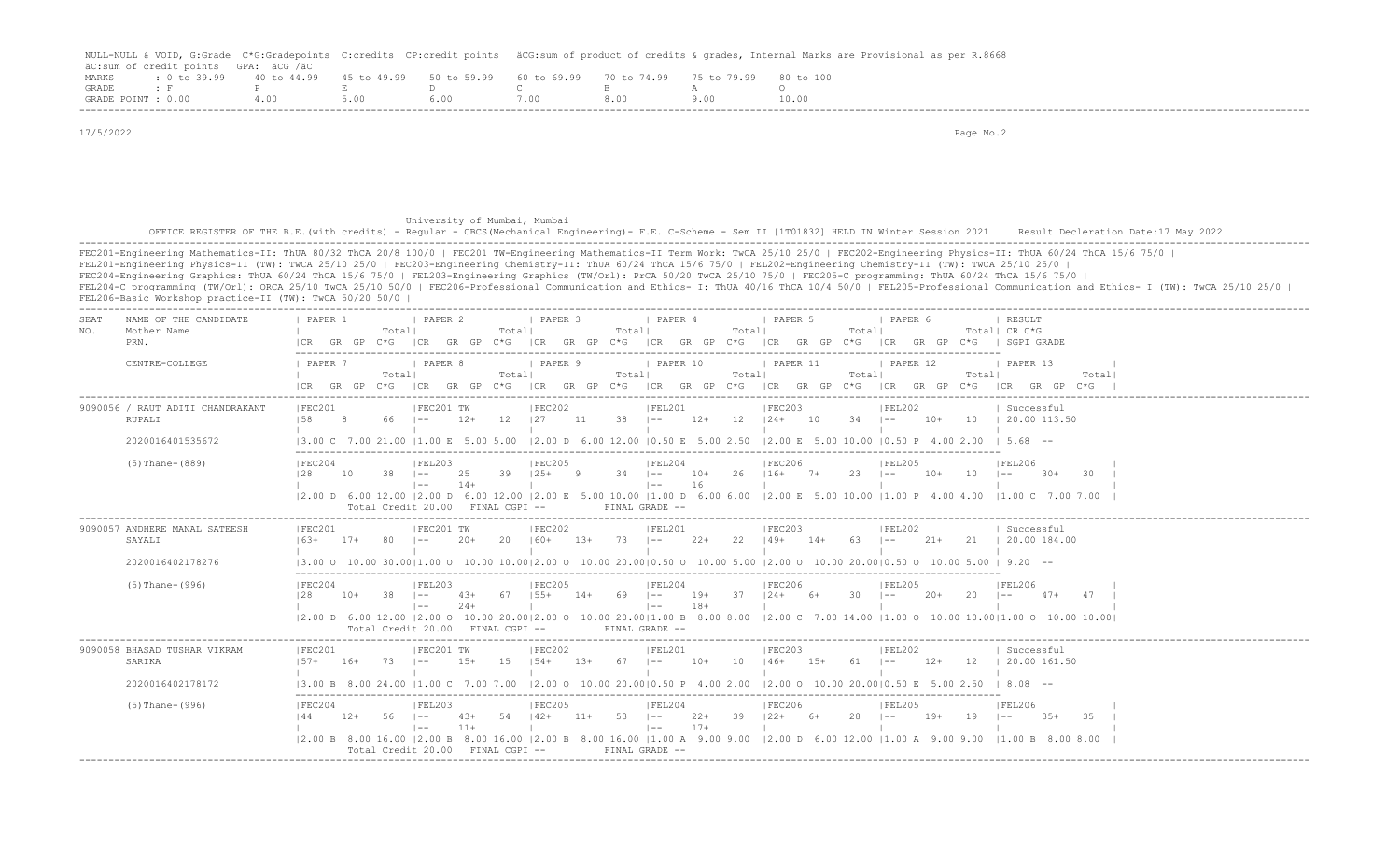|                    |                                                                                                       |      |        |      |      | NULL-NULL & VOID, G:Grade C*G:Gradepoints C:credits CP:credit points äCG:sum of product of credits & qrades, Internal Marks are Provisional as per R.8668 |
|--------------------|-------------------------------------------------------------------------------------------------------|------|--------|------|------|-----------------------------------------------------------------------------------------------------------------------------------------------------------|
|                    | äC:sum of credit points GPA: äCG /äC                                                                  |      |        |      |      |                                                                                                                                                           |
| MARKS              | t 0 to 39.99  40 to 44.99  45 to 49.99  50 to 59.99  60 to 69.99  70 to 74.99  75 to 79.99  80 to 100 |      |        |      |      |                                                                                                                                                           |
| GRADE : F          |                                                                                                       |      | $\Box$ |      |      |                                                                                                                                                           |
| GRADE POINT : 0.00 | 4.00                                                                                                  | 5.00 | 6.00   | 7.00 | 8.00 | 10.00                                                                                                                                                     |
|                    |                                                                                                       |      |        |      |      |                                                                                                                                                           |

 17/5/2022 Page No.2 University of Mumbai, Mumbai OFFICE REGISTER OF THE B.E.(with credits) - Regular - CBCS(Mechanical Engineering)- F.E. C-Scheme - Sem II [1T01832] HELD IN Winter Session 2021 Result Decleration Date:17 May 2022 ------------------------------------------------------------------------------------------------------------------------------------------------------------------------------------------------------------------- FEC201-Engineering Mathematics-II: ThUA 80/32 ThCA 20/8 100/0 | FEC201 TW-Engineering Mathematics-II Term Work: TwCA 25/10 25/0 | FEC202-Engineering Physics-II: ThUA 60/24 ThCA 15/6 75/0 | FEL201-Engineering Physics-II (TW): TwCA 25/10 25/0 | FEC203-Engineering Chemistry-II: ThUA 60/24 ThCA 15/6 75/0 | FEL202-Engineering Chemistry-II (TW): TwCA 25/10 25/0 | FEC204-Engineering Graphics: ThUA 60/24 ThCA 15/6 75/0 | FEL203-Engineering Graphics (TW/Orl): PrCA 50/20 TwCA 25/10 75/0 | FEC205-C programming: ThUA 60/24 ThCA 15/6 75/0 | FEL204-C programming (TW/Orl): ORCA 25/10 TwCA 25/10 50/0 | FEC206-Professional Communication and Ethics- I: ThUA 40/16 ThCA 10/4 50/0 | FEL205-Professional Communication and Ethics- I (TW): TwCA 25/10 25/0 | FEL206-Basic Workshop practice-II (TW): TwCA 50/20 50/0 | ------------------------------------------------------------------------------------------------------------------------------------------------------------------------------------------------------------------- SEAT NAME OF THE CANDIDATE | PAPER 1 | PAPER 2 | PAPER 3 | PAPER 4 | PAPER 5 | PAPER 6 | RESULT NO. Mother Name | Total| Total| Total| Total| Total| Total| CR C\*G PRN. |CR GR GP C\*G |CR GR GP C\*G |CR GR GP C\*G |CR GR GP C\*G |CR GR GP C\*G |CR GR GP C\*G | SGPI GRADE ------------------------------------------------------------------------------------------------------------------------- CENTRE-COLLEGE | PAPER 7 | PAPER 8 | PAPER 9 | PAPER 10 | PAPER 11 | PAPER 12 | PAPER 13 | | Total| Total| Total| Total| Total| Total| Total| |CR GR GP C\*G |CR GR GP C\*G |CR GR GP C\*G |CR GR GP C\*G |CR GR GP C\*G |CR GR GP C\*G |CR GR GP C\*G | ------------------------------------------------------------------------------------------------------------------------------------------------------------------------------------------------------------------- |FEC201 | FEC201 TW | FEC202 | FEL201 | FEC203 | FEL202 | Successful RUPALI |58 8 66 |-- 12+ 12 |27 11 38 |-- 12+ 12 |24+ 10 34 |-- 10+ 10 | 20.00 113.50 | | | | | | | 2020016401535672 |3.00 C 7.00 21.00 |1.00 E 5.00 5.00 |2.00 D 6.00 12.00 |0.50 E 5.00 2.50 |2.00 E 5.00 10.00 |0.50 P 4.00 2.00 | 5.68 -- ------------------------------------------------------------------------------------------------------------------------- (5)Thane-(889) |FEC204 |FEL203 |FEC205 |FEL204 |FEC206 |FEL205 |FEL206 | |28 10 38 |-- 25 39 |25+ 9 34 |-- 10+ 26 |16+ 7+ 23 |-- 10+ 10 |-- 30+ 30 | | |-- 14+ | |-- 16 | | | | |2.00 D 6.00 12.00 |2.00 D 6.00 12.00 |2.00 E 5.00 10.00 |1.00 D 6.00 6.00 |2.00 E 5.00 10.00 |1.00 P 4.00 4.00 |1.00 C 7.00 7.00 | Total Credit 20.00 FINAL CGPI -- FINAL GRADE -- ------------------------------------------------------------------------------------------------------------------------------------------------------------------------------------------------------------------- 9090057 ANDHERE MANAL SATEESH |FEC201 |FEC201 TW |FEC202 |FEL201 |FEC203 |FEL202 | Successful SAYALI |63+ 17+ 80 |-- 20+ 20 |60+ 13+ 73 |-- 22+ 22 |49+ 14+ 63 |-- 21+ 21 | 20.00 184.00 | | | | | | | 2020016402178276 |3.00 O 10.00 30.00|1.00 O 10.00 10.00|2.00 O 10.00 20.00|0.50 O 10.00 5.00 |2.00 O 10.00 20.00|0.50 O 10.00 5.00 | 9.20 -- ------------------------------------------------------------------------------------------------------------------------- (5)Thane-(996) |FEC204 |FEL203 |FEC205 |FEL204 |FEL206 |FEL205 |FEL206 |FEL206 |FEL206 |28 10+ 38 |-- 43+ 67 |55+ 14+ 69 |-- 19+ 37 |24+ 6+ 30 |-- 20+ 20 |-- 47+ 47 | | |-- 24+ | |-- 18+ | | | | |2.00 D 6.00 12.00 |2.00 O 10.00 20.00|2.00 O 10.00 20.00|1.00 B 8.00 8.00 |2.00 C 7.00 14.00 |1.00 O 10.00 10.00|1.00 O 10.00 10.00| Total Credit 20.00 FINAL CGPI -- FINAL GRADE -- ------------------------------------------------------------------------------------------------------------------------------------------------------------------------------------------------------------------- 9090058 BHASAD TUSHAR VIKRAM | FEC201 | |FEC201 TW | |FEC202 | |FEL201 | |FEC203 | |FEL202 | | Successful SARIKA |57+ 16+ 73 |-- 15+ 15 |54+ 13+ 67 |-- 10+ 10 |46+ 15+ 61 |-- 12+ 12 | 20.00 161.50 | | | | | | | 2020016402178172 |3.00 B 8.00 24.00 |1.00 C 7.00 7.00 |2.00 O 10.00 20.00|0.50 P 4.00 2.00 |2.00 O 10.00 20.00|0.50 E 5.00 2.50 | 8.08 -- ------------------------------------------------------------------------------------------------------------------------- (5)Thane-(996) |FEC204 |FEL203 |FEC205 |FEL204 |FEC206 |FEL205 |FEL206 | |44 12+ 56 |-- 43+ 54 |42+ 11+ 53 |-- 22+ 39 |22+ 6+ 28 |-- 19+ 19 |-- 35+ 35 | | |-- 11+ | |-- 17+ | | | | |2.00 B 8.00 16.00 |2.00 B 8.00 16.00 |2.00 B 8.00 16.00 |1.00 A 9.00 9.00 |2.00 D 6.00 12.00 |1.00 A 9.00 9.00 |1.00 B 8.00 8.00 | Total Credit 20.00 FINAL CGPI -- FINAL GRADE -- -------------------------------------------------------------------------------------------------------------------------------------------------------------------------------------------------------------------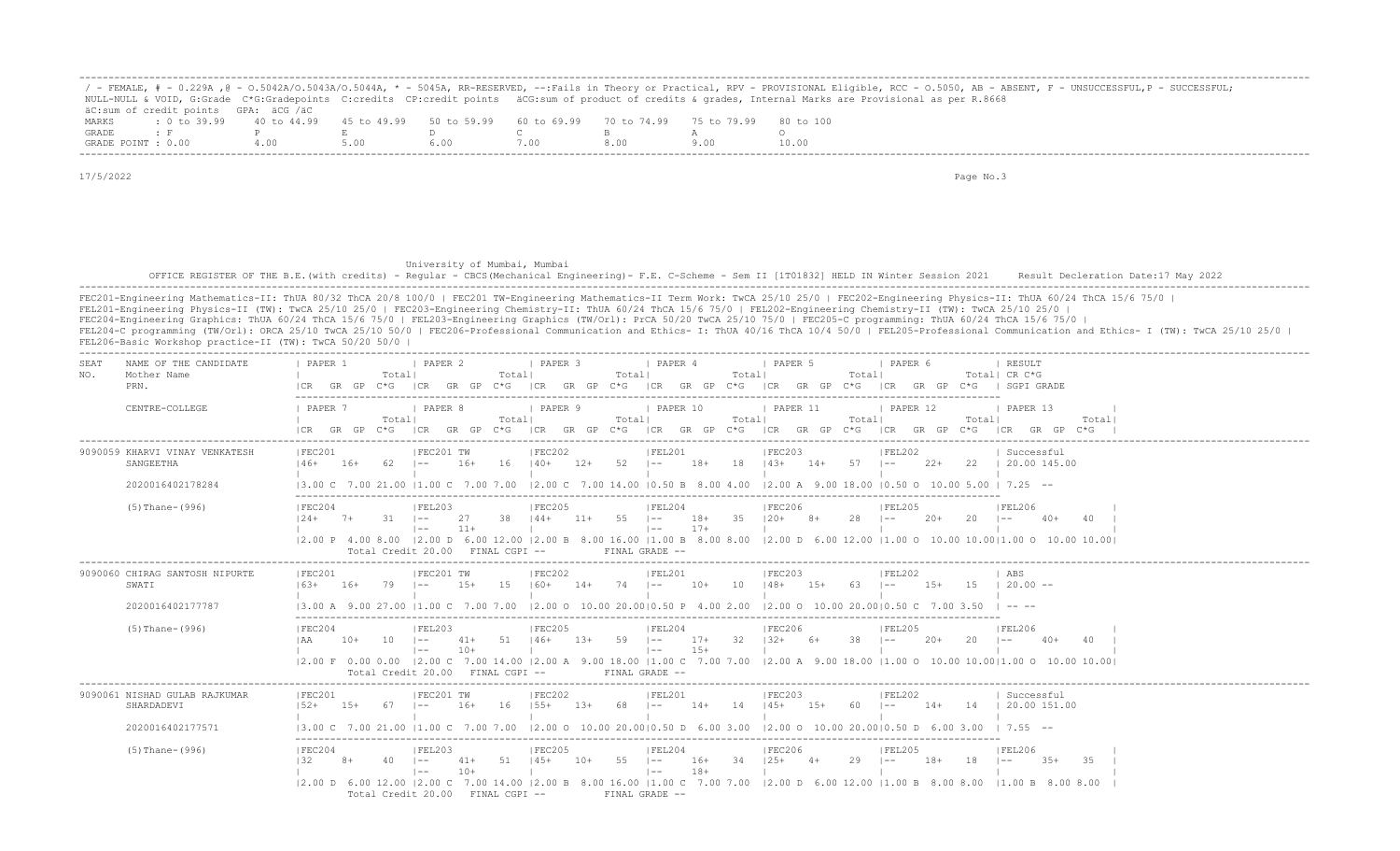|                    |                                                                                                |     |  |      |  | ' - FEMALE, # - 0.229A ,@ - 0.5042A/0.5043A/0.5044A, * - 5045A, RR-RESERVED, --:Fails in Theory or Practical, RPV - PROVISIONAL Eligible, RCC - 0.5050, AB - ABSENT, F - UNSUCCESSFUL,P - SUCCESSFUL; |
|--------------------|------------------------------------------------------------------------------------------------|-----|--|------|--|-------------------------------------------------------------------------------------------------------------------------------------------------------------------------------------------------------|
|                    |                                                                                                |     |  |      |  | NULL-NULL & VOID, G:Grade C*G:Gradepoints C:credits CP:credit points äCG:sum of product of credits & grades, Internal Marks are Provisional as per R.8668                                             |
|                    | äC:sum of credit points GPA: äCG /äC                                                           |     |  |      |  |                                                                                                                                                                                                       |
| MARKS              | t 0 to 39,99 40 to 44,99 45 to 49,99 50 to 59,99 60 to 69,99 70 to 74,99 75 to 79,99 80 to 100 |     |  |      |  |                                                                                                                                                                                                       |
| GRADE              |                                                                                                |     |  |      |  |                                                                                                                                                                                                       |
| GRADE POINT : 0.00 |                                                                                                | 400 |  | '.00 |  | 10.00                                                                                                                                                                                                 |

 University of Mumbai, Mumbai OFFICE REGISTER OF THE B.E.(with credits) - Regular - CBCS(Mechanical Engineering) - F.E. C-Scheme - Sem II [1T01832] HELD IN Winter Session 2021 Result Decleration Date:17 May 2022 -------------------------------------------------------------------------------------------------------------------------------------------------------------------------------------------------------------------

| NAME OF THE CANDIDATE<br>SEAT<br>Mother Name<br>NO.<br>PRN.     | <i>FAPER</i> 2<br>PAPER 1<br>I PAPER 3<br>1 PAPER 4<br>1 PAPER 5<br>I PAPER 6<br>RESULT<br>Totall<br>Totall<br>Totall<br>Totall<br>Totall<br>Total  CR C*G<br>$C*G$ $ CR$ $GR$ $GP$ $C*G$<br>ICR GR GP C*G<br>C*G   SGPI GRADE<br>ICR GR GP C*G<br>ICR GR GP<br>$C * G$<br> CR<br>GR GP<br>GR GP<br>ICR.                                                                                                                                                                                                                                                                                                                                                                                                                                                                                                                                                                                                                                      |
|-----------------------------------------------------------------|-----------------------------------------------------------------------------------------------------------------------------------------------------------------------------------------------------------------------------------------------------------------------------------------------------------------------------------------------------------------------------------------------------------------------------------------------------------------------------------------------------------------------------------------------------------------------------------------------------------------------------------------------------------------------------------------------------------------------------------------------------------------------------------------------------------------------------------------------------------------------------------------------------------------------------------------------|
| CENTRE-COLLEGE                                                  | <b>I PAPER 7</b><br>  PAPER 8<br>  PAPER 10<br>  PAPER 11<br>  PAPER 9<br>  PAPER 12<br>  PAPER 13<br>Totall<br>Totall<br>Totall<br>Totall<br>Totall<br>Totall<br>Total<br>GR GP<br>C*G ICR<br>GR GP C*G ICR GR GP C*G<br>ICR GR GP C*G ICR GR GP C*G ICR GR GP C*G ICR GR GP C*G                                                                                                                                                                                                                                                                                                                                                                                                                                                                                                                                                                                                                                                             |
| 9090059 KHARVI VINAY VENKATESH<br>SANGEETHA<br>2020016402178284 | IFEC201<br>IFEC201 TW<br>IFEC202<br>IFEL201<br>IFEC203<br>IFEL202<br>  Successful<br>- 62<br>16+<br>16<br>$140+$<br>$12+$<br>- 52<br>18+<br>18<br>$14.3+$<br>$14+$<br>$57 - 1 -$<br>$22+$<br>22 1 20.00 145.00<br>$146+$<br>$16+$<br>$1 - -$<br>$\sim$<br>$\vert 3.00 \vert C$ 7.00 21.00 $\vert 1.00 \vert C$ 7.00 7.00 $\vert 2.00 \vert C$ 7.00 14.00 $\vert 0.50 \vert B$ 8.00 4.00<br>$\vert 2.00 \text{ A} \vert 9.00 \text{ 18.00 } \vert 0.50 \text{ O} 10.00 \text{ 5.00 } \vert 7.25 \text{ --}$                                                                                                                                                                                                                                                                                                                                                                                                                                    |
| $(5)$ Thane- $(996)$                                            | IFEC204<br> FEL203<br> FEC205<br>IFEL204<br>IFEC206<br>IFEL205<br>  FEL206<br>38<br>55<br>35<br>28<br>31<br>-27<br>$144+$<br>$11+$<br>$1 - -$<br>18+<br>$120+$<br>$8+$<br>$20+$<br>20<br>$124+$<br>$7+$<br>$1 - -$<br>$\sim$<br>$40+$<br>40<br>$\sim$<br>$11+$<br>$17+$<br>$\vert$ $-$<br>$  --$<br> 2.00 P 4.00 8.00  2.00 D 6.00 12.00  2.00 B 8.00 16.00  1.00 B 8.00 8.00  2.00 D 6.00 12.00  1.00 O 10.00 10.00  1.00 O 10.00 10.00 10.00  <br>Total Credit 20.00 FINAL CGPI --<br>FINAL GRADE --                                                                                                                                                                                                                                                                                                                                                                                                                                        |
| 9090060 CHIRAG SANTOSH NIPURTE<br>SWATI<br>2020016402177787     | IFEC202<br>IFEC201 TW<br>IFEL201<br>IFEC203<br>IFEC201<br>IFEL202<br>ABS<br>15<br>$120.00 -$<br>$16.3+$<br>79<br>$15+$<br>160+<br>$14+$<br>74<br>10+<br>10<br>$148+$<br>15+<br>63<br>$15+$<br>$16+$<br>$1 - -$<br>$\vert - -$<br>$1 - -$<br>13.00 A 9.00 27.00 11.00 C 7.00 7.00 12.00 O 10.00 20.0010.50 P 4.00 2.00 12.00 O 10.00 20.0010.50 C                                                                                                                                                                                                                                                                                                                                                                                                                                                                                                                                                                                              |
| $(5)$ Thane- $(996)$                                            | FEC204<br> FEL203<br> FEC205<br> FEL204<br>IFEC206<br>IFEL205<br>IFEL206<br>59<br>-32<br>38<br>51<br>$146+$<br>$1.3+$<br>$17+$<br>$132+$<br>10<br>$\vert - - \vert$<br>-6+<br>$1 - -$<br>$20+$<br>20<br>$10+$<br>$\vert - -$<br>41+<br>$15+$<br>$10+$<br>$\vert - - \vert$<br>$\vert$ $-$<br>12.00 F 0.00 0.00 12.00 C 7.00 14.00 12.00 A 9.00 18.00 11.00 C 7.00 7.00 12.00 A 9.00 18.00 11.00 O 10.00 10.0011.00 O 10.00 10.00 10.00<br>Total Credit 20.00 FINAL CGPI --<br>FINAL GRADE --                                                                                                                                                                                                                                                                                                                                                                                                                                                  |
| 9090061 NISHAD GULAB RAJKUMAR<br>SHARDADEVI                     | IFEC201 TW<br>IFEC202<br>IFEL201<br>IFEC203<br>IFEC201<br>IFEL202<br>Successful<br>$155+$<br>$152+$<br>$16+$<br>16<br>$1.3+$<br>14<br>$145+$<br>$15+$<br>  20.00 151.00<br>$1.5+$<br>-67<br>$1 - -$<br>$1 - -$<br>$14+$<br>-60<br>$1 - -$<br>$14+$<br>14                                                                                                                                                                                                                                                                                                                                                                                                                                                                                                                                                                                                                                                                                      |
| 2020016402177571<br>$(5)$ Thane- $(996)$                        | $13.00 \text{ C}$ $7.00 \text{ } 21.00$ $11.00 \text{ C}$ $7.00 \text{ } 7.00$ $12.00 \text{ O}$ $10.00 \text{ } 20.0010.50 \text{ D}$ $6.00 \text{ } 3.00$ $12.00 \text{ O}$ $10.00 \text{ } 20.0010.50 \text{ D}$ $6.00 \text{ } 3.00$<br>$1, 7.55$ $-$<br> FEC205<br>IFEC204<br> FEL203<br> FEL204<br>IFEC206<br><b>FEL205</b><br>IFEL206<br>55<br>$145+$<br>34<br>29<br>51<br>$10+$<br>$1 - -$<br>16+<br>$125+$<br>18+<br>18<br>$3.5+$<br>-35<br>$1 - -$<br>41+<br>$1 - -$<br>$1 - -$<br>$10+$<br>$18+$<br>$1 - -$<br>$\vert - - \vert$<br>$(2.00 \text{ D } 6.00 \text{ 12.00 }   2.00 \text{ C } 7.00 \text{ 14.00 }   2.00 \text{ B } 8.00 \text{ 16.00 }   1.00 \text{ C } 7.00 \text{ 7.00 } 1.00 \text{ D } 6.00 \text{ 12.00 }   1.00 \text{ B } 8.00 \text{ 8.00 }   1.00 \text{ B } 8.00 \text{ 8.00 } 8.00 \text{ C } 1.00 \text{ D } 1.00 \text{ D } 1.00 \text{ D } 1.$<br>Total Credit 20.00 FINAL CGPI --<br>FINAL GRADE -- |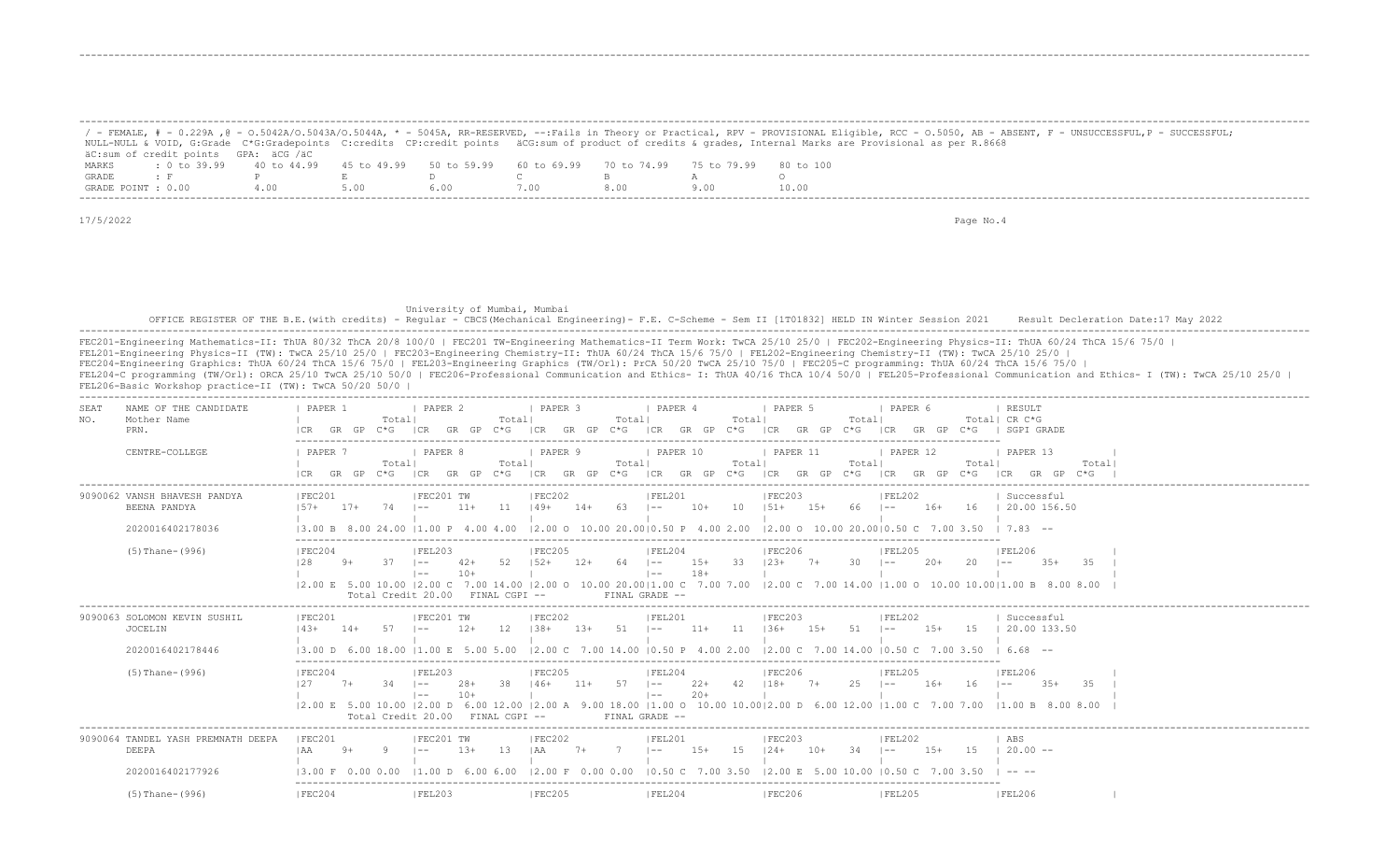|                    |                                                                                                              |       |      |       |      |  | ' - FEMALE, # - 0.229A ,@ - 0.5042A/0.5043A/0.5044A, * - 5045A, RR-RESERVED, --:Fails in Theory or Practical, RPV - PROVISIONAL Eligible, RCC - 0.5050, AB - ABSENT, F - UNSUCCESSFUL,P - SUCCESSFUL; |
|--------------------|--------------------------------------------------------------------------------------------------------------|-------|------|-------|------|--|-------------------------------------------------------------------------------------------------------------------------------------------------------------------------------------------------------|
|                    |                                                                                                              |       |      |       |      |  | NULL-NULL & VOID, G:Grade C*G:Gradepoints C:credits CP:credit points äCG:sum of product of credits & qrades, Internal Marks are Provisional as per R.8668                                             |
|                    | äC:sum of credit points GPA: äCG /äC                                                                         |       |      |       |      |  |                                                                                                                                                                                                       |
| MARKS              | t 0 to 39.99   40 to 44.99   45 to 49.99   50 to 59.99   60 to 69.99   70 to 74.99   75 to 79.99   80 to 100 |       |      |       |      |  |                                                                                                                                                                                                       |
| GRADE              |                                                                                                              |       |      |       |      |  |                                                                                                                                                                                                       |
| GRADE POINT : 0.00 |                                                                                                              | 4 N.N | 5.00 | 6 N N | . 00 |  | 10.00                                                                                                                                                                                                 |

-------------------------------------------------------------------------------------------------------------------------------------------------------------------------------------------------------------------

-------------------------------------------------------------------------------------------------------------------------------------------------------------------------------------------------------------------

17/5/2022 Page No.4

 University of Mumbai, Mumbai OFFICE REGISTER OF THE B.E.(with credits) - Regular - CBCS (Mechanical Engineering) - F.E. C-Scheme - Sem II [1T01832] HELD IN Winter Session 2021 Result Decleration Date:17 May 2022 -------------------------------------------------------------------------------------------------------------------------------------------------------------------------------------------------------------------

| SEAT<br>NO. | NAME OF THE CANDIDATE<br>Mother Name<br>PRN.<br>CENTRE-COLLEGE   | PAPER 1<br><i>FAPER</i> 7      |      | Totall     | 1 PAPER 2<br><b>Example 1</b> PAPER 8                  |        | Totall | I PAPER 3<br>1 PAPER 9 |       | Total | I PAPER 4<br>PAPER 10                          |       | Total | <b>Example 1 PAPER 5</b><br> CR GR GP C*G  CR GR GP C*G  CR GR GP C*G  CR GR GP C*G  CR GR GP C*G  CR GR GP C*G   SGPI GRADE<br>$PAPER$ 11                                                                         |       | Total | I PAPER 6<br>$\vert$ PAPER 12 |         | Total  CR C*G<br>1 PAPER 13 | RESULT            |           |       |  |
|-------------|------------------------------------------------------------------|--------------------------------|------|------------|--------------------------------------------------------|--------|--------|------------------------|-------|-------|------------------------------------------------|-------|-------|--------------------------------------------------------------------------------------------------------------------------------------------------------------------------------------------------------------------|-------|-------|-------------------------------|---------|-----------------------------|-------------------|-----------|-------|--|
|             |                                                                  |                                |      | Totall     |                                                        |        | Totall |                        | Total |       |                                                |       | Total | ICR GR GP C*G ICR GR GP C*G ICR GR GP C*G ICR GR GP C*G ICR GR GP C*G ICR GR GP C*G ICR GR GP C*G I                                                                                                                | Total |       |                               |         | Total                       |                   |           | Total |  |
|             | 9090062 VANSH BHAVESH PANDYA<br>BEENA PANDYA<br>2020016402178036 | IFEC201<br>$157+$ 17+ 74 1--   |      |            | IFEC201 TW                                             |        |        | IFEC202                |       |       | IFEL201                                        |       |       | IFEC203<br>$11+$ 11 $149+$ 14+ 63 I-- 10+ 10 I51+ 15+ 66 I--<br>$(3.00 B 8.00 24.00 11.00 P 4.00 4.00 12.00 O 10.00 20.00   0.50 P 4.00 2.00 12.00 O 10.00 20.00   0.50 C 7.00 3.50 1.7.83 --$                     |       |       | IFEL202                       |         | 16+ 16 1 20.00 156.50       | Successful        |           |       |  |
|             | $(5)$ Thane- $(996)$                                             | IFEC204<br>128                 | $9+$ | $37 - 1 =$ | FEL203 <br>$1 - -$<br>Total Credit 20.00 FINAL CGPI -- | $10+$  |        | IFEC205                |       |       | IFEL204<br>$\vert - - \vert$<br>FINAL GRADE -- | $18+$ |       | IFEC206<br>42+ 52 152+ 12+ 64 1-- 15+ 33 123+ 7+ 30 1--<br> 2.00 E 5.00 10.00  2.00 C 7.00 14.00  2.00 O 10.00 20.00 1.00 C 7.00 7.00  2.00 C 7.00 14.00  1.00 O 10.00 10.00 1.00 B 8.00 8.00                      |       |       | <b>IFEL205</b>                | $2.0+$  | $20 = -$                    | IFEL206           | $35 + 35$ |       |  |
|             | 9090063 SOLOMON KEVIN SUSHIL<br><b>JOCELIN</b>                   | IFEC201<br>$143+ 14+ 57$ $1--$ |      |            | IFEC201 TW                                             | $12+$  |        | IFEC202                |       |       | IFEL201                                        |       |       | IFEC203<br>12 $138+$ 13+ 51 $1--$ 11+ 11 $136+$ 15+ 51 $1--$                                                                                                                                                       |       |       | FEL202                        | $1.5 +$ | 15   20.00 133.50           | Successful        |           |       |  |
|             | 2020016402178446                                                 |                                |      |            |                                                        |        |        |                        |       |       |                                                |       |       | $13.00$ D 6.00 18.00 11.00 E 5.00 5.00 12.00 C 7.00 14.00 10.50 P 4.00 2.00 12.00 C 7.00 14.00 10.50 C 7.00 3.50 1 6.68 --                                                                                         |       |       |                               |         |                             |                   |           |       |  |
|             | $(5)$ Thane- $(996)$                                             | FEC204<br>127                  |      |            | IFEL203<br>$1 - -$<br>Total Credit 20.00 FINAL CGPI -- | $10+$  |        | <b>IFEC205</b>         |       |       | FEL204<br>$\vert - - \vert$<br>FINAL GRADE --  | $20+$ |       | FEC206<br>7+ 34 I-- 28+ 38 I46+ 11+ 57 I-- 22+ 42 I18+ 7+ 25 I-- 16+ 16 I--<br> 2.00 E 5.00 10.00  2.00 D 6.00 12.00  2.00 A 9.00 18.00  1.00 O 10.00 10.00  2.00 D 6.00 12.00  1.00 C 7.00 7.00  1.00 B 8.00 8.00 |       |       | IFEL205                       |         |                             | FEL206            | $35 + 35$ |       |  |
|             | 9090064 TANDEL YASH PREMNATH DEEPA<br>DEEPA                      | IFEC201<br>$IAA$ 9+ 9 $I =$    |      |            | IFEC201 TW                                             | $1.3+$ |        | FEC202                 |       |       | IFEL201                                        |       |       | IFEC203<br>13   AA 7+ 7   -- 15+ 15   24+ 10+ 34   --                                                                                                                                                              |       |       | IFEL202                       | $1.5+$  | 15                          | ABS<br>$120.00 -$ |           |       |  |
|             | 2020016402177926                                                 |                                |      |            |                                                        |        |        |                        |       |       |                                                |       |       | 3.00 F 0.00 0.00  1.00 D 6.00 6.00  2.00 F 0.00 0.00  0.50 C 7.00 3.50  2.00 E 5.00 10.00  0.50 C 7.00 3.50                                                                                                        |       |       |                               |         |                             |                   |           |       |  |
|             | $(5)$ Thane- $(996)$                                             | IFEC204                        |      |            | FEL203                                                 |        |        | IFEC205                |       |       | FEL204                                         |       |       | IFEC206                                                                                                                                                                                                            |       |       | IFEL205                       |         |                             | <b>IFEL206</b>    |           |       |  |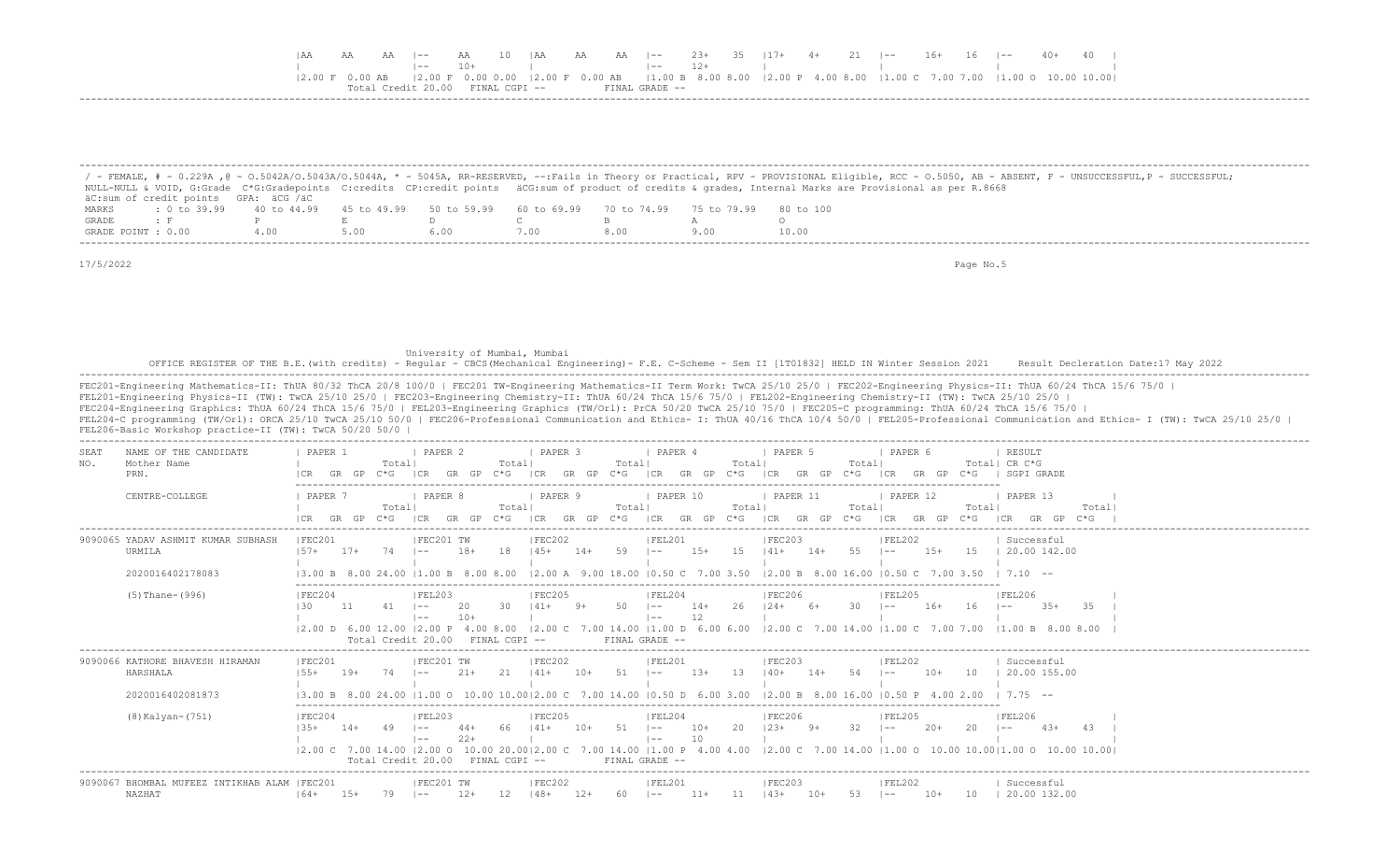|  |  | $AA$ $I=-$ | AA            | $10$ $ AA$ | AA |                  |       |  |  | A AA  -- 23+ 35  17+ 4+ 21  -- 16+ 16  -- 40+ 40                                                                                                                                               |  |  |  |
|--|--|------------|---------------|------------|----|------------------|-------|--|--|------------------------------------------------------------------------------------------------------------------------------------------------------------------------------------------------|--|--|--|
|  |  |            |               |            |    |                  | $12+$ |  |  |                                                                                                                                                                                                |  |  |  |
|  |  |            |               |            |    |                  |       |  |  | $\vert 2.00 \vert F$ 0.00 0.00 $\vert 2.00 \vert F$ 0.00 AB $\vert 1.00 \vert B$ 8.00 8.00 $\vert 2.00 \vert P$ 4.00 8.00 $\vert 1.00 \vert C$ 7.00 7.00 7.00 $\vert 1.00 \vert O$ 10.00 10.00 |  |  |  |
|  |  |            | FINAL CGPI -- |            |    | FINAL CRADE $--$ |       |  |  |                                                                                                                                                                                                |  |  |  |
|  |  |            |               |            |    |                  |       |  |  |                                                                                                                                                                                                |  |  |  |

|                    |                                      |     |      |                                                                       |      |      | / - FEMALE, # - 0.229A ,@ - 0.5042A/0.5043A/0.5044A, * - 5045A, RR-RESERVED, --:Fails in Theory or Practical, RPV - PROVISIONAL Eligible, RCC - 0.5050, AB - ABSENT, F - UNSUCCESSFUL,P - SUCCESSFUL; |
|--------------------|--------------------------------------|-----|------|-----------------------------------------------------------------------|------|------|-------------------------------------------------------------------------------------------------------------------------------------------------------------------------------------------------------|
|                    |                                      |     |      |                                                                       |      |      | NULL-NULL & VOID, G:Grade C*G:Gradepoints C:credits CP:credit points äCG:sum of product of credits & grades, Internal Marks are Provisional as per R.8668                                             |
|                    | äC:sum of credit points GPA: äCG /äC |     |      |                                                                       |      |      |                                                                                                                                                                                                       |
| MARKS              | $: 0 \text{ to } 39.99$ 40 to 44.99  |     |      | 45 to 49.99 50 to 59.99 60 to 69.99 70 to 74.99 75 to 79.99 80 to 100 |      |      |                                                                                                                                                                                                       |
| GRADE              |                                      |     |      |                                                                       |      |      |                                                                                                                                                                                                       |
| GRADE POINT : 0.00 |                                      | 400 | 5.00 |                                                                       | .00. | 8.00 | 10.00                                                                                                                                                                                                 |

University of Mumbai, Mumbai<br>OFFICE REGISTER OF THE B.E.(with credits) - Regular - CBCS(Mechanical Engineering)- F.E. C-Scheme - Sem II [1T01832] HELD IN Winter Session 2021 Result Decleration Date:17 May 2022<br>------------

| NAME OF THE CANDIDATE<br>SEAT                           | PAPER 1            |           |                | PAPER 2                                                      |              |               | PAPER 3                 |       |                   | <b>PAPER 4</b>               |             |               | PAPER 5                                                                                                         |       |                | PAPER 6            |        |                | RESULT<br>Total  CR C*G                                                                                   |       |
|---------------------------------------------------------|--------------------|-----------|----------------|--------------------------------------------------------------|--------------|---------------|-------------------------|-------|-------------------|------------------------------|-------------|---------------|-----------------------------------------------------------------------------------------------------------------|-------|----------------|--------------------|--------|----------------|-----------------------------------------------------------------------------------------------------------|-------|
| Mother Name<br>NO.<br>PRN.                              |                    | GR.<br>GP | Total <br>C*G. |                                                              |              | Totall        |                         | GP    | Total             |                              |             | Total<br>C*G- |                                                                                                                 |       | Total          |                    |        |                | SGPT GRADE                                                                                                |       |
| CENTRE-COLLEGE                                          | PAPER '            |           | Totall<br>C*G. | PAPER 8                                                      |              | Totall        | PAPER 9                 | GP    | Totall<br>$C * G$ | PAPER 10<br>ICR              | GR.<br>GP   | Total<br>C*G- | PAPER 11<br>GR<br>LCR.                                                                                          | GP.   | Total<br>$C*G$ | PAPER 12           | GR.    | Total <br>C*G. | PAPER 13                                                                                                  | Total |
| 9090065 YADAV ASHMIT KUMAR SUBHASH<br>URMILA            | IFEC201<br>$157+$  | $17+$     | 74             | IFEC201 TW<br>$\sim$ $-$                                     | $18+$        | 18            | IFEC202<br>$145+$       | $14+$ | 59                | IFEL201<br>$1 - -$           | $1.5+$      | 1.5           | FEC203<br>$141+$                                                                                                | $14+$ | 55             | FEL202<br>$- -$    | $1.5+$ | 15             | Successful<br>20.00 142.00                                                                                |       |
| 2020016402178083                                        | 13.00 B 8.00 24.00 |           |                | 11.00 B 8.00 8.00                                            |              |               |                         |       |                   |                              |             |               | $12.00$ A 9.00 18.00 10.50 C 7.00 3.50 12.00 B 8.00 16.00 10.50 C 7.00 3.50                                     |       |                |                    |        |                | $1, 7, 10$ --                                                                                             |       |
| $(5)$ Thane- $(996)$                                    | IFEC204<br>L30.    |           |                | IFEL203<br>l ——                                              | $10+$        |               | IFEC205                 |       |                   | IFEL204<br>$1 - -$<br>$- -$  | $14+$<br>12 |               | IFEC206                                                                                                         |       |                | IFEL205            | $16+$  | 16             | <b>IFEL206</b><br>$35+$<br>35<br>l ——                                                                     |       |
|                                                         |                    |           |                | $12.00$ D 6.00 12.00 12.00 P 4.00 8.00<br>Total Credit 20.00 |              | FINAL CGPI -- |                         |       |                   | FINAL GRADE --               |             |               |                                                                                                                 |       |                |                    |        |                | $ 2.00 \text{ C}$ 7.00 14.00   1.00 D 6.00 6.00   2.00 C 7.00 14.00   1.00 C 7.00 7.00   1.00 B 8.00 8.00 |       |
| 9090066 KATHORE BHAVESH HIRAMAN<br>HARSHALA             | FEC201<br>$155+$   | $19+$     | 74             | IFEC201 TW<br>$- -$                                          | $21+$        | 2.1           | IFEC202                 | $10+$ | 51                | FEL201<br>$1 - -$            | $1.3+$      | -13           | IFEC203<br>$140+$                                                                                               | $14+$ | .54            | FEL202<br>$- -$    | $10+$  | 10             | Successful<br>20.00 155.00                                                                                |       |
| 2020016402081873                                        |                    |           |                |                                                              |              |               |                         |       |                   |                              |             |               | 13.00 B 8.00 24.00 11.00 O 10.00 10.0012.00 C 7.00 14.00 10.50 D 6.00 3.00 12.00 B 8.00 16.00 10.50 P 4.00 2.00 |       |                |                    |        |                | $1, 7, 75$ --                                                                                             |       |
| $(8)$ Kalyan- $(751)$                                   | FEC204             | $14+$     |                | FEL203<br>$- -$<br>$- -$                                     | 44+<br>$22+$ |               | <b>FEC205</b><br>$141+$ | $10+$ | 51                | FEL204<br>$1 - -$<br>$1 - -$ | $10+$<br>10 | 20            | FEC206<br>$123+$                                                                                                | 9+    | 32             | IFEL205<br>$1 - -$ | $20+$  | 20             | FEL206<br>-43<br>$1 - -$                                                                                  |       |
|                                                         |                    |           |                | Total Credit 20.00                                           |              | FINAL CGPI -- |                         |       |                   | FINAL GRADE --               |             |               |                                                                                                                 |       |                |                    |        |                |                                                                                                           |       |
| 9090067 BHOMBAL MUFEEZ INTIKHAB ALAM   FEC201<br>NAZHAT | $164+$             | $15+$     | 79             | IFEC201 TW<br>$1 - -$                                        | $12+$        | 12            | FEC202<br>$148+$        | $12+$ | 60                | FEL201<br>$\sim$             | $11+$       |               | FEC203<br>$143+$                                                                                                | $10+$ | - 53           | FEL202<br>$1 - -$  | $10+$  | 10             | Successful<br>20.00 132.00                                                                                |       |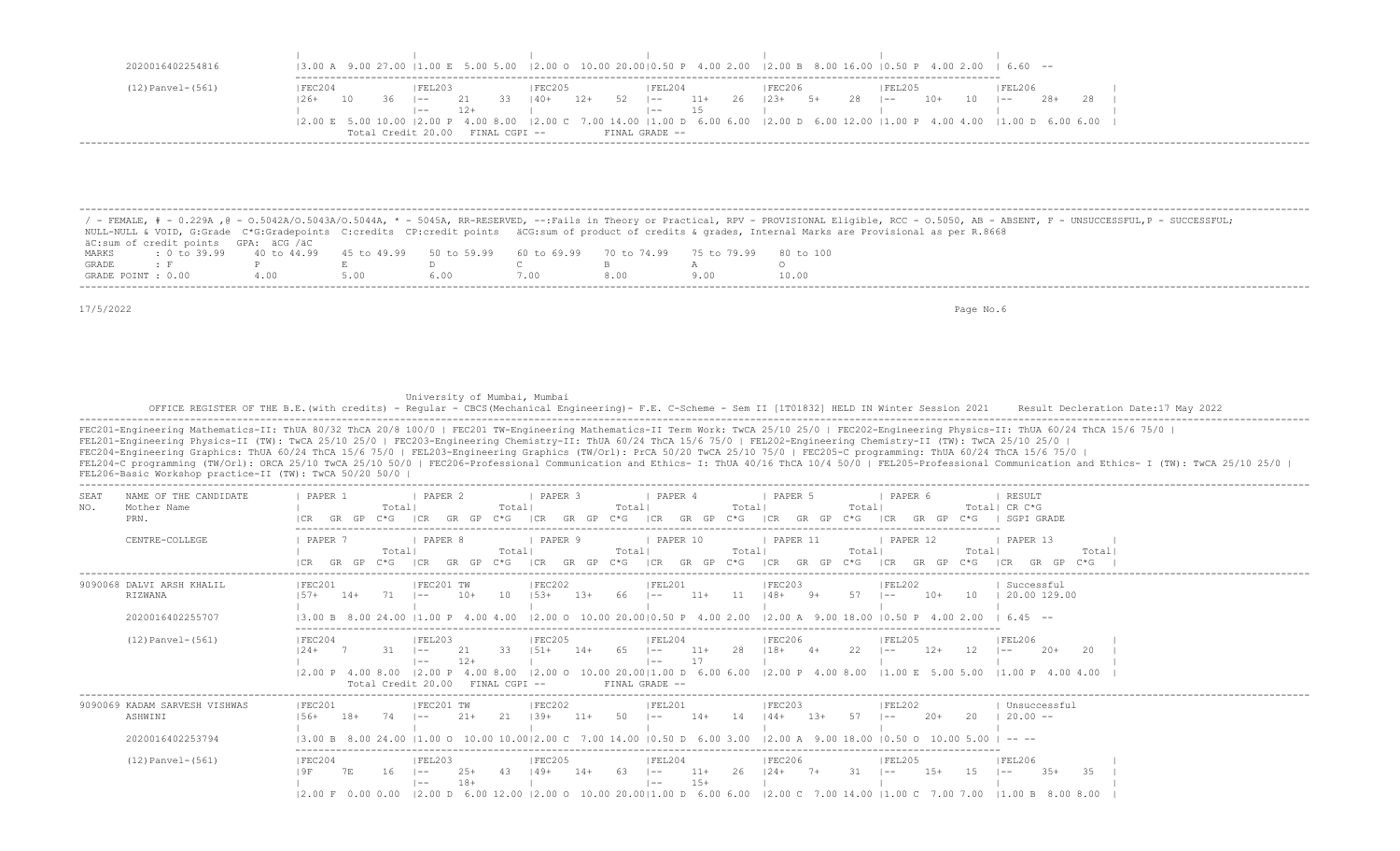| 2020016402254816       |             |     |                    |       |               |         |       |          |                |        | $(3.00 \text{ A } 9.00 \text{ 27.00 } 11.00 \text{ E } 5.00 \text{ 5.00 } 2.00 \text{ O } 12.00 \text{ O } 10.00 \text{ 20.00 } 10.50 \text{ P } 4.00 \text{ 2.00 } 12.00 \text{ B } 8.00 \text{ 16.00 } 10.50 \text{ P } 4.00 \text{ 2.00 } 16.60 \text{ --}$ |    |    |        |     |    |         |       |  |
|------------------------|-------------|-----|--------------------|-------|---------------|---------|-------|----------|----------------|--------|----------------------------------------------------------------------------------------------------------------------------------------------------------------------------------------------------------------------------------------------------------------|----|----|--------|-----|----|---------|-------|--|
|                        |             |     |                    |       |               |         |       |          |                |        |                                                                                                                                                                                                                                                                |    |    |        |     |    |         |       |  |
| $(12)$ Panvel- $(561)$ | FEC204      |     | FEL203             |       |               | IFEC205 |       |          | FEL204         |        | FEC206                                                                                                                                                                                                                                                         |    |    | FEL205 |     |    | FEL206  |       |  |
|                        | 26+<br>- 10 | -36 | $ -$               |       | 33            | $140+$  | $12+$ | $52 - 1$ | $-$            | $11 +$ | 26   23+                                                                                                                                                                                                                                                       | 5+ | 28 | $- -$  | 10+ | 10 | $1 - -$ | $28+$ |  |
|                        |             |     | $- -$              | $12+$ |               |         |       |          | $--$           |        |                                                                                                                                                                                                                                                                |    |    |        |     |    |         |       |  |
|                        |             |     |                    |       |               |         |       |          |                |        | $(2.00 \t{E} \t{5.00} \t{10.00} \t{2.00} \t{P} \t{4.00} \t{8.00} \t{2.00} \t{C} \t{7.00} \t{14.00} \t{1.00} \t{D} \t{6.00} \t{6.00} \t{2.00} \t{D} \t{6.00} \t{12.00} \t{1.00} \t{P} \t{4.00} \t{4.00} \t{1.00} \t{D} \t{6.00} \t{6.00}$                       |    |    |        |     |    |         |       |  |
|                        |             |     | Total Credit 20.00 |       | FINAL CGPI -- |         |       |          | FINAL GRADE -- |        |                                                                                                                                                                                                                                                                |    |    |        |     |    |         |       |  |

/ - FEMALE, # - 0.229A , @ - 0.5042A/O.5043A/O.5044A, \* - 5045A, RR-RESERVED, --:Fails in Theory or Practical, RPV - PROVISIONAL Eligible, RCC - 0.5050, AB - ABSENT, F - UNSUCCESSFUL,P - SUCCESSFUL; NULL-NULL & VOID, G:Grade C\*G:Gradepoints C:credits CP:credit points äCG:sum of product of credits & grades, Internal Marks are Provisional as per R.8668 äC:sum of credit points GPA: äCG /äC MARKS : 0 to 39.99 40 to 44.99 45 to 49.99 50 to 59.99 60 to 69.99 70 to 74.99 75 to 79.99 80 to 100 GRADE : F P E D C B A O GRADE POINT : 0.00 4.00 5.00 6.00 7.00 8.00 9.00 10.00 -------------------------------------------------------------------------------------------------------------------------------------------------------------------------------------------------------------------

-------------------------------------------------------------------------------------------------------------------------------------------------------------------------------------------------------------------

17/5/2022 Page No.6

University of Mumbai, Mumbai

 OFFICE REGISTER OF THE B.E.(with credits) - Regular - CBCS(Mechanical Engineering)- F.E. C-Scheme - Sem II [1T01832] HELD IN Winter Session 2021 Result Decleration Date:17 May 2022 -------------------------------------------------------------------------------------------------------------------------------------------------------------------------------------------------------------------

FEC201-Engineering Mathematics-II: ThUA 80/32 ThCA 20/8 100/0 | FEC201 TW-Engineering Mathematics-II Term Work: TwCA 25/10 25/0 | FEC202-Engineering Physics-II: ThUA 60/24 ThCA 15/6 75/0 | FEL201-Engineering Physics-II (TW): TwCA 25/10 25/0 | FEC203-Engineering Chemistry-II: ThUA 60/24 ThCA 15/6 75/0 | FEL202-Engineering Chemistry-II (TW): TwCA 25/10 25/0 | FEC204-Engineering Graphics: ThUA 60/24 ThCA 15/6 75/0 | FEL203-Engineering Graphics (TW/Orl): PrCA 50/20 TwCA 25/10 75/0 | FEC205-C programming: ThUA 60/24 ThCA 15/6 75/0 | FEL204-C programming (TW/Orl): ORCA 25/10 TwCA 25/10 50/0 | FEC206-Professional Communication and Ethics- I: ThUA 40/16 ThCA 10/4 50/0 | FEL205-Professional Communication and Ethics- I (TW): TwCA 25/10 25/0 | FEL206-Basic Workshop practice-II (TW): TwCA 50/20 50/0 | ------------------------------------------------------------------------------------------------------------------------------------------------------------------------------------------------------------------- | PAPER 2 | PAPER 3 | PAPER 4 | PAPER 5 | PAPER 6 NO. Mother Name | Total| Total| Total| Total| Total| Total| CR C\*G PRN. |CR GR GP C\*G |CR GR GP C\*G |CR GR GP C\*G |CR GR GP C\*G |CR GR GP C\*G |CR GR GP C\*G | SGPI GRADE ------------------------------------------------------------------------------------------------------------------------- CENTRE-COLLEGE | PAPER 7 | PAPER 8 | PAPER 9 | PAPER 10 | PAPER 11 | PAPER 12 | PAPER 13 | | Total| Total| Total| Total| Total| Total| Total|  $|{\rm CR}$  Gr GP C\*G  $|{\rm CR}$  GR GP C\*G  $|{\rm CR}$  GR GP C\*G  $|{\rm CR}$  GR GP C\*G  $|{\rm CR}$  GR GP C\*G  $|{\rm CR}$  GR GP C\*G  $|{\rm CR}$  GR GP C\*G  $|{\rm CR}$  ------------------------------------------------------------------------------------------------------------------------------------------------------------------------------------------------------------------- 9090068 DALVI ARSH KHALIL | FEC201 | |FEC201 TW | |FEC202 | |FEL201 | |FEC203 | |FEL202 | | Successful RIZWANA |57+ 14+ 71 |-- 10+ 10 |53+ 13+ 66 |-- 11+ 11 |48+ 9+ 57 |-- 10+ 10 | 20.00 129.00 | | | | | | | 2020016402255707 |3.00 B 8.00 24.00 |1.00 P 4.00 4.00 |2.00 O 10.00 20.00|0.50 P 4.00 2.00 |2.00 A 9.00 18.00 |0.50 P 4.00 2.00 | 6.45 -- ------------------------------------------------------------------------------------------------------------------------- (12) Panvel-(561) | FEC204 | FEL203 | FEC205 | FEL204 | FEC206 | FEL205 | FEL206 | FEL205 |24+ 7 31 |-- 21 33 |51+ 14+ 65 |-- 11+ 28 |18+ 4+ 22 |-- 12+ 12 |-- 20+ 20 | | |-- 12+ | |-- 17 | | | | |2.00 P 4.00 8.00 |2.00 P 4.00 8.00 |2.00 O 10.00 20.00|1.00 D 6.00 6.00 |2.00 P 4.00 8.00 |1.00 E 5.00 5.00 |1.00 P 4.00 4.00 | Total Credit 20.00 FINAL CGPI -- FINAL GRADE -- ------------------------------------------------------------------------------------------------------------------------------------------------------------------------------------------------------------------- 9090069 KADAM SARVESH VISHWAS | FEC201 | FEC201 TW | FEC202 | FEL201 | FEC203 | FEL202 | Unsuccessful ASHWINI |56+ 18+ 74 |-- 21+ 21 |39+ 11+ 50 |-- 14+ 14 |44+ 13+ 57 |-- 20+ 20 | 20.00 -- | | | | | | | 2020016402253794 |3.00 B 8.00 24.00 |1.00 O 10.00 10.00|2.00 C 7.00 14.00 |0.50 D 6.00 3.00 |2.00 A 9.00 18.00 |0.50 O 10.00 5.00 | -- -- ------------------------------------------------------------------------------------------------------------------------- (12)Panvel-(561) |FEC204 |FEL203 |FEC205 |FEL204 |FEC206 |FEL205 |FEL206 | |9F 7E 16 |-- 25+ 43 |49+ 14+ 63 |-- 11+ 26 |24+ 7+ 31 |-- 15+ 15 |-- 35+ 35 | | |-- 18+ | |-- 15+ | | | | |2.00 F 0.00 0.00 |2.00 D 6.00 12.00 |2.00 O 10.00 20.00|1.00 D 6.00 6.00 |2.00 C 7.00 14.00 |1.00 C 7.00 7.00 |1.00 B 8.00 8.00 |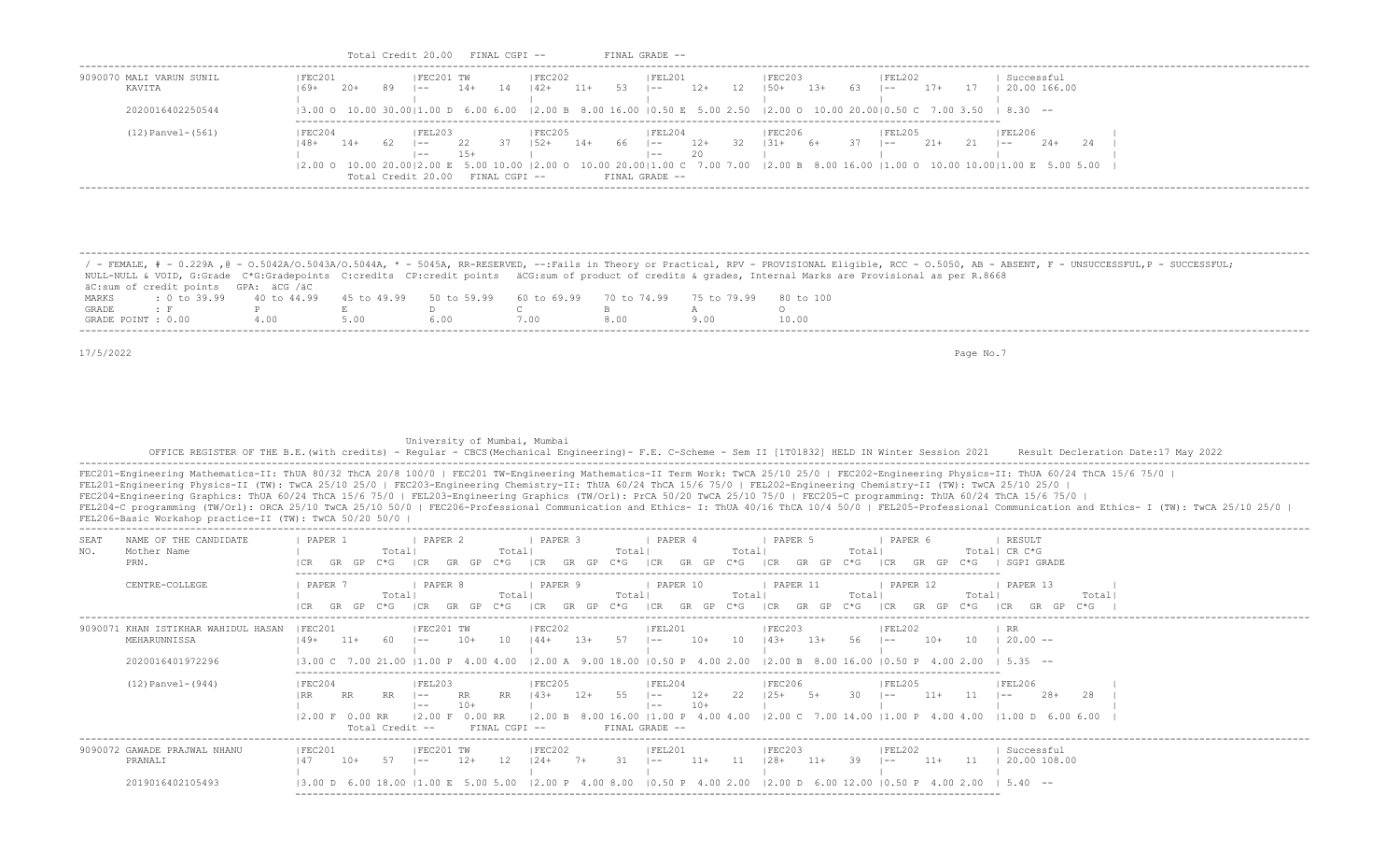| KAVITA                                                                                                                                             | FEC201<br>$169+ 20+$                                                                                                                                                                                                                                                                                                                                      | FEC201 TW<br> FEC202                                                                          | <b>FEL201</b>                                                                | FEC203<br>89 $ -$ 14 14 $ 42+11+53 $ $ -$ 12 $ 50+13+63 $ $ -$ 17 $ 20.00166.00 $                                                                                                                                                                                                                                                                                    | Successful                                                                                                                                                                                                                                                                                                                                                                            |
|----------------------------------------------------------------------------------------------------------------------------------------------------|-----------------------------------------------------------------------------------------------------------------------------------------------------------------------------------------------------------------------------------------------------------------------------------------------------------------------------------------------------------|-----------------------------------------------------------------------------------------------|------------------------------------------------------------------------------|----------------------------------------------------------------------------------------------------------------------------------------------------------------------------------------------------------------------------------------------------------------------------------------------------------------------------------------------------------------------|---------------------------------------------------------------------------------------------------------------------------------------------------------------------------------------------------------------------------------------------------------------------------------------------------------------------------------------------------------------------------------------|
| 2020016402250544                                                                                                                                   |                                                                                                                                                                                                                                                                                                                                                           |                                                                                               |                                                                              | $(3.00 \circ 10.00 \cdot 30.00)1.00 \circ 6.00 \cdot 6.00$ $(2.00 \circ B \cdot 8.00 \cdot 16.00 \cdot 10.50 \cdot E \cdot 5.00 \cdot 2.50 \cdot (2.00 \circ 10.00 \cdot 20.00)0.50 \cdot C \cdot 7.00 \cdot 3.50 \cdot (8.30 \cdot -10.00 \cdot 20.00)0.50 \cdot C \cdot 7.00 \cdot 3.50 \cdot C \cdot 7.00 \cdot 3.50 \cdot C \cdot 7.00 \cdot 3.50 \cdot C \cdot$ |                                                                                                                                                                                                                                                                                                                                                                                       |
| $(12)$ Panvel- $(561)$                                                                                                                             | FEL203 <br>IFEC204<br>$148+$<br>$14+$<br>$  - -  $                                                                                                                                                                                                                                                                                                        | FEC205<br>22<br>$15+$<br><b>The Common</b><br>Total Credit 20.00 FINAL CGPI -- FINAL GRADE -- | FEL204<br>20<br>$\vert - - \vert$                                            | FEC206<br>IFEL205<br>37   52+ 14+ 66   -- 12+ 32   31+ 6+ 37   -- 21+ 21   --<br>the control of the con-<br>$\mathbf{1}$                                                                                                                                                                                                                                             | FEL206<br>$2.4+$<br>$24$ $1$<br>$(2.00 \t{0} 10.00 \t{2} 0.00   2.00 \t{E} 5.00 \t{1} 0.00   2.00 \t{0} 10.00 \t{2} 0.00   1.00 \t{C} 7.00 \t{7} .00 \t{E} 8.00 \t{E} 8.00 \t{16} .00   1.00 \t{0} 10.00   1.00 \t{E} 5.00 \t{5} .00$                                                                                                                                                 |
| äC: sum of credit points GPA: äCG /äC<br>MARKS<br>GRADE<br>$\mathcal{F}$ $\mathbb{F}$                                                              | NULL-NULL & VOID, G:Grade C*G:Gradepoints C:credits CP:credit points äCG:sum of product of credits & grades, Internal Marks are Provisional as per R.8668<br>$: 0 \text{ to } 39.99$ 40 to 44.99 45 to 49.99 50 to 59.99 60 to 69.99 70 to 74.99<br>$P \qquad \qquad$<br>$E$ and $E$                                                                      | $D \sim 1$<br>$\mathbb{C}$ and $\mathbb{C}$                                                   | $\mathbb B$<br>$A \sim$                                                      | 75 to 79.99 80 to 100<br>$\circ$                                                                                                                                                                                                                                                                                                                                     | / - FEMALE, # - 0.229A , @ - 0.5042A/0.5043A/0.5044A, * - 5045A, RR-RESERVED, --:Fails in Theory or Practical, RPV - PROVISIONAL Eligible, RCC - 0.5050, AB - ABSENT, F - UNSUCCESSFUL, P - SUCCESSFUL;                                                                                                                                                                               |
| GRADE POINT : 0.00                                                                                                                                 | 4.00<br>5.00<br>6.00                                                                                                                                                                                                                                                                                                                                      | 7.00                                                                                          | 8.00<br>9.00                                                                 | 10.00                                                                                                                                                                                                                                                                                                                                                                |                                                                                                                                                                                                                                                                                                                                                                                       |
|                                                                                                                                                    |                                                                                                                                                                                                                                                                                                                                                           |                                                                                               |                                                                              |                                                                                                                                                                                                                                                                                                                                                                      |                                                                                                                                                                                                                                                                                                                                                                                       |
|                                                                                                                                                    | FEL201-Engineering Physics-II (TW): TwCA 25/10 25/0   FEC203-Engineering Chemistry-II: ThUA 60/24 ThCA 15/6 75/0   FEL202-Engineering Chemistry-II (TW): TwCA 25/10 25/0  <br>FEC204-Engineering Graphics: ThUA 60/24 ThCA 15/6 75/0   FEL203-Engineering Graphics (TW/Orl): PrCA 50/20 TwCA 25/10 75/0   FEC205-C programming: ThUA 60/24 ThCA 15/6 75/0 | University of Mumbai, Mumbai                                                                  |                                                                              |                                                                                                                                                                                                                                                                                                                                                                      | OFFICE REGISTER OF THE B.E. (with credits) - Reqular - CBCS (Mechanical Engineering) - F.E. C-Scheme - Sem II [1T01832] HELD IN Winter Session 2021 Result Decleration Date:17 May 2022<br>FEC201-Engineering Mathematics-II: ThUA 80/32 ThCA 20/8 100/0   FEC201 TW-Engineering Mathematics-II Term Work: TwCA 25/10 25/0   FEC202-Engineering Physics-II: ThUA 60/24 ThCA 15/6 75/0 |
| NAME OF THE CANDIDATE                                                                                                                              | PAPER 2<br>  PAPER 1                                                                                                                                                                                                                                                                                                                                      | $\vert$ PAPER 3                                                                               | PAPER 4                                                                      | PAPER <sub>5</sub><br>  PAPER 6                                                                                                                                                                                                                                                                                                                                      | FEL204-C programming (TW/Orl): ORCA 25/10 TwCA 25/10 50/0   FEC206-Professional Communication and Ethics- I: ThUA 40/16 ThCA 10/4 50/0   FEL205-Professional Communication and Ethics- I (TW): TwCA 25/10 25/0  <br>  RESULT                                                                                                                                                          |
| Mother Name<br>PRN.                                                                                                                                | The Common<br>Total                                                                                                                                                                                                                                                                                                                                       | Total                                                                                         | Total   Total   Total                                                        | CR GR GP C*G  CR GR GP C*G  CR GR GP C*G  CR GR GP C*G  CR GR GP C*G  CR GR GP C*G   SGPI GRADE                                                                                                                                                                                                                                                                      | Total  Total  CR C*G                                                                                                                                                                                                                                                                                                                                                                  |
| CENTRE-COLLEGE                                                                                                                                     | I PAPER 7<br>PAPER 8<br>Total                                                                                                                                                                                                                                                                                                                             | PAPER 9<br>Total   Total                                                                      | PAPER 10<br>Total   Total                                                    | PAPER 11<br>PAPER 12<br>Total   Total  <br>Total   Total                                                                                                                                                                                                                                                                                                             | PAPER 13<br>Totall<br>Total <br> CR GR GP C*G  CR GR GP C*G  CR GR GP C*G  CR GR GP C*G  CR GR GP C*G  CR GP C*G  CR GP C*G  CR GR GP C*G                                                                                                                                                                                                                                             |
| MEHARUNNISSA                                                                                                                                       |                                                                                                                                                                                                                                                                                                                                                           | IFEC201 TW<br> FEC202                                                                         | FEL201                                                                       | FEC203<br> FEL202<br> 49+ 11+ 60  -- 10+ 10  44+ 13+ 57  -- 10+ 10  43+ 13+ 56  -- 10+ 10  20.00--                                                                                                                                                                                                                                                                   | $I$ RR                                                                                                                                                                                                                                                                                                                                                                                |
| 2020016401972296                                                                                                                                   |                                                                                                                                                                                                                                                                                                                                                           |                                                                                               |                                                                              | $\vert 3.00 \vert C$ 7.00 21.00 $\vert 1.00 \vert P$ 4.00 4.00 $\vert 2.00 \vert A$ 9.00 18.00 $\vert 0.50 \vert P$ 4.00 2.00 $\vert 2.00 \vert B$ 8.00 16.00 $\vert 0.50 \vert P$ 4.00 2.00 $\vert 5.35$ --                                                                                                                                                         |                                                                                                                                                                                                                                                                                                                                                                                       |
| FEL206-Basic Workshop practice-II (TW): TwCA 50/20 50/0  <br>SEAT<br>NO.<br>9090071 KHAN ISTIKHAR WAHIDUL HASAN   FEC201<br>$(12)$ Panvel- $(944)$ | IEC204<br> FEL203<br> RR<br><b>RR</b><br>$\vert - -$<br>RR.<br>$\vert$ $-$<br>Total Credit --                                                                                                                                                                                                                                                             | FEC205 <br>RR<br>$10+$<br>$\mathbf{1}$<br>FINAL CGPI --                                       | FEL204<br>RR  43+ 12+ 55  -- 12+ 22  25+ 5+<br>$ -----10+$<br>FINAL GRADE -- | FEC206<br>IFEL205<br><b>Contract Contract</b>                                                                                                                                                                                                                                                                                                                        | IFEL206<br>$30 \quad  - -$ 11+ 11 $ - -$<br> 2.00 F 0.00 RR  2.00 F 0.00 RR  2.00 B 8.00 16.00  1.00 P 4.00 4.00  2.00 C 7.00 14.00  1.00 P 4.00 4.00  1.00 D 6.00 6.00                                                                                                                                                                                                               |

 PRANALI |47 10+ 57 |-- 12+ 12 |24+ 7+ 31 |-- 11+ 11 |28+ 11+ 39 |-- 11+ 11 | 20.00 108.00 | | | | | | | 2019016402105493 |3.00 D 6.00 18.00 |1.00 E 5.00 5.00 |2.00 P 4.00 8.00 |0.50 P 4.00 2.00 |2.00 D 6.00 12.00 |0.50 P 4.00 2.00 | 5.40 -- -------------------------------------------------------------------------------------------------------------------------

Total Credit 20.00 FINAL CGPI -- FINAL GRADE --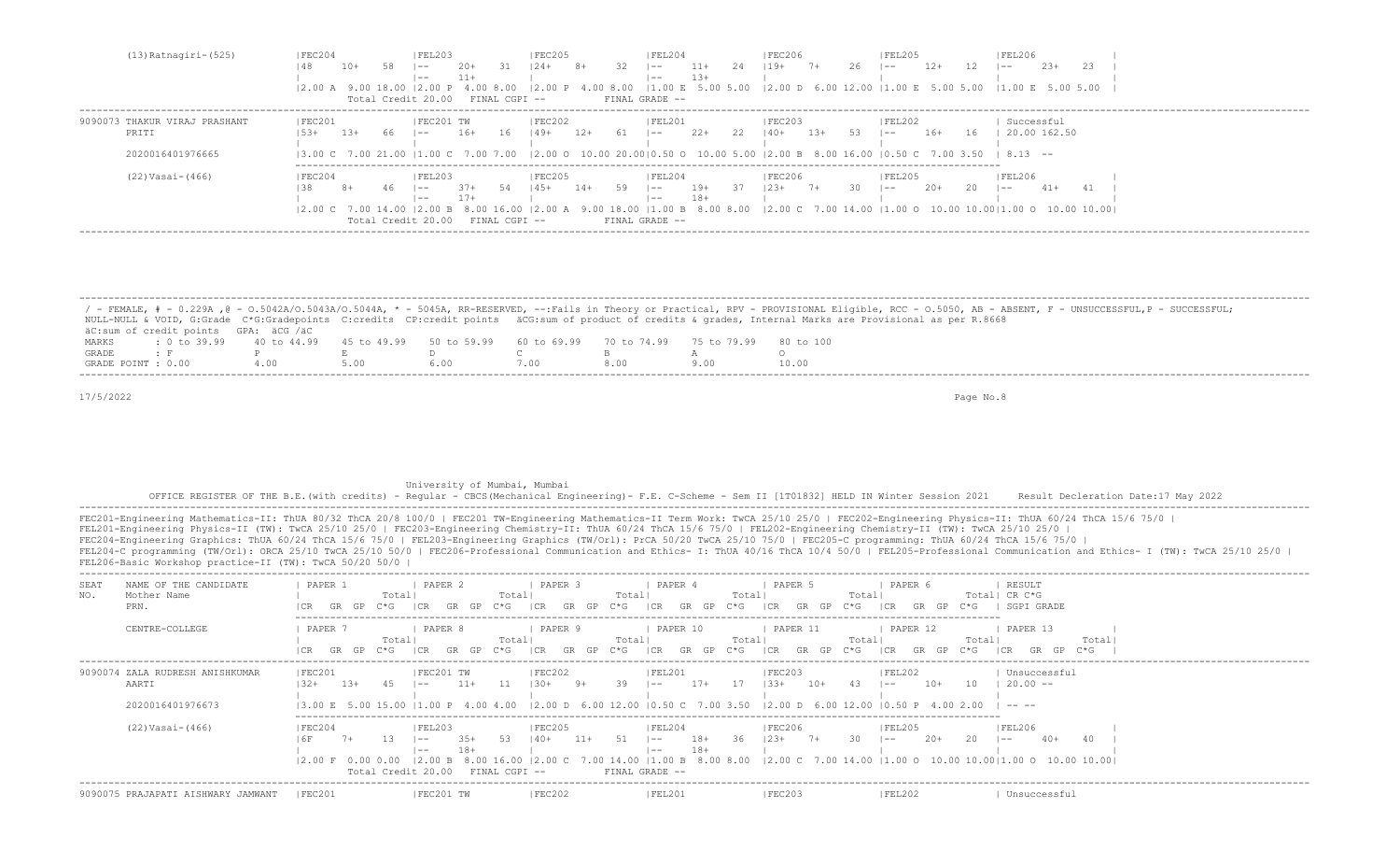| FEC204<br>$(13)$ Ratnagiri- $(525)$     |       |     | FEL203                           |        |               | FEC205         |       |    | IFEL204        |        |    | FEC206        |       |      | FEL205                                                                                                                                                                                                                                                                                                                      |        |     | FEL206        |        |     |  |
|-----------------------------------------|-------|-----|----------------------------------|--------|---------------|----------------|-------|----|----------------|--------|----|---------------|-------|------|-----------------------------------------------------------------------------------------------------------------------------------------------------------------------------------------------------------------------------------------------------------------------------------------------------------------------------|--------|-----|---------------|--------|-----|--|
| 148                                     | 10+   | 58. | $- -$                            | $20+$  | -31           | $124 +$        | 8+    | 32 | $-$            | $11+$  | 24 | $119+$        | $7+$  | 26   | $1 - -$                                                                                                                                                                                                                                                                                                                     | $12+$  |     | $- -$         | $2.3+$ | 23. |  |
|                                         |       |     | $- -$                            | $11 +$ |               |                |       |    | $- -$          | $1.3+$ |    |               |       |      |                                                                                                                                                                                                                                                                                                                             |        |     |               |        |     |  |
|                                         |       |     |                                  |        |               |                |       |    |                |        |    |               |       |      | 12.00 A 9.00 18.00 12.00 P 4.00 8.00 12.00 P 4.00 8.00 11.00 E 5.00 5.00 12.00 D 6.00 12.00 11.00 E 5.00 5.00 11.00 E 5.00 5.00 5.00                                                                                                                                                                                        |        |     |               |        |     |  |
|                                         |       |     | Total Credit 20.00 FINAL CGPI -- |        |               |                |       |    | FINAL GRADE -- |        |    |               |       |      |                                                                                                                                                                                                                                                                                                                             |        |     |               |        |     |  |
| FEC201<br>9090073 THAKUR VIRAJ PRASHANT |       |     | IFEC201 TW                       |        |               | FEC202         |       |    | IFEL201        |        |    | IFEC203       |       |      | FEL202                                                                                                                                                                                                                                                                                                                      |        |     | Successful    |        |     |  |
| PRITI<br>$1.5.3+$                       | $13+$ | -66 | $1 - -$                          | $16+$  | 16            | 149+           | 12+   | 61 | $\sim$         | $2.2+$ | 22 | $140+$        | $13+$ | - 53 | $\sim$                                                                                                                                                                                                                                                                                                                      | $16+$  | 16  | 120.00162.50  |        |     |  |
|                                         |       |     |                                  |        |               |                |       |    |                |        |    |               |       |      |                                                                                                                                                                                                                                                                                                                             |        |     |               |        |     |  |
| 2020016401976665                        |       |     |                                  |        |               |                |       |    |                |        |    |               |       |      | $(3.00 \text{ C} \quad 7.00 \text{ } 21.00 \text{ }  1.00 \text{ C} \quad 7.00 \text{ } 7.00 \text{ }  2.00 \text{ O} \quad 10.00 \text{ } 20.00  0.50 \text{ O} \quad 10.00 \text{ } 5.00 \text{ }  2.00 \text{ B} \quad 8.00 \text{ } 16.00 \text{ }  0.50 \text{ C} \quad 7.00 \text{ } 3.50 \text{ }  8.13 \text{ } --$ |        |     |               |        |     |  |
| $(22) Vasi-(466)$<br>IFEC204            |       |     | FEL203                           |        |               | <b>IFEC205</b> |       |    | FEL204         |        |    | <b>FEC206</b> |       |      | IFEL205                                                                                                                                                                                                                                                                                                                     |        |     | <b>FEL206</b> |        |     |  |
|                                         | $8+$  | 46. | $- -$                            | $37+$  | 54            | 145+           | $14+$ | 59 | $1 - -$        | 19+    | 37 | $123+7+$      |       | 30.  | $-$                                                                                                                                                                                                                                                                                                                         | $2.0+$ | -20 | $ -$          | $41+$  |     |  |
|                                         |       |     | $- -$                            | $17+$  |               |                |       |    | $- -$          | 18+    |    |               |       |      |                                                                                                                                                                                                                                                                                                                             |        |     |               |        |     |  |
|                                         |       |     |                                  |        |               |                |       |    |                |        |    |               |       |      | 2.00 C 7.00 14.00  2.00 B 8.00 16.00  2.00 A 9.00 18.00  1.00 B 8.00 8.00  2.00 C 7.00 14.00  1.00 O 10.00 10.00 1.00 O 10.00 10.00                                                                                                                                                                                         |        |     |               |        |     |  |
|                                         |       |     | Total Credit 20.00               |        | FINAL CGPI -- |                |       |    | FINAL GRADE -- |        |    |               |       |      |                                                                                                                                                                                                                                                                                                                             |        |     |               |        |     |  |
|                                         |       |     |                                  |        |               |                |       |    |                |        |    |               |       |      |                                                                                                                                                                                                                                                                                                                             |        |     |               |        |     |  |

|                    |                                                                                                |  |  |      | / - FEMALE, # - 0.229A ,@ - 0.5042A/0.5043A/0.5044A, * - 5045A, RR-RESERVED, --:Fails in Theory or Practical, RPV - PROVISIONAL Eligible, RCC - 0.5050, AB - ABSENT, F - UNSUCCESSFUL,P - SUCCESSFUL; |
|--------------------|------------------------------------------------------------------------------------------------|--|--|------|-------------------------------------------------------------------------------------------------------------------------------------------------------------------------------------------------------|
|                    |                                                                                                |  |  |      | NULL-NULL & VOID, G:Grade C*G:Gradepoints C:credits CP:credit points äCG:sum of product of credits & qrades, Internal Marks are Provisional as per R.8668                                             |
|                    | äC:sum of credit points GPA: äCG /äC                                                           |  |  |      |                                                                                                                                                                                                       |
| MARKS              | t 0 to 39,99 40 to 44,99 45 to 49,99 50 to 59,99 60 to 69,99 70 to 74,99 75 to 79,99 80 to 100 |  |  |      |                                                                                                                                                                                                       |
| GRADE              |                                                                                                |  |  |      |                                                                                                                                                                                                       |
| GRADE POINT : 0.00 |                                                                                                |  |  | 8.00 |                                                                                                                                                                                                       |

## University of Mumbai, Mumbai

 OFFICE REGISTER OF THE B.E.(with credits) - Regular - CBCS(Mechanical Engineering)- F.E. C-Scheme - Sem II [1T01832] HELD IN Winter Session 2021 Result Decleration Date:17 May 2022 -------------------------------------------------------------------------------------------------------------------------------------------------------------------------------------------------------------------

| NAME OF THE CANDIDATE<br>SEA.<br>NO.<br>Mother Name<br>PRN.  | PAPER 2<br>PAPER 1<br>Total <br>C*G<br>GR.<br>GR<br>GP                                                                  | PAPER 3<br>Totall<br>Total <br>$C \star G$<br>GP<br>- I CR<br>$C * G$<br>GP<br>GR | PAPER 4<br>Total<br> CR<br>$C*G$<br>GR.<br>GP                         | PAPER 6<br>PAPER 5<br>Total<br>I CR<br>$C * G$<br>1 C.R<br>GR<br>GP                                                                                                                                                                                                                                | RESULT<br>Total  CR C*G<br>SGPI GRADE<br>$C*G$ |  |
|--------------------------------------------------------------|-------------------------------------------------------------------------------------------------------------------------|-----------------------------------------------------------------------------------|-----------------------------------------------------------------------|----------------------------------------------------------------------------------------------------------------------------------------------------------------------------------------------------------------------------------------------------------------------------------------------------|------------------------------------------------|--|
| CENTRE-COLLEGE                                               | PAPER<br>PAPER 8<br>Totall<br>$C*G$<br>GR<br>GP.                                                                        | PAPER 9<br>Totall<br>Totall<br>C*G-<br>GP<br>C*G-                                 | PAPER 10<br>Total<br>C*G -                                            | PAPER 11<br>PAPER 12<br>Total<br>GP<br>GR<br>LCR.<br> CR<br>$C * G$<br>GP                                                                                                                                                                                                                          | PAPER 13<br>Total<br>Total<br>ビャピー<br>ICR      |  |
| 9090074 ZALA RUDRESH ANISHKUMAR<br>AARTI<br>2020016401976673 | FEC201 TW<br> FEC201<br>$1.3+$<br>$11+$<br>$132+$<br>45<br>$- -$                                                        | FEC202<br>11<br>39<br>$1.30+$<br>9+                                               | FEL201<br>$17+$<br>17<br>$1 - -$                                      | FEC203<br> FEL202<br>$10+$<br>-43<br>$10+$<br>$133+$<br>$1 - -$<br>13.00 E 5.00 15.00 11.00 P 4.00 4.00 12.00 D 6.00 12.00 10.50 C 7.00 3.50 12.00 D 6.00 12.00 10.50 P 4.00 2.00                                                                                                                  | Unsuccessful<br>10<br>$20.00 - -$<br>-----     |  |
| $(22) Vasi-(466)$                                            | FEC204<br> FEL203<br>$3.5+$<br>13.<br>$- -$<br>$18+$<br>$- -$<br>$ 2.00 \tF 0.00 0.00$<br>12.00 B<br>Total Credit 20.00 | FEC205<br>51<br>- 53<br>$140+$<br>$11+$<br>8.00 16.00<br>FINAL CGPI --            | FEL204<br>18+<br>-36<br>$1 - -$<br>$18+$<br>$1 - -$<br>FINAL GRADE -- | FEC206<br> FEL205<br>30<br>$123+$<br>$7+$<br>$20+$<br>$1 - -$<br>$(2.00 \text{ C} \quad 7.00 \text{ 14.00} \mid 1.00 \text{ B} \quad 8.00 \text{ 8.00} \quad (2.00 \text{ C} \quad 7.00 \text{ 14.00} \mid 1.00 \text{ O} \quad 10.00 \text{ 10.00} \mid 1.00 \text{ O} \quad 10.00 \text{ 10.00}$ | FEL206 <br>20<br>$40+$<br>$1 - -$              |  |
| 9090075 PRAJAPATI AISHWARY JAMWANT                           | FEC201 TW<br> FEC201                                                                                                    | <b>FEC202</b>                                                                     | <b>FEL201</b>                                                         | <b>FEC203</b><br><b>FEL202</b>                                                                                                                                                                                                                                                                     | Unsuccessful                                   |  |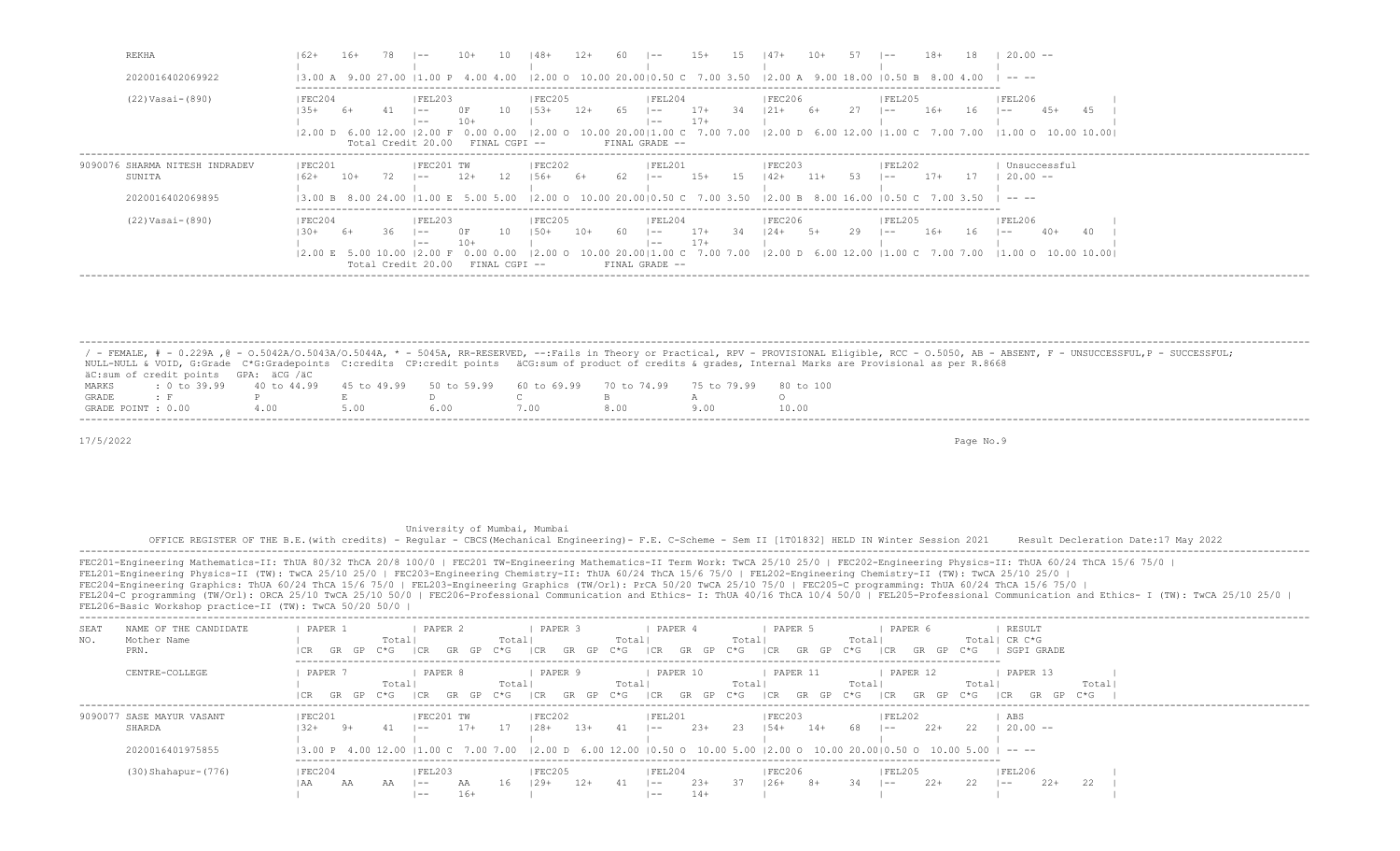| REKHA                                                        |                                    |       |     |                                                                                |                               |                                                  |       |                 | $1 - -$                                                                                                                                                                                                                             | $1.5+$         |     | $147+$            | $10+$ |     | $- -$             |       |     | $20.00 -$                                                                                                                 |  |
|--------------------------------------------------------------|------------------------------------|-------|-----|--------------------------------------------------------------------------------|-------------------------------|--------------------------------------------------|-------|-----------------|-------------------------------------------------------------------------------------------------------------------------------------------------------------------------------------------------------------------------------------|----------------|-----|-------------------|-------|-----|-------------------|-------|-----|---------------------------------------------------------------------------------------------------------------------------|--|
| 2020016402069922                                             |                                    |       |     |                                                                                |                               |                                                  |       |                 | $(3.00 \text{ A } 9.00 \text{ 27.00 } 11.00 \text{ P } 4.00 \text{ 4.00 } 12.00 \text{ O } 10.00 \text{ 20.00} 10.50 \text{ C } 7.00 \text{ 3.50 } 12.00 \text{ A } 9.00 \text{ 18.00 } 10.50 \text{ B } 8.00 \text{ 4.00 }  - - -$ |                |     |                   |       |     |                   |       |     |                                                                                                                           |  |
| (22) Vasai-(890)                                             | FEC204                             | 6+    |     | FEL203<br>$- -$<br>$- -$<br>$12.00$ D 6.00 12.00 12.00 F<br>Total Credit 20.00 | - 10<br>$10+$<br>0.00<br>0.00 | FEC205<br>$1.5.3+$<br>$12.00$ O<br>FINAL CGPI -- | $12+$ | - 65            | FEL204<br>$1 - -$<br>$1 - -$<br>FINAL GRADE --                                                                                                                                                                                      | $17+$<br>$17+$ | 34  | FEC206<br>$121 +$ | $6+$  | 27  | FEL205<br>$1 - -$ | $16+$ | 16  | FEL206<br>$4.5+$<br>$1 - -$<br>10.00 20.00   1.00 C 7.00 7.00   2.00 D 6.00 12.00   1.00 C 7.00 7.00   1.00 O 10.00 10.00 |  |
| 9090076 SHARMA NITESH INDRADEV<br>SUNITA<br>2020016402069895 | FEC201<br>$162+$                   | $10+$ |     | FEC201 TW<br>$1 - -$                                                           | 12<br>$12+$                   | FEC202<br>156+                                   | - 6+  | -62             | FEL201<br>$\sim$<br>13.00 B 8.00 24.00 11.00 E 5.00 5.00 12.00 O 10.00 20.0010.50 C 7.00 3.50 12.00 B 8.00 16.00 10.50 C 7.00 3.50                                                                                                  | $15+$          | -15 | FEC203 <br>$142+$ | $11+$ | 53. | FEL202<br>$1 - -$ | $17+$ | -17 | Unsuccessful<br>$20.00 - -$<br>-----                                                                                      |  |
| (22) Vasai-(890)                                             | FEC204<br>$12.00 \t{E}$ 5.00 10.00 |       | 36. | FEL203 <br>$- -$<br>$- -$<br>Total Credit 20.00                                | 0 F<br>$10+$                  | <b>IFEC205</b><br>10<br>150+<br>FINAL CGPI --    | $10+$ | 60<br>10.00 20. | FEL204<br>$1 - -$<br>$- -$<br>001<br>FINAL GRADE --                                                                                                                                                                                 | $17+$<br>$17+$ | -34 | FEC206 <br>124+   | -5+   | 29  | FEL205 <br>$- -$  | $16+$ | 16  | <b>FEL206</b><br>$40+$<br>$- -$<br>.00 C 7.00 7.00 I2.00 D 6.00 12.00 I1.00 C 7.00 7.00 I1.00 O 10.00 10.00I              |  |

/ - FEMALE, # - 0.229A ,@ - 0.5042A/O.5043A/O.5044A, \* - 5045A, RR-RESERVED, --:Fails in Theory or Practical, RPV - PROVISIONAL Eligible, RCC - 0.5050, AB - ABSENT, F - UNSUCCESSFUL,P - SUCCESSFUL;<br>NULL-NULL & VOID, G:Grad  $\texttt{aC:sum of credit points}$  GPA:  $\texttt{aCG}$  / $\texttt{aC}$ <br>MARKS : 0 to 39.99 40 to 44.99 MARKS : 0 to 39.99 40 to 44.99 45 to 49.99 50 to 59.99 60 to 69.99 70 to 74.99 75 to 79.99 80 to 100<br>GRADE: F P E D C B A O GRADE : F P E D C B A O GRADE POINT : 0.00 4.00 5.00 6.00 7.00 8.00 9.00 10.00 -------------------------------------------------------------------------------------------------------------------------------------------------------------------------------------------------------------------

-------------------------------------------------------------------------------------------------------------------------------------------------------------------------------------------------------------------

17/5/2022 Page No.9

|             | OFFICE REGISTER OF THE B.E. (with credits) - Reqular - CBCS (Mechanical Engineering) - F.E. C-Scheme - Sem II [1T01832] HELD IN Winter Session 2021 Result Decleration Date:17 May 2022                                                                                                                                                                                                                                                                                                                                                                                                                                                                                                                                                                                                                                                    |                    |       |                                                                                                                                                                                                                                                                                                                                                                                                 |       |                   | University of Mumbai, Mumbai |       |                  |                       |        |                  |                                                                                                                                                               |                |                    |        |             |                                       |       |  |  |
|-------------|--------------------------------------------------------------------------------------------------------------------------------------------------------------------------------------------------------------------------------------------------------------------------------------------------------------------------------------------------------------------------------------------------------------------------------------------------------------------------------------------------------------------------------------------------------------------------------------------------------------------------------------------------------------------------------------------------------------------------------------------------------------------------------------------------------------------------------------------|--------------------|-------|-------------------------------------------------------------------------------------------------------------------------------------------------------------------------------------------------------------------------------------------------------------------------------------------------------------------------------------------------------------------------------------------------|-------|-------------------|------------------------------|-------|------------------|-----------------------|--------|------------------|---------------------------------------------------------------------------------------------------------------------------------------------------------------|----------------|--------------------|--------|-------------|---------------------------------------|-------|--|--|
|             | FEC201-Engineering Mathematics-II: ThUA 80/32 ThCA 20/8 100/0   FEC201 TW-Engineering Mathematics-II Term Work: TwCA 25/10 25/0   FEC202-Engineering Physics-II: ThUA 60/24 ThCA 15/6 75/0  <br>FEL201-Engineering Physics-II (TW): TwCA 25/10 25/0   FEC203-Engineering Chemistry-II: ThUA 60/24 ThCA 15/6 75/0   FEL202-Engineering Chemistry-II (TW): TwCA 25/10 25/0  <br>FEC204-Engineering Graphics: ThUA 60/24 ThCA 15/6 75/0   FEL203-Engineering Graphics (TW/Orl): PrCA 50/20 TwCA 25/10 75/0   FEC205-C programming: ThUA 60/24 ThCA 15/6 75/0  <br>FEL204-C programming (TW/Orl): ORCA 25/10 TwCA 25/10 50/0   FEC206-Professional Communication and Ethics- I: ThUA 40/16 ThCA 10/4 50/0   FEL205-Professional Communication and Ethics- I (TW): TwCA 25/10 25/0  <br>FEL206-Basic Workshop practice-II (TW): TwCA 50/20 50/0 |                    |       |                                                                                                                                                                                                                                                                                                                                                                                                 |       |                   |                              |       |                  |                       |        |                  |                                                                                                                                                               |                |                    |        |             |                                       |       |  |  |
| SEAT<br>NO. | NAME OF THE CANDIDATE<br>Mother Name<br>PRN.                                                                                                                                                                                                                                                                                                                                                                                                                                                                                                                                                                                                                                                                                                                                                                                               | PAPER 1            | Total | PAPER 2<br>ICR                                                                                                                                                                                                                                                                                                                                                                                  |       | Totall<br>$C*G$   | PAPER 3                      | GR    | Total<br>$C * G$ | PAPER 4               |        | Total<br>$C * G$ | PAPER 5                                                                                                                                                       | Total<br>C*G - | PAPER 6            |        | $C \star G$ | RESULT<br>Totall CR C*G<br>SGPT GRADE |       |  |  |
|             | CENTRE-COLLEGE                                                                                                                                                                                                                                                                                                                                                                                                                                                                                                                                                                                                                                                                                                                                                                                                                             | PAPER '            | Total | PAPER 8                                                                                                                                                                                                                                                                                                                                                                                         |       | Totall<br>$C * G$ | PAPER 9                      |       | Totall           | PAPER 10              |        | Total<br>$C * G$ | PAPER 11                                                                                                                                                      | Total          | PAPER 12           |        | Total       | PAPER 13                              | Total |  |  |
|             | 9090077 SASE MAYUR VASANT<br>SHARDA<br>2020016401975855                                                                                                                                                                                                                                                                                                                                                                                                                                                                                                                                                                                                                                                                                                                                                                                    | IFEC201<br>$1.32+$ |       | IFEC201 TW                                                                                                                                                                                                                                                                                                                                                                                      | $17+$ |                   | IFEC202<br>$128+$            | $13+$ |                  | $I$ FEL201<br>$1 - -$ | $2.3+$ | - 2.3            | IFEC203<br>$154 + 14 +$<br>$13.00 \text{ P}$ 4.00 12.00 11.00 C 7.00 7.00 12.00 D 6.00 12.00 10.50 O 10.00 5.00 12.00 O 10.00 20.0010.50 O 10.00 5.00 I -- -- |                | IFEL202<br>$1 - -$ | $2.2+$ | -22         | ABS<br>$20.00 -$                      |       |  |  |
|             | (30) Shahapur-(776)                                                                                                                                                                                                                                                                                                                                                                                                                                                                                                                                                                                                                                                                                                                                                                                                                        | IFEC204            |       | IFEL203<br>$\overline{a}$ $\overline{a}$ $\overline{a}$ $\overline{a}$ $\overline{a}$ $\overline{a}$ $\overline{a}$ $\overline{a}$ $\overline{a}$ $\overline{a}$ $\overline{a}$ $\overline{a}$ $\overline{a}$ $\overline{a}$ $\overline{a}$ $\overline{a}$ $\overline{a}$ $\overline{a}$ $\overline{a}$ $\overline{a}$ $\overline{a}$ $\overline{a}$ $\overline{a}$ $\overline{a}$ $\overline{$ | $16+$ |                   | FEC205                       |       |                  | IFEL204<br>$- -$      | $14+$  |                  | FEC206 <br>$26+$                                                                                                                                              |                | IFEL205            | $2.2+$ |             | IFEL206<br>$2.2 +$                    |       |  |  |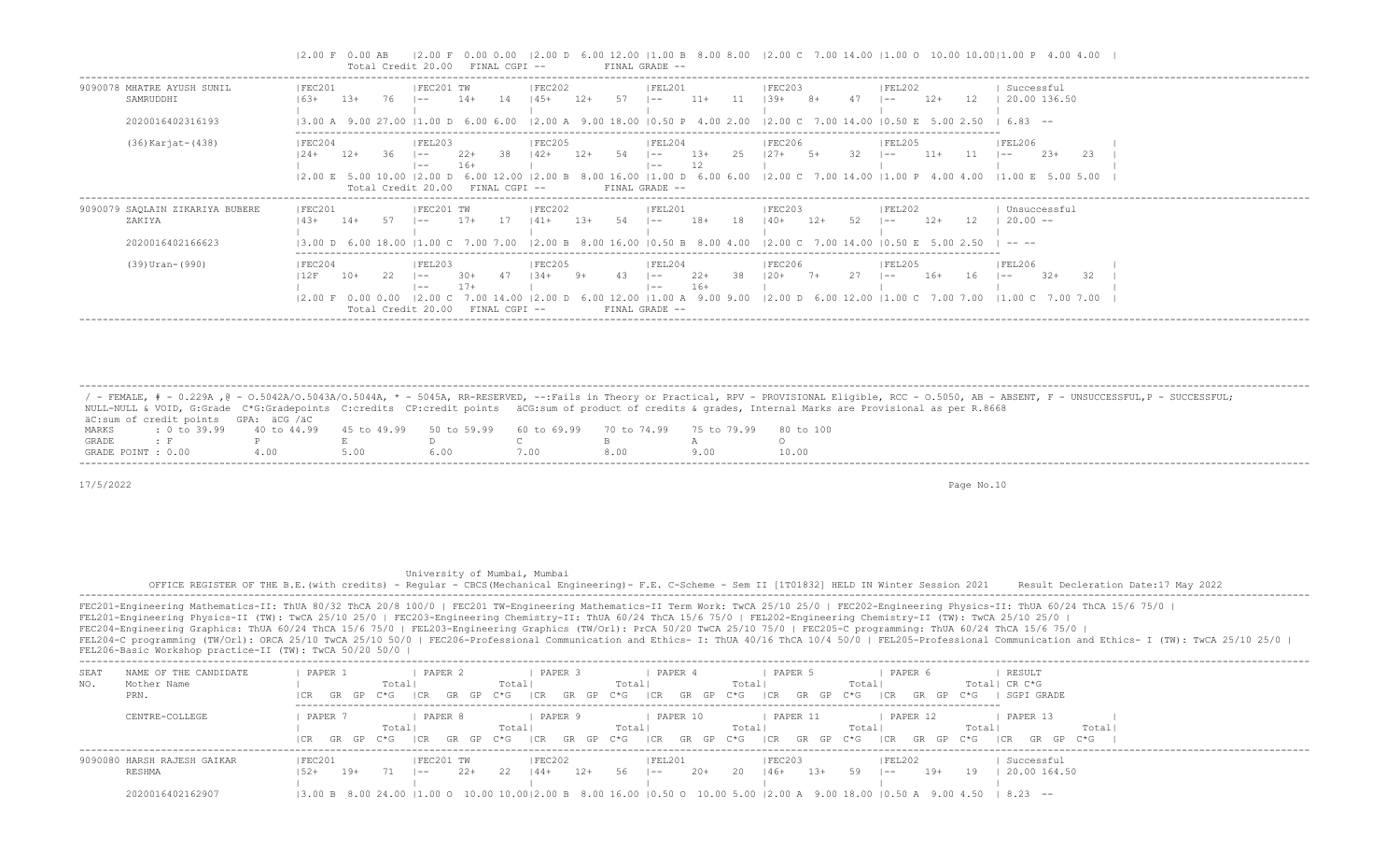|                                                               | $\vert$ 2.00 D 6.00 12.00   1.00 B 8.00 8.00   2.00 C 7.00 14.00   1.00 O 10.00 10.00  1.00 P 4.00 4.00  <br>$12.00 F$ 0.00 AB<br>12.00 F<br>Total Credit 20.00<br>FINAL CGPI --<br>FINAL GRADE --                                                                                                                                                                                                                          |
|---------------------------------------------------------------|-----------------------------------------------------------------------------------------------------------------------------------------------------------------------------------------------------------------------------------------------------------------------------------------------------------------------------------------------------------------------------------------------------------------------------|
| 9090078 MHATRE AYUSH SUNIL<br>SAMRUDDHI<br>2020016402316193   | FEC201 TW<br> FEC202<br> FEL201<br> FEC201<br> FEC203 <br> FEL202<br>Successful<br>$11+$<br>$12+$<br>20.00 136.50<br>$1.3+$<br>$14+$<br>$12+$<br>$139+$<br>12<br>-14<br>$145+$<br>-11<br>$16.3+$<br>76.<br>$8+$<br>$- -$<br>$- -$<br>$- -$<br>13.00 A 9.00 27.00 11.00 D 6.00 6.00 12.00 A 9.00 18.00 10.50 P 4.00 2.00<br>12.00 C 7.00 14.00 10.50 E 5.00 2.50<br>683 --                                                   |
| (36) Karjat- (438)                                            | FEC205<br> FEC206 <br> FEC204<br> FEL203<br> FEL204<br> FEL205<br> FEL206<br>$23+$<br>-13+<br>$11+$<br>127+<br>-23<br>$12+$<br>  42+<br>$12+$<br>l ——<br>$- -$<br>$- -$<br>$- -$<br>12<br>$16+$<br>$- -$<br>$- -$<br>$11.00$ D 6.00 6.00 12.00 C 7.00 14.00 11.00 P 4.00 4.00 11.00 E 5.00 5.00<br>$12.00 \t E \t 5.00$<br>.00 B.<br>16.00<br>FINAL GRADE --<br>Total Credit 20.00<br>FINAL CGPI --                         |
| 9090079 SAQLAIN ZIKARIYA BUBERE<br>ZAKIYA<br>2020016402166623 | FEC201<br>FEC201 TW<br> FEC202<br> FEL201<br> FEC203<br> FEL202<br>Unsuccessful<br>$20.00 -$<br>52<br>$18+$<br>$12+$<br>12<br>$17+$<br>-18<br>$140+$<br>$12+$<br>$14+$<br>$14.3+$<br>  41 +<br>$- -$<br>$- -$<br>$- -$<br>13.00 D 6.00 18.00 11.00 C 7.00 7.00 12.00 B 8.00 16.00 10.50 B 8.00 4.00 12.00 C 7.00 14.00 10.50 E 5.00 2.50<br>$\cdots$                                                                        |
| $(39)$ Uran- $(990)$                                          | IFEC204<br> FEL203<br>IFEC205<br> FEL204<br>IFEC206<br><b>IFEL205</b><br>IFEL206<br>-38<br>$22+$<br>32<br>$16+$<br>$32+$<br>12F<br>10+<br>$120+$<br>16<br>$-34+$<br>$- -$<br>$- -$<br>$- -$<br>$- -$<br>$16+$<br>$17+$<br>$- -$<br>$- -$<br>12.00   1.00 A 9.00 9.00   2.00 D 6.00 12.00   1.00 C 7.00 7.00   1.00 C 7.00 7.00<br>12.00 F<br>0.00<br>0.00<br>.00 D<br>FINAL GRADE --<br>Total Credit 20.00<br>FINAL CGPI -- |

 / - FEMALE, # - 0.229A ,@ - O.5042A/O.5043A/O.5044A, \* - 5045A, RR-RESERVED, --:Fails in Theory or Practical, RPV - PROVISIONAL Eligible, RCC - O.5050, AB - ABSENT, F - UNSUCCESSFUL,P - SUCCESSFUL; NULL-NULL & VOID, G:Grade C\*G:Gradepoints C:credits CP:credit points äCG:sum of product of credits & grades, Internal Marks are Provisional as per R.8668 äC:sum of credit points GPA: äCG /äC MARKS : 0 to 39.99 40 to 44.99 45 to 49.99 50 to 59.99 60 to 69.99 70 to 74.99 75 to 79.99 80 to 100<br>GRADE: F P E D C B A F P E D C B A O<br>T: 0.00 4.00 5.00 6.00 7.00 8.00 9.00 10.0 GRADE POINT : 0.00 4.00 5.00 6.00 7.00 8.00 9.00 10.00 -------------------------------------------------------------------------------------------------------------------------------------------------------------------------------------------------------------------

-------------------------------------------------------------------------------------------------------------------------------------------------------------------------------------------------------------------

17/5/2022 Page No.10

## University of Mumbai, Mumbai

 OFFICE REGISTER OF THE B.E.(with credits) - Regular - CBCS(Mechanical Engineering)- F.E. C-Scheme - Sem II [1T01832] HELD IN Winter Session 2021 Result Decleration Date:17 May 2022 -------------------------------------------------------------------------------------------------------------------------------------------------------------------------------------------------------------------

| SEA1 | NAME OF THE CANDIDATE       | PAPER            | PAPER           | PAPER 3                         | PAPER                             | PAPER 5                                                                                                         | PAPER 6                    | RESULT                     |
|------|-----------------------------|------------------|-----------------|---------------------------------|-----------------------------------|-----------------------------------------------------------------------------------------------------------------|----------------------------|----------------------------|
| NO.  | Mother Name                 |                  | Total           | Total                           | Total                             | Totall                                                                                                          | Total                      | Total  CR C*G              |
|      | PRN.                        | GR GP            | C*G<br>TCR.     | C*G<br>GR<br>GP.<br>ICR.<br>GP. | $C \star G$<br>ICR<br>- GP<br>GR. | $C \star G$<br>C*G<br>GP.<br>I CR<br>GR                                                                         | $C*G$<br>GR<br>GP.<br>I CR | SGPI GRADE                 |
|      | CENTRE-COLLEGE              | PAPER            | PAPER           | PAPER 9                         | PAPER 10                          | PAPER 11                                                                                                        | PAPER 12                   | PAPER 13                   |
|      |                             |                  | Totall          | Total                           | Total                             | Totall<br>Total                                                                                                 | Total                      | Total,                     |
|      |                             | GR GP C*G<br>ICR | I CR.           | GR GP C*G<br>GRGP<br>I CR.      | C*G<br> CR<br>GR GP C*G           | $C * G$<br>GP<br> CR<br>- GR                                                                                    | C*G<br>GR<br>GP.<br>I CR.  | C*G<br>GR<br>- I CR<br>GP. |
|      | 9090080 HARSH RAJESH GAIKAR | FEC201           | FEC201 TW       | <b>FEC202</b>                   | FEL201                            | <b>FEC203</b>                                                                                                   | <b>FEL202</b>              | Successful                 |
|      | <b>RESHMA</b>               | 19+              | $2.2+$<br>$- -$ | -22<br>$44+$<br>$12+$           | $20+$<br>56<br>$- -$              | 13+<br>146+<br>20.                                                                                              | 19+<br>19<br>$- -$         | 20.00 164.50               |
|      |                             |                  |                 |                                 |                                   |                                                                                                                 |                            |                            |
|      | 2020016402162907            |                  |                 |                                 |                                   | 3.00 B 8.00 24.00  1.00 O 10.00 10.00 2.00 B 8.00 16.00  0.50 O 10.00 5.00  2.00 A 9.00 18.00  0.50 A 9.00 4.50 |                            | $8.23 - -$                 |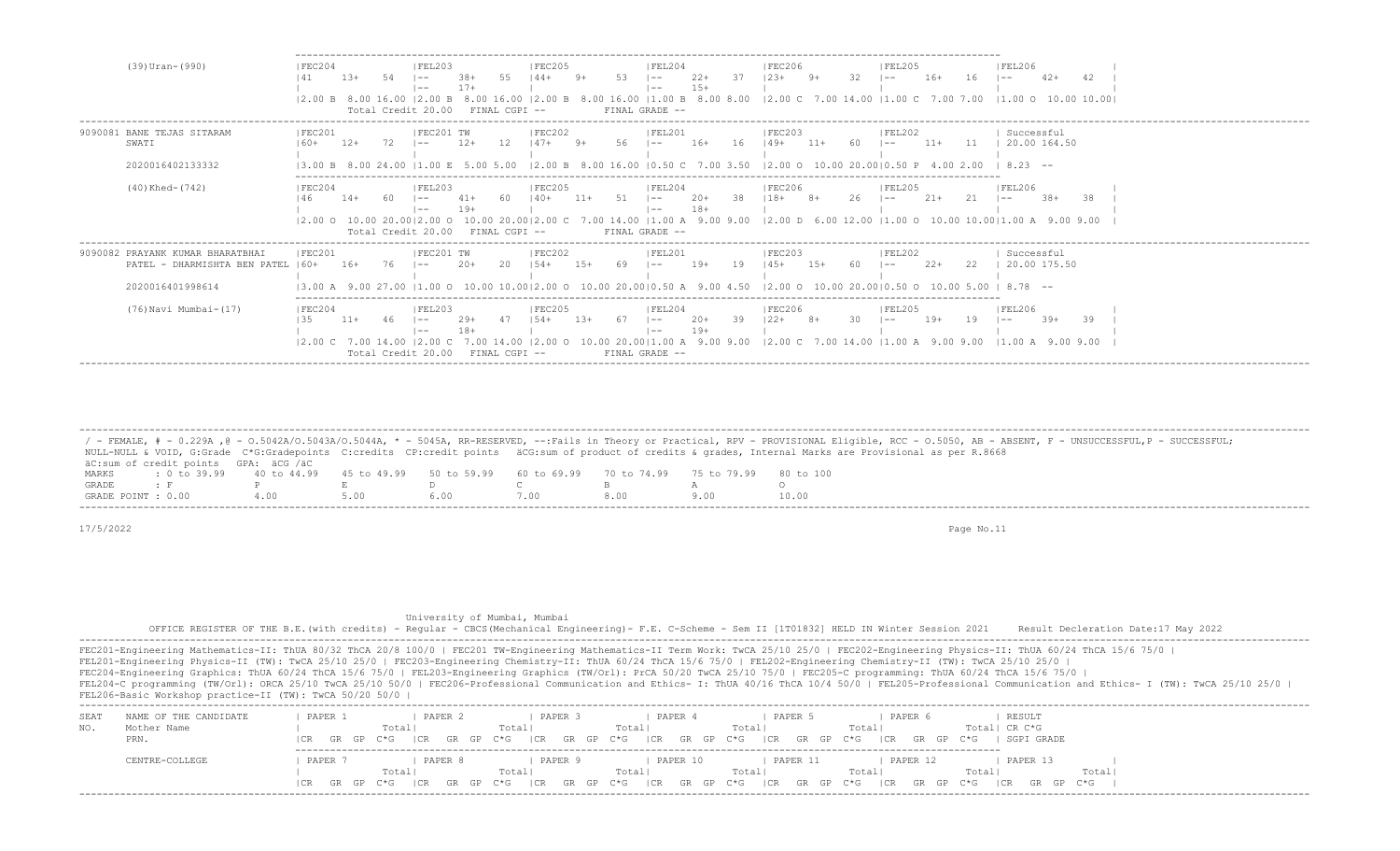| (39) Uran-(990)                                                                      | IFEC204                                       | $13+$ |    | IFEL203<br>$\sim$ $-$<br>$- -$<br>Total Credit 20.00                | $17+$              | FINAL CGPI --               | IFEC205<br>$144+$                                                       |        | 53 | IFEL204<br>$1 - -$<br>$1 - -$<br>FINAL GRADE -- | $22+$<br>$15+$ | 37  | IFEC206<br>$12.3+$<br> 2.00 B 8.00 16.00  2.00 B 8.00 16.00  2.00 B 8.00 16.00  1.00 B 8.00 8.00  2.00 C 7.00 14.00  1.00 C 7.00 7.00  1.00 O 10.00 10.00     | $9+$  | 32  | 1 FET 205<br>$\sim$ $-$      | $16+$ | 16               | IFEL206<br>l —— 1                         |        | 42 |
|--------------------------------------------------------------------------------------|-----------------------------------------------|-------|----|---------------------------------------------------------------------|--------------------|-----------------------------|-------------------------------------------------------------------------|--------|----|-------------------------------------------------|----------------|-----|---------------------------------------------------------------------------------------------------------------------------------------------------------------|-------|-----|------------------------------|-------|------------------|-------------------------------------------|--------|----|
| 9090081 BANE TEJAS SITARAM<br>SWATI<br>2020016402133332                              | IFEC201                                       | $12+$ |    | IFEC201 TW<br>$- -$<br>.00 F.                                       | $12+$<br>5.00 5.00 |                             | IFEC202                                                                 |        |    | IFET.201<br>$- -$                               | $16+$          | -16 | IFEC203<br>$149+$<br>12.00 B 8.00 16.00 10.50 C 7.00 3.50 12.00 O 10.00 20.0010.50 P 4.00 2.00                                                                | $11+$ | -60 | <b>IFFI202</b><br>$\sim$ $-$ | $11+$ | 11               | Successful<br>20.00 164.50<br>$18.23 - -$ |        |    |
| (40) Khed- (742)                                                                     | FEC204                                        | $14+$ |    | FEL203<br>$- -$<br>l ——<br>Total Credit 20.00 FINAL CGPI --         |                    |                             | FEC205<br>$140+$                                                        |        |    | FEL204<br>$- -$<br>$1 - -$<br>FINAL GRADE --    | $20+$<br>$18+$ | -38 | <b>FEC206</b><br>$118+$<br> 2.00 O 10.00 20.00 2.00 O 10.00 20.00 2.00 C 7.00 14.00  1.00 A 9.00 9.00  2.00 D 6.00 12.00  1.00 O 10.00 10.00 1.00 A 9.00 9.00 |       | 26  | FEL205<br>l —— 1             | $21+$ |                  | FEL206<br>$- -$                           | $.38+$ | 38 |
| 9090082 PRAYANK KUMAR BHARATBHAI<br>PATEL - DHARMISHTA BEN PATEL<br>2020016401998614 | IFEC201<br>$160+$<br>13.00 A 9.00 27.00       | $16+$ | 76 | IFEC201 TW<br>$- -$                                                 | $20+$              | -20                         | IFEC202<br>$1.54+$<br>$10.00$ 10.0012.00 O 10.00 20.0010.50 A 9.00 4.50 |        | 69 | FEL201<br>$- -$                                 | $19+$          | -19 | IFEC203<br>$145+$<br>$12.00$ O $10.00$ 20.0010.50 O                                                                                                           |       | 60  | FEL202<br>$\sim$ $-$         | $22+$ | 22<br>10.00 5.00 | Successful<br>20.00 175.50<br>$8.78 - -$  |        |    |
| (76) Navi Mumbai-(17)                                                                | FEC204<br>135<br>$12.00 \text{ C}$ 7.00 14.00 | $11+$ |    | FEL203<br>$- -$<br>$- -$<br>$12.00 \text{ C}$<br>Total Credit 20.00 | 18+                | 7.00 14.00<br>FINAL CGPI -- | IFEC205<br>$1.54+$                                                      | $1.3+$ |    | FEL204<br>$- -$<br>$- -$<br>FINAL GRADE --      | $20+$<br>$19+$ | 39  | IFEC206<br>$122+$<br>10.00 20.00   1.00 A 9.00 9.00   2.00 C 7.00 14.00   1.00 A 9.00 9.00   1.00 A 9.00 9.00                                                 |       |     | IFEL205<br>$\sim$ $-$        | $19+$ | 19               | FEL206<br>$1 - -$                         | $39+$  | 39 |

 ------------------------------------------------------------------------------------------------------------------------------------------------------------------------------------------------------------------- / - FEMALE, # - 0.229A , @ - 0.5042A/O.5043A/O.5044A, \* - 5045A, RR-RESERVED, --:Fails in Theory or Practical, RPV - PROVISIONAL Eligible, RCC - 0.5050, AB - ABSENT, F - UNSUCCESSFUL, P - SUCCESSFUL; NULL-NULL & VOID, G:Grade C\*G:Gradepoints C:credits CP:credit points äCG:sum of product of credits & grades, Internal Marks are Provisional as per R.8668 äC:sum of credit points GPA: äCG /äC MARKS : 0 to 39.99 40 to 44.99 45 to 49.99 50 to 59.99 60 to 69.99 70 to 74.99 75 to 79.99 80 to 100 GRADE : F P E D C B A O GRADE POINT : 0.00

17/5/2022 Page No.11

 University of Mumbai, Mumbai OFFICE REGISTER OF THE B.E.(with credits) - Regular - CBCS(Mechanical Engineering)- F.E. C-Scheme - Sem II [1T01832] HELD IN Winter Session 2021 Result Decleration Date:17 May 2022 -------------------------------------------------------------------------------------------------------------------------------------------------------------------------------------------------------------------

| SEA <sup>®</sup> | NAME OF THE CANDIDATE | PAPER         | PAPER          | PAPER                                                                    | PAPER                               | PAPER                   | PAPER 6                     | RESULT                         |  |
|------------------|-----------------------|---------------|----------------|--------------------------------------------------------------------------|-------------------------------------|-------------------------|-----------------------------|--------------------------------|--|
|                  | Mother Name<br>PRN.   | ICR GR GP C*G | Total          | Total<br>$ CR$ GR GP C*G $ CR$ GR GP C*G $ CR$ GR GP C*G $ CR$ GR GP C*G | Totall                              | Total                   | Totalı<br>GR GP C*G<br> CR  | CR C*G<br>Total <br>SGPI GRADE |  |
|                  | CENTRE-COLLEGE        | PAPER         | PAPER<br>Total | PAPER<br>Total                                                           | PAPER 10<br>Total                   | PAPER 11<br>Total       | PAPER 12<br>Totall<br>Total | PAPER 13<br>Total              |  |
|                  |                       | ICR GR GP C*G | GR GP<br>I CR  | <b>GR</b><br>I CR<br>$C * G$                                             | CR<br>$\cap$ GP C $\star$ G $\cdot$ | GR GP C*G ICR GR GP C*G | CR<br>GRGP C*G              | CR<br>GRGP C*G                 |  |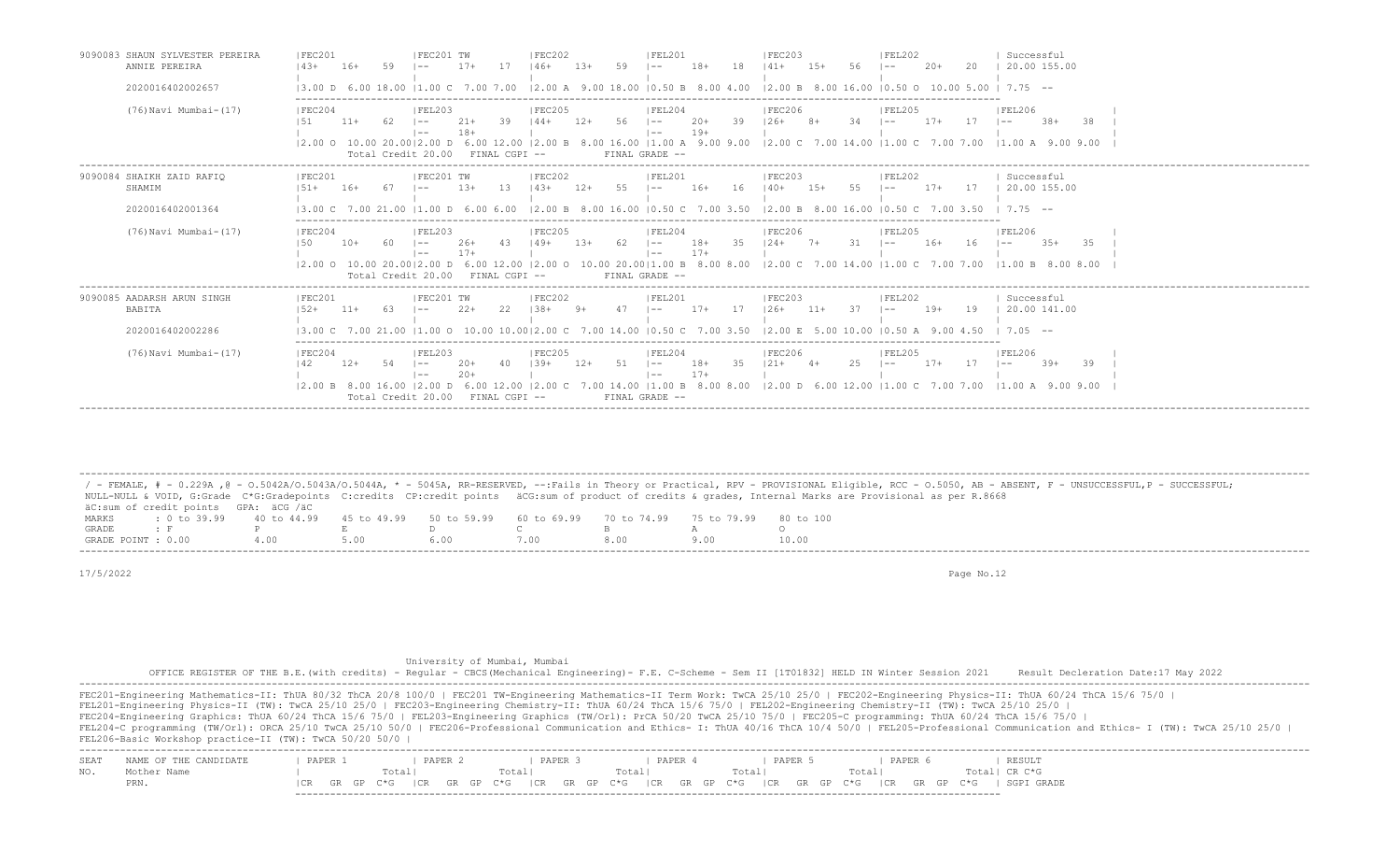| 9090083 SHAUN SYLVESTER PEREIRA<br>ANNIE PEREIRA         | IFEC201<br>$143+$                           | $16+$ |           | IFEC201 TW                                                                                       | $17+$                           | 17  | IFEC202<br>$146+$                    | $13+$  | 59   | IFEL201<br>$- -$                                                                                                                    | $18+$              | 18 | <b>IFEC203</b><br>$141+$                                  | $15+$  |     | <b>IFEL202</b><br>$- -$ | $20+$ | 20  | Successful<br>20.00 155.00                                                                                                                                                      |
|----------------------------------------------------------|---------------------------------------------|-------|-----------|--------------------------------------------------------------------------------------------------|---------------------------------|-----|--------------------------------------|--------|------|-------------------------------------------------------------------------------------------------------------------------------------|--------------------|----|-----------------------------------------------------------|--------|-----|-------------------------|-------|-----|---------------------------------------------------------------------------------------------------------------------------------------------------------------------------------|
| 2020016402002657                                         | $13.00$ D 6.00 18.00                        |       |           | $11.00 \quad C \quad 7.00 \quad 7.00$                                                            |                                 |     |                                      |        |      | $12.00$ A $9.00$ 18.00 10.50 B 8.00 4.00                                                                                            |                    |    |                                                           |        |     |                         |       |     | $12.00 B$ 8.00 16.00 10.50 0 10.00 5.00 1 7.75 $-$                                                                                                                              |
| (76) Navi Mumbai-(17)                                    | FEC204                                      | $11+$ | -62       | FEL203<br>$1 - -$<br>$1 - -$<br>Total Credit 20.00                                               | $21+$<br>$18+$<br>FINAL CGPI -- | 39  | FEC205<br>$144+$                     | $12+$  | 56   | FEL204<br>$1 - -$<br>$\vert - -$<br>FINAL GRADE --                                                                                  | $20+$<br>$19+$     | 39 | <b>IFEC206</b><br>$126+$                                  | $8+$   | -34 | IFEL205<br>$1 - -$      | $17+$ | 17  | FEL206<br>$.38+$<br>-38<br>$\sim$ $-$<br>12.00 0 10.00 20.0012.00 D 6.00 12.00 12.00 B 8.00 16.00 11.00 A 9.00 9.00 12.00 C 7.00 14.00 11.00 C 7.00 7.00 11.00 A 9.00 9.00      |
| 9090084 SHAIKH ZAID RAFIQ<br>SHAMIM<br>2020016402001364  | FEC201<br>$1.51 +$<br>$13.00 \, \text{C}$ 7 | $16+$ | .00 21.00 | FEC201 TW<br>$11.00\ \text{D}$ 6.00 6.00                                                         | $1.3+$                          | 13  | FEC202<br>$143+$                     | $12+$  | 55   | IFEL201<br>l ——<br>$12.00 \text{ B}$ 8.00 16.00 10.50 C                                                                             | $16+$<br>7.00 3.50 | 16 | IFEC203<br>$140+$<br>12.00 B 8.00 16.00 10.50 C 7.00 3.50 | $1.5+$ | 55  | FEL202<br>$- -$         | $17+$ | -17 | Successful<br>20.00 155.00<br>$7.75 - -$                                                                                                                                        |
| (76) Navi Mumbai-(17)                                    | FEC204<br>150                               | $10+$ | -60       | IFEL203<br>$1 - -$<br>$1 - -$<br>$12.00$ O $10.00$ 20.0012.00 D 6.00 12.00<br>Total Credit 20.00 | $26+$<br>$17+$<br>FINAL CGPI -- | 43  | FEC205<br>$149+$<br>$12.00$ $\Omega$ | $1.3+$ | - 62 | FEL204<br>$1 - -$<br>$\vert - -$<br>FINAL GRADE --                                                                                  | $18+$<br>$17+$     | 35 | FEC206<br>$124+$                                          | $7+$   | 31  | FEL205<br>$1 - -$       | $16+$ | 16  | FEL206<br>$-3.5+$<br>-35<br>$1 - -$<br>10.00 20.00   1.00 B 8.00 8.00   2.00 C 7.00 14.00   1.00 C 7.00 7.00   1.00 B 8.00 8.00                                                 |
| 9090085 AADARSH ARUN SINGH<br>BABITA<br>2020016402002286 | IFEC201<br>$152+$                           | $11+$ | 63        | IFEC201 TW<br>$\vert - -$                                                                        | $2.2+$                          |     | IFEC202<br>$1.38 +$                  |        |      | IFEL201<br>$- -$<br>13.00 C 7.00 21.00 11.00 O 10.00 10.0012.00 C 7.00 14.00 10.50 C 7.00 3.50 12.00 E 5.00 10.00 10.50 A 9.00 4.50 | $17+$<br>17        |    | IFEC203<br>$126+$                                         | $11+$  | 37  | FEL202<br>$- -$         | $19+$ | 19  | Successful<br>20.00 141.00<br>$1, 7.05 - -$                                                                                                                                     |
| (76) Navi Mumbai- (17)                                   | FEC204<br>142                               | $12+$ | -54       | IFEL203<br>$\vert - -$<br>$1 - -$<br>Total Credit 20.00 FINAL CGPI --                            | $20+$                           | -40 | IFEC205<br>$139+$                    | $12+$  | 51   | FEL204<br>$1 - -$<br>$- -$<br>FINAL GRADE --                                                                                        | $18+$<br>$17+$     | 35 | <b>FEC206</b><br>$121+$                                   | $4+$   | 25  | IFEL205<br>$\sim$ $-$   | $17+$ | -17 | FEL206<br>$39+$<br>39<br>$\vert - - \vert$<br> 2.00 B 8.00 16.00  2.00 D 6.00 12.00  2.00 C 7.00 14.00  1.00 B 8.00 8.00  2.00 D 6.00 12.00  1.00 C 7.00 7.00  1.00 A 9.00 9.00 |

 / - FEMALE, # - 0.229A ,@ - O.5042A/O.5043A/O.5044A, \* - 5045A, RR-RESERVED, --:Fails in Theory or Practical, RPV - PROVISIONAL Eligible, RCC - O.5050, AB - ABSENT, F - UNSUCCESSFUL,P - SUCCESSFUL; NULL-NULL & VOID, G:Grade C\*G:Gradepoints C:credits CP:credit points äCG:sum of product of credits & grades, Internal Marks are Provisional as per R.8668 äC:sum of credit points GPA: äCG /äC MARKS : 0 to 39.99 40 to 44.99 45 to 49.99 50 to 59.99 60 to 69.99 70 to 74.99 75 to 79.99 80 to 100<br>GRADE : F P E D C B A O GRADE : F P E D C B A O<br>GRADE POTNT : 0.00 4.00 5.00 6.00 7.00 8.00 9.00 10.00 GRADE POINT : 0.00 4.00 5.00 6.00 7.00 8.00 9.00 10.00

-------------------------------------------------------------------------------------------------------------------------------------------------------------------------------------------------------------------

-------------------------------------------------------------------------------------------------------------------------------------------------------------------------------------------------------------------

17/5/2022 Page No.12

| University of Mumbai, Mumbai |  |  |
|------------------------------|--|--|
|------------------------------|--|--|

 OFFICE REGISTER OF THE B.E.(with credits) - Regular - CBCS(Mechanical Engineering)- F.E. C-Scheme - Sem II [1T01832] HELD IN Winter Session 2021 Result Decleration Date:17 May 2022 -------------------------------------------------------------------------------------------------------------------------------------------------------------------------------------------------------------------

FEC201-Engineering Mathematics-II: ThUA 80/32 ThCA 20/8 100/0 | FEC201 TW-Engineering Mathematics-II Term Work: TwCA 25/10 25/0 | FEC202-Engineering Physics-II: ThUA 60/24 ThCA 15/6 75/0 | FEL201-Engineering Physics-II (TW): TwCA 25/10 25/0 | FEC203-Engineering Chemistry-II: ThUA 60/24 ThCA 15/6 75/0 | FEL202-Engineering Chemistry-II (TW): TwCA 25/10 25/0 | FEC204-Engineering Graphics: ThUA 60/24 ThCA 15/6 75/0 | FEL203-Engineering Graphics (TW/Orl): PrCA 50/20 TwCA 25/10 75/0 | FEC205-C programming: ThUA 60/24 ThCA 15/6 75/0 | FEL204-C programming (TW/Orl): ORCA 25/10 TwCA 25/10 50/0 | FEC206-Professional Communication and Ethics- I: ThUA 40/16 ThCA 10/4 50/0 | FEL205-Professional Communication and Ethics- I (TW): TwCA 25/10 25/0 | FEL206-Basic Workshop practice-II (TW): TwCA 50/20 50/0 | ------------------------------------------------------------------------------------------------------------------------------------------------------------------------------------------------------------------- SEAT NAME OF THE CANDIDATE | PAPER 1 | PAPER 2 | PAPER 3 | PAPER 4 | PAPER 5 | PAPER 6 NO. Mother Name | Total| Total| Total| Total| Total| Total| CR C\*G PRN. |CR GR GP C\*G |CR GR GP C\*G |CR GR GP C\*G |CR GR GP C\*G |CR GR GP C\*G |CR GR GP C\*G | SGPI GRADE

-------------------------------------------------------------------------------------------------------------------------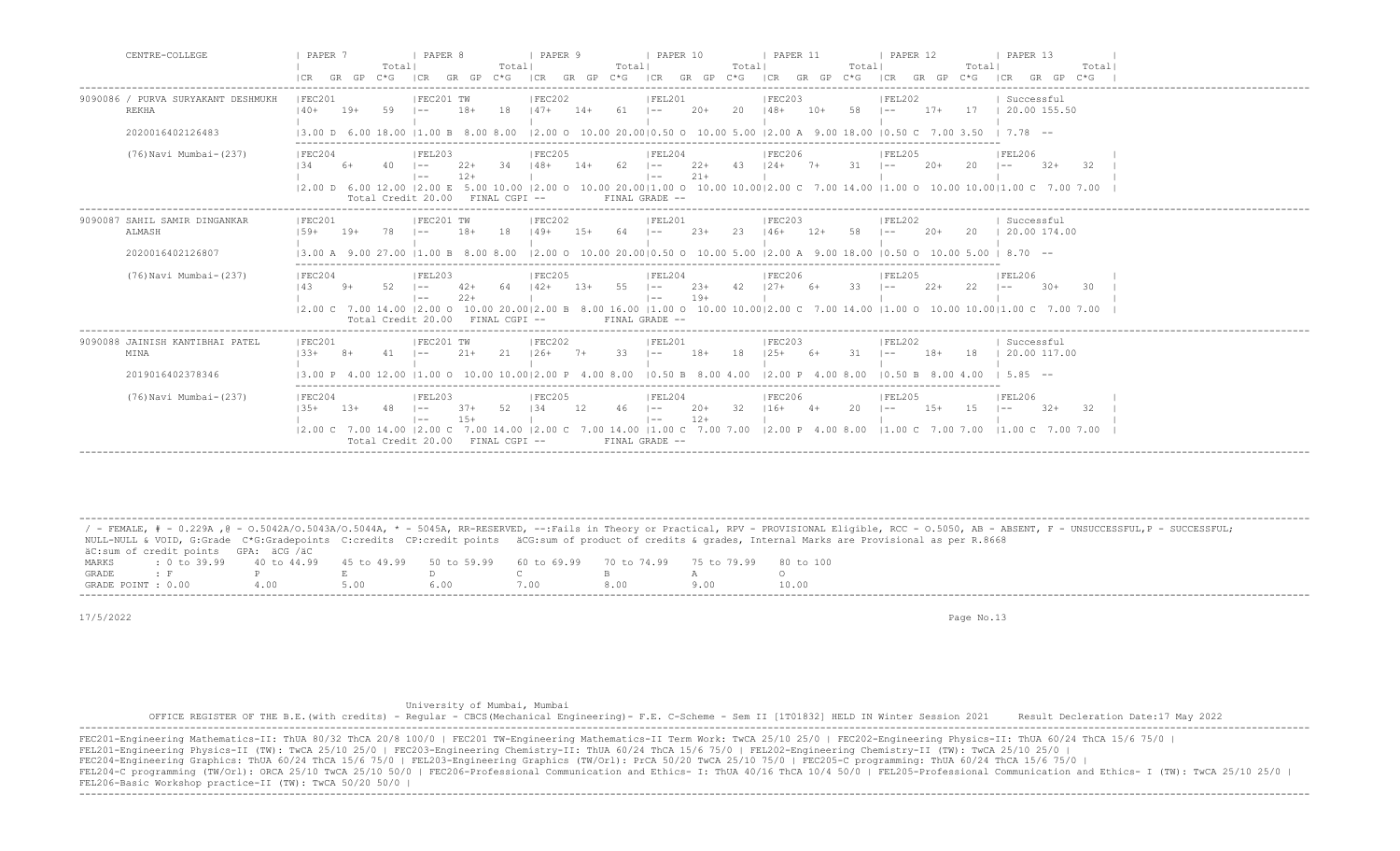| CENTRE-COLLEGE                                     | PAPER 7<br>  PAPER 8<br>  PAPER 9<br>  PAPER 10<br>  PAPER 11<br>  PAPER 12<br>  PAPER 13<br>Totall<br>Totall<br>Totall<br>Totall<br>Totall<br>Totall<br>Total <br>$C * G$<br>$GR$ $GP$ $C*G$<br>ICR GR GP C*G<br>ICR GR GP C*G ICR GR GP C*G<br>ICR<br>GR GP<br>ICR<br> CR<br>GR GP<br>$C * G$<br>ICR<br>GR GP<br>C*G                                                                                                                                                                                                                 |
|----------------------------------------------------|----------------------------------------------------------------------------------------------------------------------------------------------------------------------------------------------------------------------------------------------------------------------------------------------------------------------------------------------------------------------------------------------------------------------------------------------------------------------------------------------------------------------------------------|
| 9090086 / PURVA SURYAKANT DESHMUKH<br><b>REKHA</b> | IFEC201 TW<br> FEC202<br> FEL201<br> FEC203<br> FEL202<br>Successful<br> FEC201<br>18<br>20<br>58<br>17 1 20.00 155.50<br>$140+$<br>59<br>$18+$<br>$147+$<br>$61 \t - -$<br>$20+$<br>$148+$<br>$17+$<br>$19+$<br>$14+$<br>$10+$<br>$1 - -$<br>$1 - -$                                                                                                                                                                                                                                                                                  |
| 2020016402126483                                   | $ 2.00 \t{0} \t{10.00} \t{20.00}  0.50 \t{0} \t{10.00} \t{5.00} \t{2.00} \t{A} \t{9.00} \t{18.00} \t{0.50} \t{C} \t{7.00} \t{3.50} \t{7.78} \t{--}$<br>13.00 D 6.00 18.00 11.00 B 8.00 8.00                                                                                                                                                                                                                                                                                                                                            |
| (76) Navi Mumbai-(237)                             | FEC204<br> FEL203<br> FEL204<br> FEC206<br> FEL205<br> FEL206<br> FEC205<br>$22+$<br>43<br>$124+7+$<br>134<br>$22+$<br>34<br>62<br>31<br>20<br>$6+$<br>40<br>$148+$<br>$14+$<br>$20+$<br>$32+$<br>-32<br>$1 - -$<br>$\vert - - \vert$<br>$1 - -$<br>$1 - -$<br>$21+$<br>$12+$<br>$\vert - - \vert$<br>$1 - -$<br>12.00 D 6.00 12.00 12.00 E 5.00 10.00 12.00 O 10.00 20.0011.00 O 10.00 10.0012.00 C 7.00 14.00 11.00 O 10.00 10.0011.00 C 7.00 7.00<br>Total Credit 20.00<br>FINAL GRADE --<br>FINAL CGPI --                          |
| 9090087 SAHIL SAMIR DINGANKAR<br>ALMASH            | IFEC201 TW<br>IFEC202<br>IFEL201<br>IFEC201<br>IFEL202<br>Successful<br>IFEC203<br>18<br>23<br>120.00174.00<br>$1.59 +$<br>78<br>18+<br>149+<br>$23+$<br>58<br>$20+$<br>20<br>$19+$<br>$1.5+$<br>64<br>$1 - -$<br>$146+$<br>$12+$<br>$1 - -$<br>$1 - -$                                                                                                                                                                                                                                                                                |
| 2020016402126807                                   | $12.00$ O $10.00$ $20.0010.50$ O $10.00$ 5.00 $12.00$ A $9.00$ 18.00 $10.50$ O $10.00$ 5.00 $1$ 8.70 $-$<br>13.00 A<br>-9.00<br>11 00 B 8 00 8 00                                                                                                                                                                                                                                                                                                                                                                                      |
| (76) Navi Mumbai-(237)                             | FEC204<br> FEL203<br> FEC206<br> FEL205<br> FEL206<br> FEC205<br> FEL204<br>52<br>55<br>$23+$<br>42<br>$127 +$<br>33<br>$2.2+$<br>22<br>143<br>$9+$<br>$42+$<br>64<br>$142+$<br>$1.3+$<br>$\vert - - \vert$<br>$6+$<br>$30+$<br>-30<br>$1 - -$<br>$\sim$<br>$1 - -$<br>$19+$<br>$22+$<br>$  --$<br>$\vert - -$<br> 2.00 C 7.00 14.00  2.00 O 10.00 20.00 2.00 B 8.00 16.00  1.00 O 10.00 10.00 2.00 C 7.00 14.00  1.00 O 10.00 10.00 1.00 C 7.00 7.00<br>Total Credit 20.00 FINAL CGPI --<br>FINAL GRADE --                            |
| 9090088 JAINISH KANTIBHAI PATEL<br>MINA            | IFEC202<br>IFEC201<br>IFEC201 TW<br>IFEL201<br>  Successful<br>IFEC203<br>IFEL202<br>$ 33+$<br>21<br>$126+$<br>33<br>$18+$<br>18<br>$12.5+$<br>31<br>$18+$<br>18<br>20.00 117.00<br>$21+$<br>$7+$<br>$1 - -$<br>$1 - -$                                                                                                                                                                                                                                                                                                                |
| 2019016402378346                                   | $11.00$ O $10.00$ $10.0012.00$ P $4.00$ $8.00$<br>10.50 B 8.00 4.00<br>12.00 P<br>$10.50 B$ $8.00 4.00$<br>585 --<br>400800                                                                                                                                                                                                                                                                                                                                                                                                            |
| (76) Navi Mumbai-(237)                             | FEC204<br> FEC205<br> FEL204<br> FEC206 <br> FEL205<br> FEL206<br> FEL203<br>12<br>$20+$<br>32<br>$116+$<br>20<br>52<br>134<br>46<br>$15+$<br>15<br>$1.3.5+$<br>$13+$<br>48<br>$37+$<br>$\vert - -$<br>$4+$<br>$32+$<br>32<br>$\vert - - \vert$<br>$1 - -$<br>$1 - -$<br>$12+$<br>$15+$<br>$\vert - - \vert$<br>$\vert$ $-$<br>7.00 14.00   1.00 C 7.00 7.00   2.00 P 4.00 8.00   1.00 C 7.00 7.00   1.00 C 7.00 7.00<br>$12.00 \text{ C}$ 7.00 14.00 12.00 C 7.00 14.00 12.00 C<br>Total Credit 20.00 FINAL CGPI --<br>FINAL GRADE -- |

 ------------------------------------------------------------------------------------------------------------------------------------------------------------------------------------------------------------------- / - FEMALE, # - 0.229A , @ - 0.5042A/O.5043A/O.5044A, \* - 5045A, RR-RESERVED, --:Fails in Theory or Practical, RPV - PROVISIONAL Eligible, RCC - 0.5050, AB - ABSENT, F - UNSUCCESSFUL, P - SUCCESSFUL; NULL-NULL & VOID, G:Grade C\*G:Gradepoints C:credits CP:credit points äCG:sum of product of credits & grades, Internal Marks are Provisional as per R.8668 äC:sum of credit points GPA: äCG /äC MARKS : 0 to 39.99 40 to 44.99 45 to 49.99 50 to 59.99 60 to 69.99 70 to 74.99 75 to 79.99 80 to 100<br>GRADE: F P E D C B A O GRADE : F P E D C B A O GRADE POINT : 0.00 4.00 5.00 6.00 7.00 8.00 9.00 10.00

17/5/2022 Page No.13

University of Mumbai, Mumbai

 OFFICE REGISTER OF THE B.E.(with credits) - Regular - CBCS(Mechanical Engineering)- F.E. C-Scheme - Sem II [1T01832] HELD IN Winter Session 2021 Result Decleration Date:17 May 2022 -------------------------------------------------------------------------------------------------------------------------------------------------------------------------------------------------------------------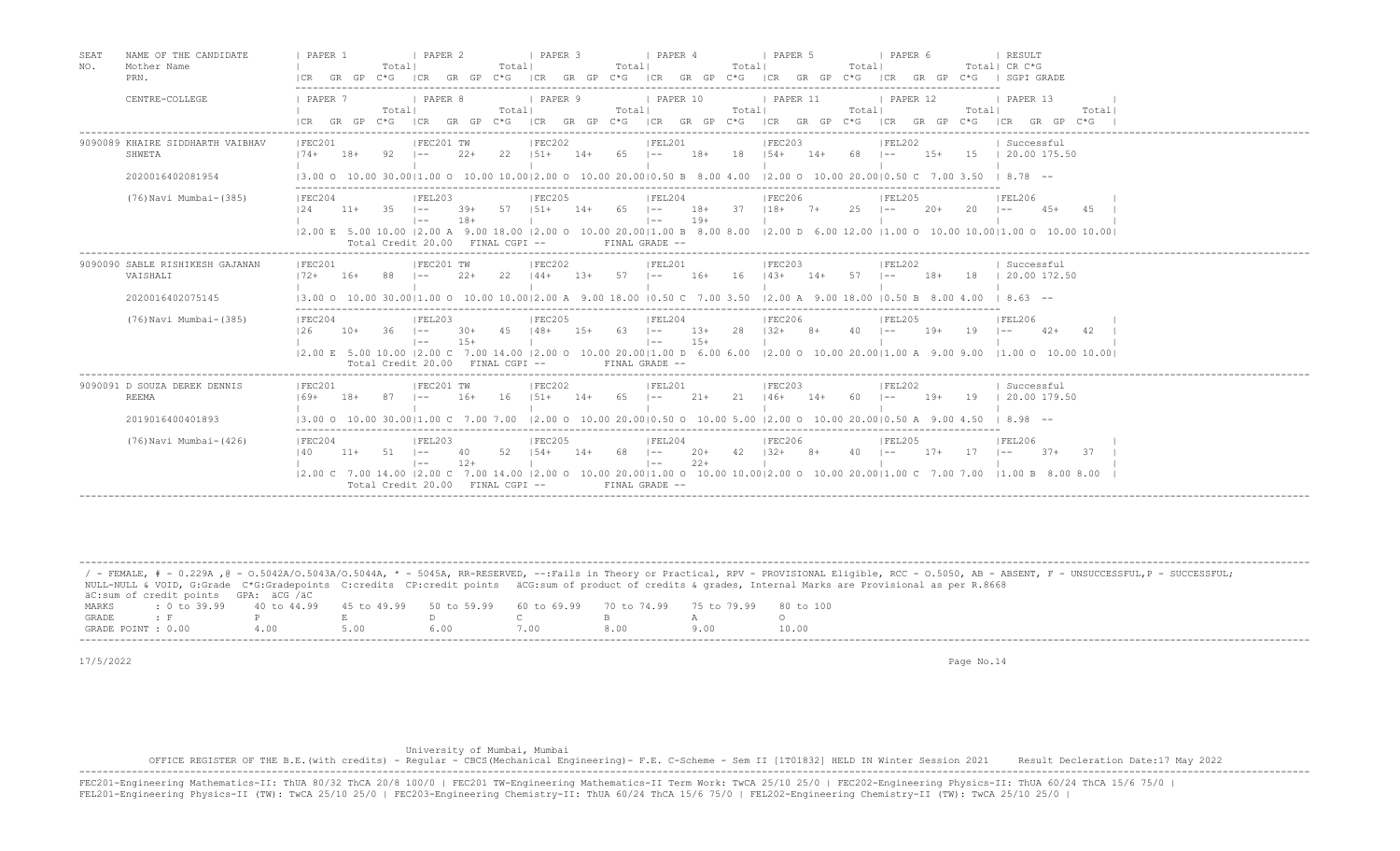| SEAT<br>NAME OF THE CANDIDATE<br>NO.<br>Mother Name<br>PRN. | I PAPER 2<br>PAPER 1<br><b>I PAPER 3</b><br>  PAPER 4<br><b>I PAPER 5</b><br>I PAPER 6<br>RESULT<br>Totall<br>Totall<br>Totall<br>Totall<br>Totall<br>Total  CR C*G<br>GR GP<br>$C*G$<br>ICR GR GP C*G ICR GR GP C*G<br>$ CR$ $GR$ $GP$ $C*G$<br>$ CR$ $GR$ $GP$ $C*G$<br>ICR<br>GR GP C*G   SGPI GRADE<br> CR                                                                                                                                             |
|-------------------------------------------------------------|------------------------------------------------------------------------------------------------------------------------------------------------------------------------------------------------------------------------------------------------------------------------------------------------------------------------------------------------------------------------------------------------------------------------------------------------------------|
| CENTRE-COLLEGE                                              | PAPER 10<br>PAPER 7<br>  PAPER 8<br>  PAPER 9<br>  PAPER 11<br>  PAPER 12<br>  PAPER 13<br>Totall<br>Totall<br>Totall<br>Total <br>Total <br>Total <br>Totall<br>GR GP C*G<br>$GR$ $GP$ $C*G$<br>ICR<br>GR GP C*G ICR GR GP C*G ICR GR GP C*G ICR GR GP C*G ICR GR GP C*G<br>ICR                                                                                                                                                                           |
| 9090089 KHAIRE SIDDHARTH VAIBHAV<br>SHWETA                  | IFEC202<br>IFEL201<br>IFEC203<br> FEL202<br>IFEC201<br>IFEC201 TW<br>  Successful<br>$151+$<br>18+ 18 $154+$ 14+<br>$2.2+$<br>22<br>$65$ $1--$<br>68 –<br>$15+$<br>15   20.00 175.50<br>$174+$<br>$18+$<br>92.<br>$1 - -$<br>$14+$                                                                                                                                                                                                                         |
| 2020016402081954                                            | 13.00 0 10.00 30.0011.00 0 10.00 10.0012.00 0 10.00 20.0010.50 B 8.00 4.00<br>12.00 0 10.00 20.0010.50 C 7.00 3.50<br>$18.78 - -$                                                                                                                                                                                                                                                                                                                          |
| (76) Navi Mumbai-(385)                                      | IFEC204<br> FEL203<br>IFEC205<br>IFEL204<br>IFEC206<br>IFEL205<br>IFEL206<br>$18+$ 37 $118+$<br>25<br>-35<br>57<br>$151+$<br>65<br>$\vert - -$<br>$7+$<br>20<br>124<br>$11+$<br>$1 - -$<br>39+<br>14+<br>$\sim$ $-$<br>-20+<br>$1 - -$<br>$4.5+$<br>$19+$<br>$18+$<br>$\vert - -$<br>$1 - -$                                                                                                                                                               |
|                                                             | 12.00 E 5.00 10.00 12.00 A 9.00 18.00 12.00 O 10.00 20.0011.00 B 8.00 8.00 12.00 D 6.00 12.00 11.00 O 10.00 10.0011.00 O 10.00 10.00 10.00<br>Total Credit 20.00 FINAL CGPI --<br>FINAL GRADE --                                                                                                                                                                                                                                                           |
| 9090090 SABLE RISHIKESH GAJANAN<br>VAISHALI                 | FEC201 TW<br>IFEC202<br>IFEL201<br>IFEC203<br>IFEC201<br>IFEL202<br>  Successful<br>$2.2+$<br>22<br>$144+$ 13+ 57 $1--$<br>16+ 16 143+ 14+ 57 1--<br>$18+$<br>18   20.00 172.50<br>$172+$ 16+<br>- 88<br>$1 - -$                                                                                                                                                                                                                                           |
| 2020016402075145                                            | $13.00$ O $10.00$ 30.0011.00 O $10.00$ $10.0012.00$ A $9.00$ $18.00$ $10.50$ C $7.00$ $3.50$ $12.00$ A $9.00$ $18.00$ $10.50$ B $8.00$ $4.00$ $1$ $8.63$ $-$                                                                                                                                                                                                                                                                                               |
| (76) Navi Mumbai-(385)                                      | IFEC204<br>IFEL203<br>IFEC205<br>IFEL204<br>IFEC206<br><b>IFEL205</b><br> FEL206<br>2.8<br>$132+$<br>126<br>$10+$<br>- 36<br>4.5<br>$148+$<br>$1.5+$<br>$63 \t - -$<br>13+<br>40<br>$19+$<br>19<br>$1 - -$<br>$30+$<br>$8+$<br>$1 - -$<br>42.<br>$1 - -$<br>$42+$<br>$15+$<br>$15+$<br>$\vert - - \vert$<br>$1 - -$<br>12.00 E 5.00 10.00 12.00 C 7.00 14.00 12.00 O 10.00 20.0011.00 D 6.00 6.00 12.00 O 10.00 20.0011.00 A 9.00 9.00 11.00 O 10.00 10.00 |
|                                                             | Total Credit 20.00 FINAL CGPI --<br>FINAL GRADE --                                                                                                                                                                                                                                                                                                                                                                                                         |
| 9090091 D SOUZA DEREK DENNIS<br>REEMA                       | IFEC201 TW<br>IFEC202<br>IFEC201<br>IFEL201<br>IFEC203<br>IFEL202<br>  Successful<br>$16+$<br>16<br>$1.51 +$<br>65<br>21<br>$146+$<br>$19+$<br>$169+$<br>$18+$<br>87<br>$14+$<br>$21+$<br>$14+$<br>60<br>19   20.00 179.50<br>$1 - -$<br>$\vert - - \vert$<br>$1 - -$                                                                                                                                                                                      |
| 2019016400401893                                            | $13.00$ O $10.00$ 30.0011.00 C 7.00 7.00 12.00 O 10.00 20.0010.50 O 10.00 5.00 12.00 O 10.00 20.0010.50 A 9.00 4.50 I 8.98 --                                                                                                                                                                                                                                                                                                                              |
| (76) Navi Mumbai-(426)                                      | IFEC204<br>IFEL203<br>IFEC205<br>IFEC206<br>IFEL204<br>IFEL205<br>IFEL206<br>$52 \t   54+$<br>$42 \t132+$<br>140<br>$11+$<br>$51 - -$<br>$14+$<br>68 –<br>$20+$<br>$8+$<br>40<br>$17+$<br>17<br>37<br>-40<br>$1 - -$<br>$1 - -$<br>$37+$<br>$12+$<br>$22+$<br>$\vert - -$<br>$1 - -$                                                                                                                                                                       |
|                                                             | $(2.00 \text{ C} \quad 7.00 \text{ } 14.00 \text{ }  2.00 \text{ C} \quad 7.00 \text{ } 14.00 \text{ }  2.00 \text{ O} \quad 10.00 \text{ } 20.00  1.00 \text{ O} \quad 10.00 \text{ } 10.00  2.00 \text{ O} \quad 10.00 \text{ } 20.00  1.00 \text{ C} \quad 7.00 \text{ } 7.00 \text{ } 7.00 \text{ } 7.00 \text{ } 7.00 \text{ } 7.00 \text{ } 7.00 \text{$<br>11.00 B 8.00 8.00<br>Total Credit 20.00 FINAL CGPI --<br>FINAL GRADE --                  |

|                    |                                            |                                                                                                              |      |      |      |     | / - FEMALE, # - 0.229A ,@ - 0.5042A/0.5043A/0.5044A, * - 5045A, RR-RESERVED, --:Fails in Theory or Practical, RPV - PROVISIONAL Eligible, RCC - 0.5050, AB - ABSENT, F - UNSUCCESSFUL,P - SUCCESSFUL; |
|--------------------|--------------------------------------------|--------------------------------------------------------------------------------------------------------------|------|------|------|-----|-------------------------------------------------------------------------------------------------------------------------------------------------------------------------------------------------------|
|                    |                                            |                                                                                                              |      |      |      |     | NULL-NULL & VOID, G:Grade C*G:Gradepoints C:credits CP:credit points äCG:sum of product of credits & qrades, Internal Marks are Provisional as per R.8668                                             |
|                    | äC:sum of credit points GPA: äCG /äC       |                                                                                                              |      |      |      |     |                                                                                                                                                                                                       |
| MARKS              |                                            | : 0 to 39.99   40 to 44.99   45 to 49.99   50 to 59.99   60 to 69.99   70 to 74.99   75 to 79.99   80 to 100 |      |      |      |     |                                                                                                                                                                                                       |
| GRADE              | <b>Contract Contract Contract Property</b> |                                                                                                              |      |      |      |     |                                                                                                                                                                                                       |
| GRADE POINT : 0.00 |                                            | 400                                                                                                          | 5.00 | 6.00 | 7.00 | 800 | 10.00                                                                                                                                                                                                 |
|                    |                                            |                                                                                                              |      |      |      |     |                                                                                                                                                                                                       |

-------------------------------------------------------------------------------------------------------------------------------------------------------------------------------------------------------------------

17/5/2022 Page No.14

## University of Mumbai, Mumbai

 OFFICE REGISTER OF THE B.E.(with credits) - Regular - CBCS(Mechanical Engineering)- F.E. C-Scheme - Sem II [1T01832] HELD IN Winter Session 2021 Result Decleration Date:17 May 2022 ------------------------------------------------------------------------------------------------------------------------------------------------------------------------------------------------------------------- FEC201-Engineering Mathematics-II: ThUA 80/32 ThCA 20/8 100/0 | FEC201 TW-Engineering Mathematics-II Term Work: TwCA 25/10 25/0 | FEC202-Engineering Physics-II: ThUA 60/24 ThCA 15/6 75/0 |<br>FEL201-Engineering Physics-II (TW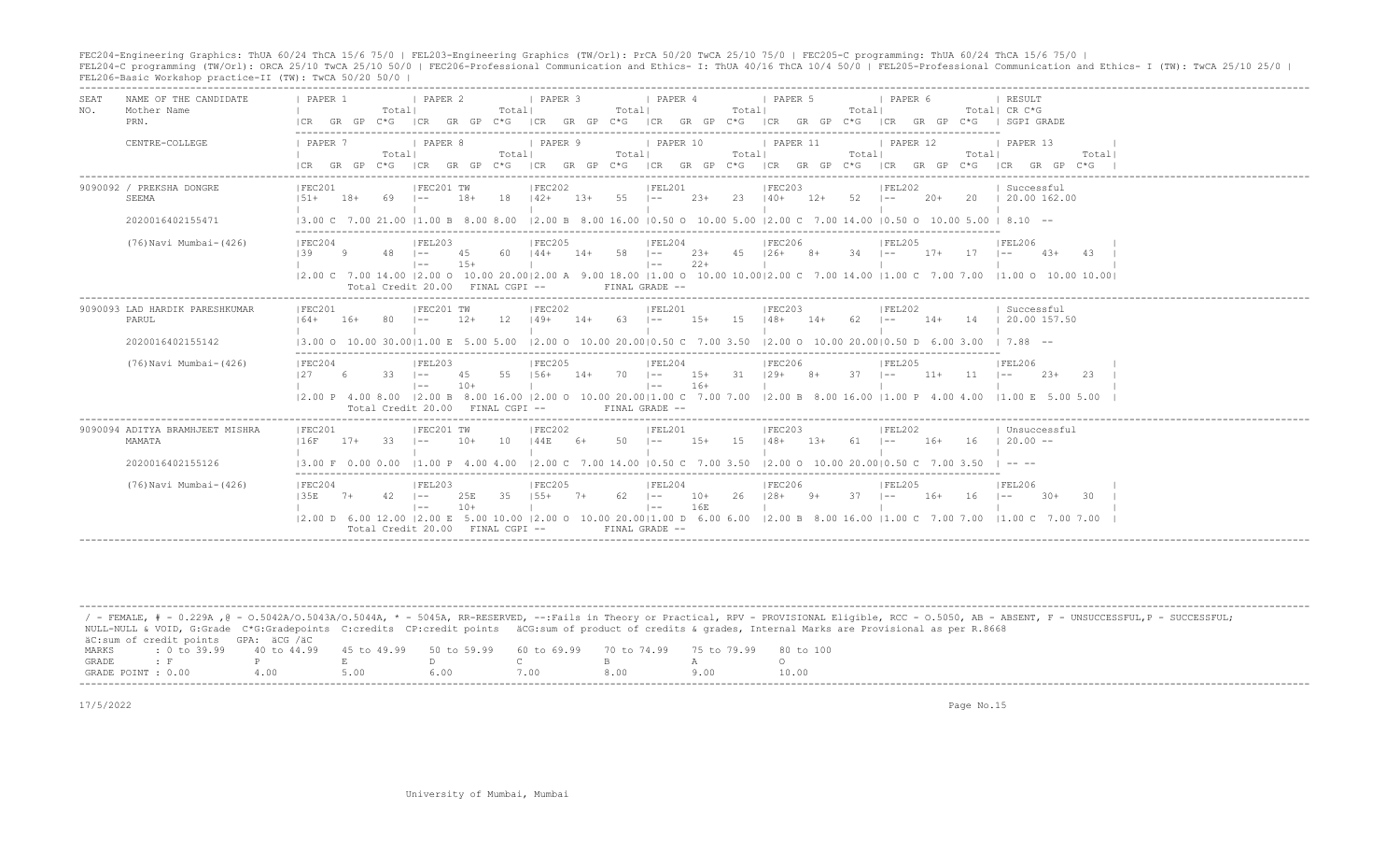FEC204-Engineering Graphics: ThUA 60/24 ThCA 15/6 75/0 | FEL203-Engineering Graphics (TW/Orl): PrCA 50/20 TwCA 25/10 75/0 | FEC205-C programming: ThUA 60/24 ThCA 15/6 75/0 |<br>FEL204-C programming (TW/Orl): ORCA 25/10 TwCA 2

| <b>SEAT</b><br>NO. | NAME OF THE CANDIDATE<br>Mother Name<br>PRN. | PAPER 1<br>GR GP<br>ICR             | I PAPER 2<br>Total <br>$C \star G$<br>ICR                 | Totall<br>$C * G$<br>GR GP          | I PAPER 3<br>ICR GR GP C*G ICR GR GP C*G | PAPER 4<br>Totall                                             | Total                     | I PAPER 5<br>Totall<br>ICR GR GP C*G                                                                                                                                                                                         | PAPER 6<br>GR GP C*G   SGPI GRADE<br> CR                                                                                                                                                                                                                                                                                                                                    | RESULT<br>Total  CR C*G                                                                                                                                         |
|--------------------|----------------------------------------------|-------------------------------------|-----------------------------------------------------------|-------------------------------------|------------------------------------------|---------------------------------------------------------------|---------------------------|------------------------------------------------------------------------------------------------------------------------------------------------------------------------------------------------------------------------------|-----------------------------------------------------------------------------------------------------------------------------------------------------------------------------------------------------------------------------------------------------------------------------------------------------------------------------------------------------------------------------|-----------------------------------------------------------------------------------------------------------------------------------------------------------------|
|                    | CENTRE-COLLEGE                               | 1 PAPER 7<br>ICR GR GP              | I PAPER 8<br>Totall<br>$C*G$<br> CR                       | Totall                              | <b>I PAPER 9</b>                         | I PAPER 10<br>Totall                                          | Totall                    | 1 PAPER 11<br>Totall                                                                                                                                                                                                         | <b>I PAPER 12</b><br>Totall<br>GR GP C*G ICR GR GP C*G ICR GR GP C*G ICR GR GP C*G ICR GR GP C*G ICR GR GP C*G                                                                                                                                                                                                                                                              | I PAPER 13<br>Total                                                                                                                                             |
|                    | 9090092 / PREKSHA DONGRE<br>SEEMA            | IFEC201<br>$1.51 +$<br>$18+$        | IFEC201 TW<br>69<br>$-$                                   | 18<br>$18+$                         | IFEC202<br>$142+$<br>$1.3+$              | IFEL201<br>$55 \t - -$                                        | 23<br>$23+$               | IFEC203<br>$52 - 1 -$<br>$140+$<br>12+                                                                                                                                                                                       | FEL202<br>20+                                                                                                                                                                                                                                                                                                                                                               | Successful<br>20   20.00 162.00                                                                                                                                 |
|                    | 2020016402155471                             |                                     |                                                           |                                     |                                          |                                                               |                           |                                                                                                                                                                                                                              | $(3.00 \text{ C} \quad 7.00 \text{ } 21.00 \text{ }  1.00 \text{ B} \quad 8.00 \text{ } 8.00 \text{ }  2.00 \text{ B} \quad 8.00 \text{ } 16.00 \text{ }  0.50 \text{ O} \quad 10.00 \text{ } 5.00 \text{ }  2.00 \text{ C} \quad 7.00 \text{ } 14.00 \text{ }  0.50 \text{ O} \quad 10.00 \text{ } 5.00 \text{ }  8.10 \text{ } -10.00 \text{ }  0.00 \text{ } 5.00 \text$ |                                                                                                                                                                 |
|                    | (76) Navi Mumbai- (426)                      | IFEC204<br>$139 -$<br>Q             | FEL203<br>$48$ $1--$<br>$1 - -$                           | 4.5<br>60.<br>$1.5+$                | IFEC205<br>$144+$<br>$14+$               | FEL204<br>$58 = 1 -$<br>$\vert - - \vert$                     | $2.3+$<br>45<br>$22+$     | <b>IFEC206</b><br>$126+$ 8+<br>$-34$ $1--$                                                                                                                                                                                   | FEL205<br>$17+$<br>$17 - 1 -$                                                                                                                                                                                                                                                                                                                                               | IFEL206<br>$4.3+$<br>43<br> 2.00 C 7.00 14.00  2.00 O 10.00 20.00 2.00 A 9.00 18.00  1.00 O 10.00 10.00 2.00 C 7.00 14.00  1.00 C 7.00 7.00  1.00 O 10.00 10.00 |
|                    |                                              |                                     |                                                           | Total Credit 20.00 FINAL CGPI --    |                                          | FINAL GRADE --                                                |                           |                                                                                                                                                                                                                              |                                                                                                                                                                                                                                                                                                                                                                             |                                                                                                                                                                 |
|                    | 9090093 LAD HARDIK PARESHKUMAR<br>PARUL      | IFEC201<br>$164+$<br>$16+$          | FEC201 TW                                                 | $12+$<br>12                         | FEC202<br>$149+$<br>$14+$                | FEL201<br>63<br>$\sim$                                        | $1.5+$<br>-1.5            | FEC203<br>$148+$<br>62<br>$14+$                                                                                                                                                                                              | IFEL202<br>14<br>$14+$<br>$1 - -$                                                                                                                                                                                                                                                                                                                                           | Successful<br>$\mid$ 20.00 157.50                                                                                                                               |
|                    | 2020016402155142                             | $13.00 \Omega$                      | 10.00 30.0011.00 E                                        |                                     | 12.00 0 10.00 20.0010.50 C 7.00 3.50     |                                                               |                           | $12.00$ O $10.00$ 20.0010.50 D 6.00 3.00                                                                                                                                                                                     |                                                                                                                                                                                                                                                                                                                                                                             | $1, 7.88 - -$                                                                                                                                                   |
|                    | (76) Navi Mumbai-(426)                       | IFEC204<br>127<br>- 6               | IFEL203<br>33<br>$1 - -$<br>$1 - -$<br>Total Credit 20.00 | 55<br>45<br>$10+$<br>FINAL CGPI --  | IFEC205<br>$156+$<br>$14+$               | IFEL204<br>$70 \t - -$<br>$\vert - - \vert$<br>FINAL GRADE -- | 31 129+<br>$15+$<br>$16+$ | IFEC206<br>$37 \quad - -$<br>$8+$                                                                                                                                                                                            | IFEL205<br>$11 - 1 =$<br>$11+$<br> 2.00 P 4.00 8.00  2.00 B 8.00 16.00  2.00 O 10.00 20.00 1.00 C 7.00 7.00  2.00 B 8.00 16.00  1.00 P 4.00 4.00  1.00 E 5.00 5.00                                                                                                                                                                                                          | IFEL206<br>$2.3+$<br>-23                                                                                                                                        |
|                    | 9090094 ADITYA BRAMHJEET MISHRA<br>MAMATA    | IFEC201<br>116F<br>$17+$            | IFEC201 TW<br>33<br>$1 - -$                               | 10<br>$10+$                         | IFEC202<br>144E<br>- 6+                  | IFEL201<br>50<br>$\vert - - \vert$                            | $1.5+$<br>1.5             | IFEC203<br>$148+$<br>61<br>$1.3+$                                                                                                                                                                                            | IFEL202<br>16<br>$\vert - - \vert$<br>$16+$                                                                                                                                                                                                                                                                                                                                 | Unsuccessful<br>$20.00 -$                                                                                                                                       |
|                    | 2020016402155126                             | 13.00 F 0.00 0.00 11.00 P 4.00 4.00 |                                                           |                                     |                                          |                                                               |                           | $ 2.00 \text{ }$ $\text{ }7.00 \text{ }$ $ 14.00 \text{ } 0.50 \text{ }$ $\text{ }7.00 \text{ }$ $ 3.50 \text{ } 2.00 \text{ }$ $\text{ }0 \text{ }$ $ 10.00 \text{ }$ $ 20.00 0.50 \text{ }$ $\text{ }7.00 \text{ }$ $3.50$ |                                                                                                                                                                                                                                                                                                                                                                             | $\cdots$                                                                                                                                                        |
|                    | (76) Navi Mumbai- (426)                      | FEC204<br>135E<br>$7+$              | IFEL203<br>$42 - 1 =$<br>$1 - -$<br>Total Credit 20.00    | 25E<br>35<br>$10+$<br>FINAL CGPI -- | FEC205<br>$155+$<br>$7+$                 | IFEL204<br>$62$ $ -$<br>$\vert - - \vert$<br>FINAL GRADE --   | 26<br>$10+$<br>16E        | IFEC206<br>$128+$<br>-9+                                                                                                                                                                                                     | IFEL205<br>16+<br>16<br>12.00 D 6.00 12.00 12.00 E 5.00 10.00 12.00 O 10.00 20.0011.00 D 6.00 6.00 12.00 B 8.00 16.00 11.00 C 7.00 7.00 11.00 C                                                                                                                                                                                                                             | <b>IFEL206</b><br>$\vert - -$<br>$30+$<br>.30                                                                                                                   |

|       |                                                                                                |      |  |      | / - FEMALE, # - 0.229A ,@ - 0.5042A/0.5043A/0.5044A, * - 5045A, RR-RESERVED, --:Fails in Theory or Practical, RPV - PROVISIONAL Eligible, RCC - 0.5050, AB - ABSENT, F - UNSUCCESSFUL,P - SUCCESSFUL; |
|-------|------------------------------------------------------------------------------------------------|------|--|------|-------------------------------------------------------------------------------------------------------------------------------------------------------------------------------------------------------|
|       |                                                                                                |      |  |      | NULL-NULL & VOID, G:Grade C*G:Gradepoints C:credits CP:credit points äCG:sum of product of credits & grades, Internal Marks are Provisional as per R.8668                                             |
|       | äC:sum of credit points GPA: äCG /äC                                                           |      |  |      |                                                                                                                                                                                                       |
| MARKS | t 0 to 39,99 40 to 44,99 45 to 49,99 50 to 59,99 60 to 69,99 70 to 74,99 75 to 79,99 80 to 100 |      |  |      |                                                                                                                                                                                                       |
| GRADE |                                                                                                |      |  |      |                                                                                                                                                                                                       |
|       | GRADE POINT : 0.00                                                                             | 5.00 |  | 8.00 | 10.00                                                                                                                                                                                                 |
|       |                                                                                                |      |  |      |                                                                                                                                                                                                       |

17/5/2022 Page No.15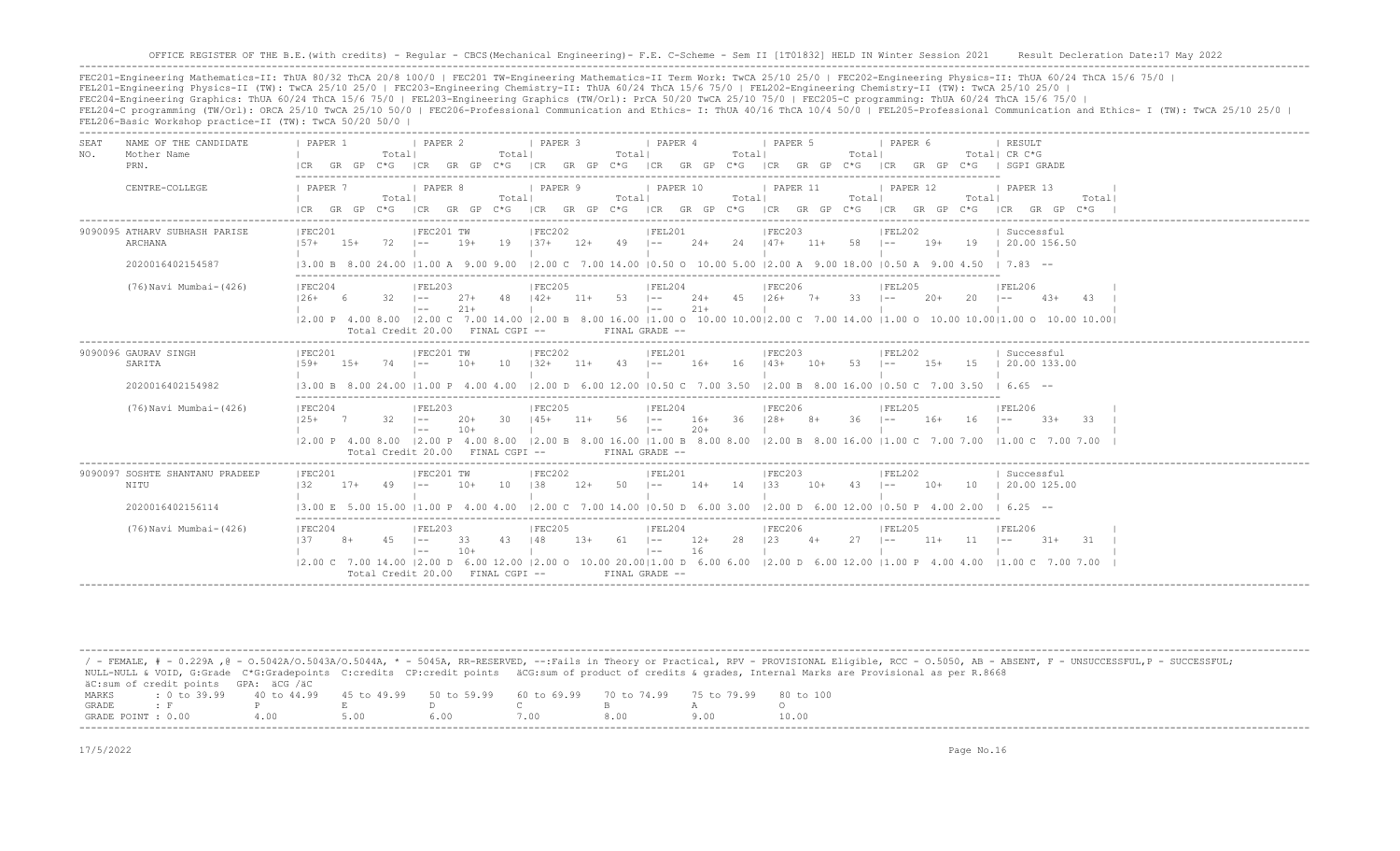-------------------------------------------------------------------------------------------------------------------------------------------------------------------------------------------------------------------

FEC201-Engineering Mathematics-II: ThUA 80/32 ThCA 20/8 100/0 | FEC201 TW-Engineering Mathematics-II Term Work: TwCA 25/10 25/0 | FEC202-Engineering Physics-II: ThUA 60/24 ThCA 15/6 75/0 | FEL201-Engineering Physics-II (TW): TwCA 25/10 25/0 | FEC203-Engineering Chemistry-II: ThUA 60/24 ThCA 15/6 75/0 | FEL202-Engineering Chemistry-II (TW): TwCA 25/10 25/0 | FEC204-Engineering Graphics: ThUA 60/24 ThCA 15/6 75/0 | FEL203-Engineering Graphics (TW/Orl): PrCA 50/20 TwCA 25/10 75/0 | FEC205-C programming: ThUA 60/24 ThCA 15/6 75/0 | FEL204-C programming (TW/Orl): ORCA 25/10 TwCA 25/10 50/0 | FEC206-Professional Communication and Ethics- I: ThUA 40/16 ThCA 10/4 50/0 | FEL205-Professional Communication and Ethics- I (TW): TwCA 25/10 25/0 | FEL206-Basic Workshop practice-II (TW): TwCA 50/20 50/0 |

-------------------------------------------------------------------------------------------------------------------------------------------------------------------------------------------------------------------

| SEAT<br>NO. | NAME OF THE CANDIDATE<br>Mother Name<br>PRN. | PAPER 1                                                                                          |       | Totall                           | PAPER 2                      |                | Totall   | PAPER 3       |                | Totall         | PAPER 4                     |                | Totall | PAPER 5                                                 |       | Totall            | PAPER 6    |        |              | RESULT<br>Total  CR C*G<br> CR GR GP C*G  CR GR GP C*G  CR GR GP C*G  CR GR GP C*G  CR GR GP C*G  CR GR GP C*G   SGPI GRADE                                                                                                                                   |                 |
|-------------|----------------------------------------------|--------------------------------------------------------------------------------------------------|-------|----------------------------------|------------------------------|----------------|----------|---------------|----------------|----------------|-----------------------------|----------------|--------|---------------------------------------------------------|-------|-------------------|------------|--------|--------------|---------------------------------------------------------------------------------------------------------------------------------------------------------------------------------------------------------------------------------------------------------------|-----------------|
|             | CENTRE-COLLEGE                               | I PAPER 7<br>ICR GR GP C*G ICR GR GP C*G ICR GR GP C*G ICR GR GP C*G ICR GR GP C*G ICR GR GP C*G |       | Totall                           | <i>I</i> PAPER 8             |                | Totall   | PAPER 9       |                | Totall         | PAPER 10                    |                | Totall | 1 PAPER 11                                              |       | Totall            | 1 PAPER 12 |        | Totall       | PAPER 13<br>ICR GR GP C*G                                                                                                                                                                                                                                     | Totall          |
|             | 9090095 ATHARV SUBHASH PARISE<br>ARCHANA     | FEC201<br>$157+$ 15+                                                                             |       | $72$ $1--$                       | FEC201 TW                    | $19+$          |          | FEC202        |                |                | FEL201                      |                |        | FEC203<br>19   37+ 12+ 49   -- 24+ 24   47+ 11+ 58   -- |       |                   | FEL202     | $19+$  |              | Successful<br>19 1 20.00 156.50                                                                                                                                                                                                                               |                 |
|             | 2020016402154587                             |                                                                                                  |       |                                  |                              |                |          |               |                |                |                             |                |        |                                                         |       |                   |            |        |              | 13.00 B 8.00 24.00 11.00 A 9.00 9.00 12.00 C 7.00 14.00 10.50 O 10.00 5.00 12.00 A 9.00 18.00 10.50 A 9.00 4.50 I 7.83 --                                                                                                                                     |                 |
|             | (76) Navi Mumbai- (426)                      | IFEC204<br>$126+6$                                                                               |       | $32 - 1 =$                       | FEL203<br>$1 - -$            | $27+$<br>$21+$ | 48   42+ | FEC205        | $11+ 53 + -$   |                | FEL204<br>$\vert - - \vert$ | $21+$          |        | <b>FEC206</b><br>$24+ 45$ $126+ 7+ 33$ $1--$            |       |                   | IFEL205    | $20+$  | $20 - 1 = -$ | FEL206<br>$4.3+$                                                                                                                                                                                                                                              | 4.3             |
|             |                                              |                                                                                                  |       | Total Credit 20.00 FINAL CGPI -- |                              |                |          |               |                |                | FINAL GRADE --              |                |        |                                                         |       |                   |            |        |              | 2.00 P 4.00 8.00  2.00 C 7.00 14.00  2.00 B 8.00 16.00  1.00 O 10.00 10.00 2.00 C 7.00 14.00  1.00 O 10.00 10.00 1.00 O 10.00 10.00                                                                                                                           |                 |
|             | 9090096 GAURAV SINGH<br>SARITA               | IFEC201<br>$1.59+$                                                                               | $15+$ | $74$ $1--$                       | FEC201 TW                    | $10+$          |          | FEC202        |                |                | FEL201                      |                |        | FEC203<br>10 132+ 11+ 43 1-- 16+ 16 143+ 10+            |       | $53 \t - -$       | FEL202     | $1.5+$ |              | Successful<br>15   20.00 133.00                                                                                                                                                                                                                               |                 |
|             | 2020016402154982                             |                                                                                                  |       |                                  |                              |                |          |               |                |                |                             |                |        |                                                         |       |                   |            |        |              | 13.00 B 8.00 24.00 11.00 P 4.00 4.00 12.00 D 6.00 12.00 10.50 C 7.00 3.50 12.00 B 8.00 16.00 10.50 C 7.00 3.50 I 6.65 --                                                                                                                                      |                 |
|             | (76) Navi Mumbai-(426)                       | IFEC204<br>$125+7$                                                                               |       | $32 - 1 =$                       | FEL203<br>$1 - -$            | $20+$<br>$10+$ | 30 145+  | <b>FEC205</b> | $11+ 56$ $1--$ |                | FEL204<br>$\vert - - \vert$ | $20+$          |        | FEC206<br>$16+$ 36 $128+$ 8+ 36 I--                     |       |                   | IFEL205    | $16+$  | $16$ $1--$   | IFEL206<br>$33+$<br> 2.00 P 4.00 8.00  2.00 P 4.00 8.00  2.00 B 8.00 16.00  1.00 B 8.00 8.00  2.00 B 8.00 16.00  1.00 C 7.00 7.00  1.00 C 7.00 7.00                                                                                                           | $-33$           |
|             |                                              |                                                                                                  |       | Total Credit 20.00 FINAL CGPI -- |                              |                |          |               |                |                | FINAL GRADE --              |                |        |                                                         |       |                   |            |        |              |                                                                                                                                                                                                                                                               |                 |
|             | 9090097 SOSHTE SHANTANU PRADEEP<br>NITU      | FEC201<br>$132 -$                                                                                | $17+$ | 49                               | FEC201 TW<br>$1 - -$         | $10+$          | 10       | FEC202<br>138 | $12+$          | $50$ $1--$     | FEL201                      | $14+$ 14 $133$ |        | FEC203                                                  | $10+$ | $43 - 1 =$        | IFEL202    | $10+$  |              | Successful<br>10 1 20.00 125.00                                                                                                                                                                                                                               |                 |
|             | 2020016402156114                             |                                                                                                  |       |                                  |                              |                |          |               |                |                |                             |                |        |                                                         |       |                   |            |        |              | $(3.00 \t{E} \t{5.00} \t{15.00} \t{1.00} \t{P} \t{4.00} \t{4.00} \t{2.00} \t{C} \t{7.00} \t{14.00} \t{0.50} \t{D} \t{6.00} \t{3.00} \t{2.00} \t{D} \t{6.00} \t{12.00} \t{0.50} \t{P} \t{4.00} \t{2.00} \t{6.25} \t{-7} \t{6.25} \t{6.25} \t{6.25} \t{6.25} \$ |                 |
|             | (76) Navi Mumbai-(426)                       | IFEC204<br>1.37                                                                                  | $8+$  | $45 - 1 -$                       | IFEL203<br>$\vert - - \vert$ | 33<br>$10+$    | 43 148   | IFEC205       |                | $13+ 61$ $1--$ | IFEL204<br>$1 - -$          | $12+$<br>16    | 28     | IFEC206<br> 23                                          | $4+$  | $27 \frac{-1}{2}$ | IFEL205    | $11+$  | $11 - 1 =$   | FEL206<br>$31 +$                                                                                                                                                                                                                                              | $\overline{31}$ |
|             |                                              |                                                                                                  |       | Total Credit 20.00 FINAL CGPI -- |                              |                |          |               |                |                | FINAL GRADE --              |                |        |                                                         |       |                   |            |        |              | 2.00 C 7.00 14.00  2.00 D 6.00 12.00  2.00 O 10.00 20.00 1.00 D 6.00 6.00  2.00 D 6.00 12.00  1.00 P 4.00 4.00  1.00 C 7.00 7.00                                                                                                                              |                 |

 / - FEMALE, # - 0.229A ,@ - O.5042A/O.5043A/O.5044A, \* - 5045A, RR-RESERVED, --:Fails in Theory or Practical, RPV - PROVISIONAL Eligible, RCC - O.5050, AB - ABSENT, F - UNSUCCESSFUL,P - SUCCESSFUL; NULL-NULL & VOID, G:Grade C\*G:Gradepoints C:credits CP:credit points äCG:sum of product of credits & grades, Internal Marks are Provisional as per R.8668 äC:sum of credit points GPA: äCG /äC MARKS : 0 to 39.99 40 to 44.99 45 to 49.99 50 to 59.99 60 to 69.99 70 to 74.99 75 to 79.99 80 to 100 GRADE : F P E D C B A O GRADE POINT : 0.00 4.00 5.00 6.00 7.00 8.00 9.00 10.00 -------------------------------------------------------------------------------------------------------------------------------------------------------------------------------------------------------------------

-------------------------------------------------------------------------------------------------------------------------------------------------------------------------------------------------------------------

17/5/2022 Page No.16